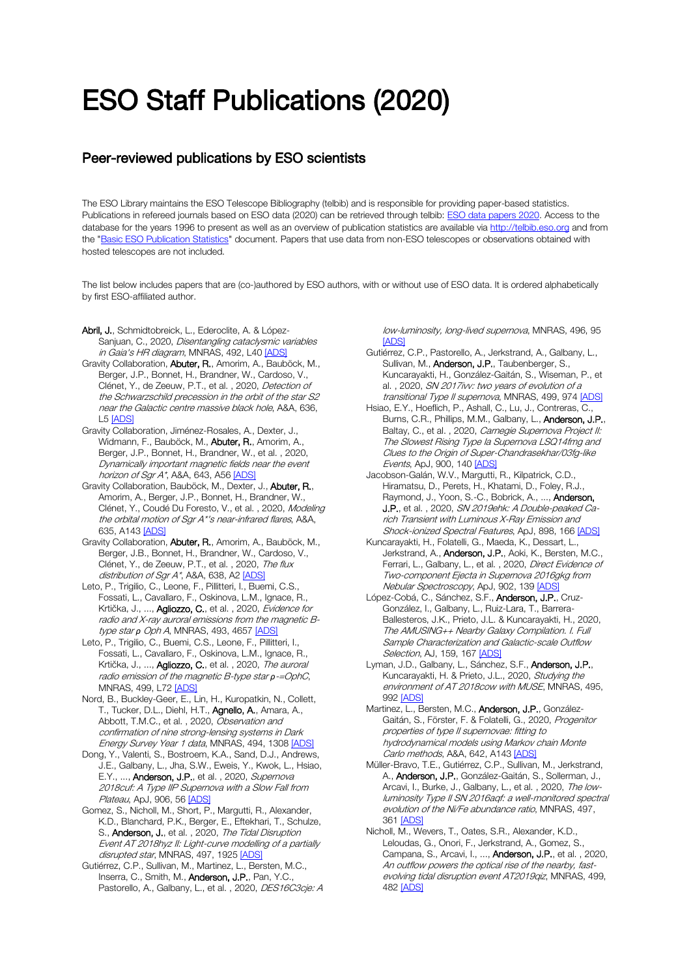## ESO Staff Publications (2020)

## Peer-reviewed publications by ESO scientists

The ESO Library maintains the ESO Telescope Bibliography (telbib) and is responsible for providing paper-based statistics. Publications in refereed journals based on ESO data (2020) can be retrieved through telbib[: ESO data papers 2020.](http://telbib.eso.org/?yearfrom=2020&yearto=2020&published=yes&search=Search) Access to the database for the years 1996 to present as well as an overview of publication statistics are available vi[a http://telbib.eso.org](http://telbib.eso.org/) and from the ["Basic ESO Publication Statistics"](http://www.eso.org/sci/libraries/edocs/ESO/ESOstats.pdf) document. Papers that use data from non-ESO telescopes or observations obtained with hosted telescopes are not included.

The list below includes papers that are (co-)authored by ESO authors, with or without use of ESO data. It is ordered alphabetically by first ESO-affiliated author.

- Abril, J., Schmidtobreick, L., Ederoclite, A. & López-Sanjuan, C., 2020, Disentangling cataclysmic variables in Gaia's HR diagram, MNRAS, 492, L40 [\[ADS\]](https://ui.adsabs.harvard.edu/#abs/2020MNRAS.492L..40A)
- Gravity Collaboration, Abuter, R., Amorim, A., Bauböck, M., Berger, J.P., Bonnet, H., Brandner, W., Cardoso, V., Clénet, Y., de Zeeuw, P.T., et al., 2020, Detection of the Schwarzschild precession in the orbit of the star S2 near the Galactic centre massive black hole, A&A, 636, L5 [\[ADS\]](https://ui.adsabs.harvard.edu/#abs/2020A%26A...636L...5G)
- Gravity Collaboration, Jiménez-Rosales, A., Dexter, J., Widmann, F., Bauböck, M., Abuter, R., Amorim, A., Berger, J.P., Bonnet, H., Brandner, W., et al. , 2020, Dynamically important magnetic fields near the event horizon of Sgr A\*, A&A, 643, A56 [\[ADS\]](https://ui.adsabs.harvard.edu/#abs/2020A%26A...643A..56G)
- Gravity Collaboration, Bauböck, M., Dexter, J., Abuter, R., Amorim, A., Berger, J.P., Bonnet, H., Brandner, W., Clénet, Y., Coudé Du Foresto, V., et al., 2020, Modeling the orbital motion of Sgr A\*'s near-infrared flares, A&A, 635, A14[3 \[ADS\]](https://ui.adsabs.harvard.edu/#abs/2020A%26A...635A.143G)
- Gravity Collaboration, Abuter, R., Amorim, A., Bauböck, M., Berger, J.B., Bonnet, H., Brandner, W., Cardoso, V., Clénet, Y., de Zeeuw, P.T., et al. , 2020, The flux distribution of Sgr A\*, A&A, 638, A[2 \[ADS\]](https://ui.adsabs.harvard.edu/#abs/2020A%26A...638A...2G)
- Leto, P., Trigilio, C., Leone, F., Pillitteri, I., Buemi, C.S., Fossati, L., Cavallaro, F., Oskinova, L.M., Ignace, R., Krtička, J., ..., Agliozzo, C., et al., 2020, Evidence for radio and X-ray auroral emissions from the magnetic Btype star *ρ Oph A*, MNRAS, 493, 4657 [\[ADS\]](https://ui.adsabs.harvard.edu/#abs/2020MNRAS.493.4657L)
- Leto, P., Trigilio, C., Buemi, C.S., Leone, F., Pillitteri, I., Fossati, L., Cavallaro, F., Oskinova, L.M., Ignace, R., Krtička, J., ..., Agliozzo, C., et al., 2020, The auroral radio emission of the magnetic B-type star *ρ*-=OphC, MNRAS, 499, L7[2 \[ADS\]](https://ui.adsabs.harvard.edu/#abs/2020MNRAS.499L..72L)
- Nord, B., Buckley-Geer, E., Lin, H., Kuropatkin, N., Collett, T., Tucker, D.L., Diehl, H.T., **Agnello, A.**, Amara, A., Abbott, T.M.C., et al., 2020, Observation and confirmation of nine strong-lensing systems in Dark Energy Survey Year 1 data, MNRAS, 494, 1308 [\[ADS\]](https://ui.adsabs.harvard.edu/#abs/2020MNRAS.494.1308N)
- Dong, Y., Valenti, S., Bostroem, K.A., Sand, D.J., Andrews, J.E., Galbany, L., Jha, S.W., Eweis, Y., Kwok, L., Hsiao, E.Y., ..., **Anderson, J.P.**, et al., 2020, *Supernova* 2018cuf: A Type IIP Supernova with a Slow Fall from Plateau, ApJ, 906, 56 [\[ADS\]](https://ui.adsabs.harvard.edu/#abs/2020ApJ...906...56D)
- Gomez, S., Nicholl, M., Short, P., Margutti, R., Alexander, K.D., Blanchard, P.K., Berger, E., Eftekhari, T., Schulze, S., Anderson, J., et al., 2020, The Tidal Disruption Event AT 2018hyz II: Light-curve modelling of a partially disrupted star, MNRAS, 497, 1925 [\[ADS\]](https://ui.adsabs.harvard.edu/#abs/2020MNRAS.497.1925G)
- Gutiérrez, C.P., Sullivan, M., Martinez, L., Bersten, M.C., Inserra, C., Smith, M., Anderson, J.P., Pan, Y.C., Pastorello, A., Galbany, L., et al., 2020, DES16C3cje: A

low-luminosity, long-lived supernova, MNRAS, 496, 95 [\[ADS\]](https://ui.adsabs.harvard.edu/#abs/2020MNRAS.496...95G)

- Gutiérrez, C.P., Pastorello, A., Jerkstrand, A., Galbany, L., Sullivan, M., Anderson, J.P., Taubenberger, S., Kuncarayakti, H., González-Gaitán, S., Wiseman, P., et al. , 2020, SN 2017ivv: two years of evolution of a transitional Type II supernova, MNRAS, 499, 97[4 \[ADS\]](https://ui.adsabs.harvard.edu/#abs/2020MNRAS.499..974G)
- Hsiao, E.Y., Hoeflich, P., Ashall, C., Lu, J., Contreras, C., Burns, C.R., Phillips, M.M., Galbany, L., Anderson, J.P., Baltay, C., et al., 2020, Carnegie Supernova Project II: The Slowest Rising Type Ia Supernova LSQ14fmg and Clues to the Origin of Super-Chandrasekhar/03fg-like Events, ApJ, 900, 14[0 \[ADS\]](https://ui.adsabs.harvard.edu/#abs/2020ApJ...900..140H)
- Jacobson-Galán, W.V., Margutti, R., Kilpatrick, C.D., Hiramatsu, D., Perets, H., Khatami, D., Foley, R.J., Raymond, J., Yoon, S.-C., Bobrick, A., ..., Anderson, J.P., et al. , 2020, SN 2019ehk: A Double-peaked Carich Transient with Luminous X-Ray Emission and Shock-ionized Spectral Features, ApJ, 898, 16[6 \[ADS\]](https://ui.adsabs.harvard.edu/#abs/2020ApJ...898..166J)
- Kuncarayakti, H., Folatelli, G., Maeda, K., Dessart, L., Jerkstrand, A., Anderson, J.P., Aoki, K., Bersten, M.C., Ferrari, L., Galbany, L., et al., 2020, Direct Evidence of Two-component Ejecta in Supernova 2016gkg from Nebular Spectroscopy, ApJ, 902, 13[9 \[ADS\]](https://ui.adsabs.harvard.edu/#abs/2020ApJ...902..139K)
- López-Cobá, C., Sánchez, S.F., Anderson, J.P., Cruz-González, I., Galbany, L., Ruiz-Lara, T., Barrera-Ballesteros, J.K., Prieto, J.L. & Kuncarayakti, H., 2020, The AMUSING++ Nearby Galaxy Compilation. I. Full Sample Characterization and Galactic-scale Outflow Selection, AJ, 159, 16[7 \[ADS\]](https://ui.adsabs.harvard.edu/#abs/2020AJ....159..167L)
- Lyman, J.D., Galbany, L., Sánchez, S.F., Anderson, J.P., Kuncarayakti, H. & Prieto, J.L., 2020, Studying the environment of AT 2018cow with MUSE, MNRAS, 495, 99[2 \[ADS\]](https://ui.adsabs.harvard.edu/#abs/2020MNRAS.495..992L)
- Martinez, L., Bersten, M.C., Anderson, J.P., González-Gaitán, S., Förster, F. & Folatelli, G., 2020, Progenitor properties of type II supernovae: fitting to hydrodynamical models using Markov chain Monte Carlo methods, A&A, 642, A143 [\[ADS\]](https://ui.adsabs.harvard.edu/#abs/2020A%26A...642A.143M)
- Müller-Bravo, T.E., Gutiérrez, C.P., Sullivan, M., Jerkstrand, A., Anderson, J.P., González-Gaitán, S., Sollerman, J., Arcavi, I., Burke, J., Galbany, L., et al., 2020, The lowluminosity Type II SN 2016aqf: a well-monitored spectral evolution of the Ni/Fe abundance ratio, MNRAS, 497, 36[1 \[ADS\]](https://ui.adsabs.harvard.edu/#abs/2020MNRAS.497..361M)
- Nicholl, M., Wevers, T., Oates, S.R., Alexander, K.D., Leloudas, G., Onori, F., Jerkstrand, A., Gomez, S., Campana, S., Arcavi, I., ..., Anderson, J.P., et al. , 2020, An outflow powers the optical rise of the nearby, fastevolving tidal disruption event AT2019qiz, MNRAS, 499, 48[2 \[ADS\]](https://ui.adsabs.harvard.edu/#abs/2020MNRAS.499..482N)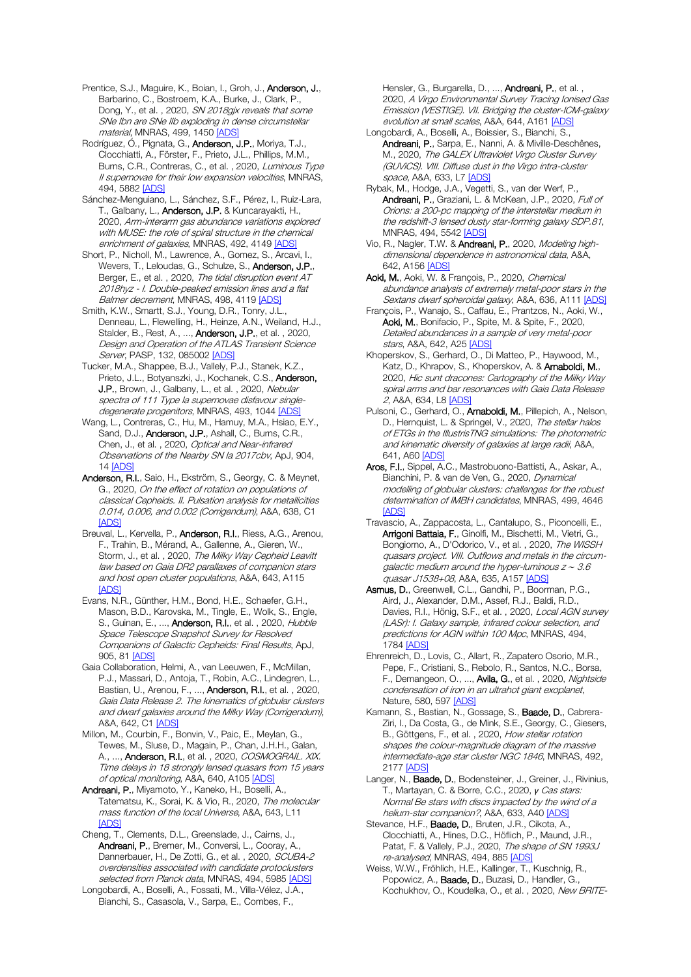Prentice, S.J., Maguire, K., Boian, I., Groh, J., Anderson, J., Barbarino, C., Bostroem, K.A., Burke, J., Clark, P., Dong, Y., et al., 2020, SN 2018gix reveals that some SNe Ibn are SNe IIb exploding in dense circumstellar material, MNRAS, 499, 145[0 \[ADS\]](https://ui.adsabs.harvard.edu/#abs/2020MNRAS.499.1450P)

Rodríguez, Ó., Pignata, G., Anderson, J.P., Moriya, T.J., Clocchiatti, A., Förster, F., Prieto, J.L., Phillips, M.M., Burns, C.R., Contreras, C., et al. , 2020, Luminous Type II supernovae for their low expansion velocities, MNRAS, 494, 5882 [\[ADS\]](https://ui.adsabs.harvard.edu/#abs/2020MNRAS.494.5882R)

Sánchez-Menguiano, L., Sánchez, S.F., Pérez, I., Ruiz-Lara, T., Galbany, L., Anderson, J.P. & Kuncarayakti, H., 2020, Arm-interarm gas abundance variations explored with MUSE: the role of spiral structure in the chemical enrichment of galaxies, MNRAS, 492, 414[9 \[ADS\]](https://ui.adsabs.harvard.edu/#abs/2020MNRAS.492.4149S)

Short, P., Nicholl, M., Lawrence, A., Gomez, S., Arcavi, I., Wevers, T., Leloudas, G., Schulze, S., Anderson, J.P., Berger, E., et al. , 2020, The tidal disruption event AT 2018hyz - I. Double-peaked emission lines and a flat Balmer decrement, MNRAS, 498, 4119 [\[ADS\]](https://ui.adsabs.harvard.edu/#abs/2020MNRAS.498.4119S)

Smith, K.W., Smartt, S.J., Young, D.R., Tonry, J.L., Denneau, L., Flewelling, H., Heinze, A.N., Weiland, H.J., Stalder, B., Rest, A., ..., Anderson, J.P., et al. , 2020, Design and Operation of the ATLAS Transient Science Server, PASP, 132, 085002 [\[ADS\]](https://ui.adsabs.harvard.edu/#abs/2020PASP..132h5002S)

Tucker, M.A., Shappee, B.J., Vallely, P.J., Stanek, K.Z., Prieto, J.L., Botyanszki, J., Kochanek, C.S., Anderson, J.P., Brown, J., Galbany, L., et al., 2020, Nebular spectra of 111 Type la supernovae disfavour single-degenerate progenitors, MNRAS, 493, 104[4 \[ADS\]](https://ui.adsabs.harvard.edu/#abs/2020MNRAS.493.1044T)

Wang, L., Contreras, C., Hu, M., Hamuy, M.A., Hsiao, E.Y., Sand, D.J., Anderson, J.P., Ashall, C., Burns, C.R., Chen, J., et al. , 2020, Optical and Near-infrared Observations of the Nearby SN Ia 2017cbv, ApJ, 904, 14 [\[ADS\]](https://ui.adsabs.harvard.edu/#abs/2020ApJ...904...14W)

Anderson, R.I., Saio, H., Ekström, S., Georgy, C. & Meynet, G., 2020, On the effect of rotation on populations of classical Cepheids. II. Pulsation analysis for metallicities 0.014, 0.006, and 0.002 (Corrigendum), A&A, 638, C1 [\[ADS\]](https://ui.adsabs.harvard.edu/#abs/2020A%26A...638C...1A)

Breuval, L., Kervella, P., Anderson, R.I., Riess, A.G., Arenou, F., Trahin, B., Mérand, A., Gallenne, A., Gieren, W., Storm, J., et al., 2020, The Milky Way Cepheid Leavitt law based on Gaia DR2 parallaxes of companion stars and host open cluster populations, A&A, 643, A115 [\[ADS\]](https://ui.adsabs.harvard.edu/#abs/2020A%26A...643A.115B)

Evans, N.R., Günther, H.M., Bond, H.E., Schaefer, G.H., Mason, B.D., Karovska, M., Tingle, E., Wolk, S., Engle, S., Guinan, E., ..., Anderson, R.I., et al., 2020, Hubble Space Telescope Snapshot Survey for Resolved Companions of Galactic Cepheids: Final Results, ApJ, 905, 81 [\[ADS\]](https://ui.adsabs.harvard.edu/#abs/2020ApJ...905...81E)

Gaia Collaboration, Helmi, A., van Leeuwen, F., McMillan, P.J., Massari, D., Antoja, T., Robin, A.C., Lindegren, L., Bastian, U., Arenou, F., ..., Anderson, R.I., et al. , 2020, Gaia Data Release 2. The kinematics of globular clusters and dwarf galaxies around the Milky Way (Corrigendum), A&A, 642, C[1 \[ADS\]](https://ui.adsabs.harvard.edu/#abs/2020A%26A...642C...1G)

Millon, M., Courbin, F., Bonvin, V., Paic, E., Meylan, G., Tewes, M., Sluse, D., Magain, P., Chan, J.H.H., Galan, A., ..., **Anderson, R.I.**, et al., 2020, *COSMOGRAIL. XIX.* Time delays in 18 strongly lensed quasars from 15 years of optical monitoring, A&A, 640, A10[5 \[ADS\]](https://ui.adsabs.harvard.edu/#abs/2020A%26A...640A.105M)

Andreani, P., Miyamoto, Y., Kaneko, H., Boselli, A., Tatematsu, K., Sorai, K. & Vio, R., 2020, The molecular mass function of the local Universe, A&A, 643, L11 [\[ADS\]](https://ui.adsabs.harvard.edu/#abs/2020A%26A...643L..11A)

Cheng, T., Clements, D.L., Greenslade, J., Cairns, J., Andreani, P., Bremer, M., Conversi, L., Cooray, A., Dannerbauer, H., De Zotti, G., et al. , 2020, SCUBA-2 overdensities associated with candidate protoclusters selected from Planck data, MNRAS, 494, 5985 [\[ADS\]](https://ui.adsabs.harvard.edu/#abs/2020MNRAS.494.5985C)

Longobardi, A., Boselli, A., Fossati, M., Villa-Vélez, J.A., Bianchi, S., Casasola, V., Sarpa, E., Combes, F.,

Hensler, G., Burgarella, D., ..., **Andreani, P.**, et al., 2020, A Virgo Environmental Survey Tracing Ionised Gas Emission (VESTIGE). VII. Bridging the cluster-ICM-galaxy evolution at small scales, A&A, 644, A161 [\[ADS\]](https://ui.adsabs.harvard.edu/#abs/2020A%26A...644A.161L)

Longobardi, A., Boselli, A., Boissier, S., Bianchi, S., Andreani, P., Sarpa, E., Nanni, A. & Miville-Deschênes, M., 2020, The GALEX Ultraviolet Virgo Cluster Survey (GUViCS). VIII. Diffuse dust in the Virgo intra-cluster space, A&A, 633, L[7 \[ADS\]](https://ui.adsabs.harvard.edu/#abs/2020A%26A...633L...7L)

Rybak, M., Hodge, J.A., Vegetti, S., van der Werf, P., Andreani, P., Graziani, L. & McKean, J.P., 2020. Full of Orions: a 200-pc mapping of the interstellar medium in the redshift-3 lensed dusty star-forming galaxy SDP.81, MNRAS, 494, 554[2 \[ADS\]](https://ui.adsabs.harvard.edu/#abs/2020MNRAS.494.5542R)

Vio, R., Nagler, T.W. & Andreani, P., 2020, Modeling highdimensional dependence in astronomical data, A&A, 642, A15[6 \[ADS\]](https://ui.adsabs.harvard.edu/#abs/2020A%26A...642A.156V)

Aoki, M., Aoki, W. & François, P., 2020, Chemical abundance analysis of extremely metal-poor stars in the Sextans dwarf spheroidal galaxy, A&A, 636, A111 [\[ADS\]](https://ui.adsabs.harvard.edu/#abs/2020A%26A...636A.111A)

François, P., Wanajo, S., Caffau, E., Prantzos, N., Aoki, W., Aoki, M., Bonifacio, P., Spite, M. & Spite, F., 2020, Detailed abundances in a sample of very metal-poor stars, A&A, 642, A2[5 \[ADS\]](https://ui.adsabs.harvard.edu/#abs/2020A%26A...642A..25F)

Khoperskov, S., Gerhard, O., Di Matteo, P., Haywood, M., Katz, D., Khrapov, S., Khoperskov, A. & Arnaboldi, M., 2020, Hic sunt dracones: Cartography of the Milky Way spiral arms and bar resonances with Gaia Data Release 2, A&A, 634, L8 [\[ADS\]](https://ui.adsabs.harvard.edu/#abs/2020A%26A...634L...8K)

Pulsoni, C., Gerhard, O., Arnaboldi, M., Pillepich, A., Nelson, D., Hernquist, L. & Springel, V., 2020, The stellar halos of ETGs in the IllustrisTNG simulations: The photometric and kinematic diversity of galaxies at large radii, A&A, 641, A6[0 \[ADS\]](https://ui.adsabs.harvard.edu/#abs/2020A%26A...641A..60P)

Aros, F.I., Sippel, A.C., Mastrobuono-Battisti, A., Askar, A., Bianchini, P. & van de Ven, G., 2020, Dynamical modelling of globular clusters: challenges for the robust determination of IMBH candidates, MNRAS, 499, 4646 [\[ADS\]](https://ui.adsabs.harvard.edu/#abs/2020MNRAS.499.4646A)

Travascio, A., Zappacosta, L., Cantalupo, S., Piconcelli, E., Arrigoni Battaia, F., Ginolfi, M., Bischetti, M., Vietri, G., Bongiorno, A., D'Odorico, V., et al. , 2020, The WISSH quasars project. VIII. Outflows and metals in the circumgalactic medium around the hyper-luminous  $z \sim 3.6$ quasar J1538+08, A&A, 635, A15[7 \[ADS\]](https://ui.adsabs.harvard.edu/#abs/2020A%26A...635A.157T)

Asmus, D., Greenwell, C.L., Gandhi, P., Boorman, P.G., Aird, J., Alexander, D.M., Assef, R.J., Baldi, R.D., Davies, R.I., Hönig, S.F., et al., 2020, Local AGN survey (LASr): I. Galaxy sample, infrared colour selection, and predictions for AGN within 100 Mpc, MNRAS, 494, 1784 [\[ADS\]](https://ui.adsabs.harvard.edu/#abs/2020MNRAS.494.1784A)

Ehrenreich, D., Lovis, C., Allart, R., Zapatero Osorio, M.R., Pepe, F., Cristiani, S., Rebolo, R., Santos, N.C., Borsa, F., Demangeon, O., ..., Avila, G., et al., 2020, Nightside condensation of iron in an ultrahot giant exoplanet, Nature, 580, 59[7 \[ADS\]](https://ui.adsabs.harvard.edu/#abs/2020Natur.580..597E)

Kamann, S., Bastian, N., Gossage, S., Baade, D., Cabrera-Ziri, I., Da Costa, G., de Mink, S.E., Georgy, C., Giesers, B., Göttgens, F., et al. , 2020, How stellar rotation shapes the colour-magnitude diagram of the massive intermediate-age star cluster NGC 1846, MNRAS, 492, 2177 [\[ADS\]](https://ui.adsabs.harvard.edu/#abs/2020MNRAS.492.2177K)

Langer, N., Baade, D., Bodensteiner, J., Greiner, J., Rivinius, T., Martayan, C. & Borre, C.C., 2020, *γ* Cas stars: Normal Be stars with discs impacted by the wind of a helium-star companion?, A&A, 633, A40 [\[ADS\]](https://ui.adsabs.harvard.edu/#abs/2020A%26A...633A..40L)

Stevance, H.F., Baade, D., Bruten, J.R., Cikota, A., Clocchiatti, A., Hines, D.C., Höflich, P., Maund, J.R., Patat, F. & Vallely, P.J., 2020, The shape of SN 1993J re-analysed, MNRAS, 494, 88[5 \[ADS\]](https://ui.adsabs.harvard.edu/#abs/2020MNRAS.494..885S)

Weiss, W.W., Fröhlich, H.E., Kallinger, T., Kuschnig, R., Popowicz, A., Baade, D., Buzasi, D., Handler, G., Kochukhov, O., Koudelka, O., et al. , 2020, New BRITE-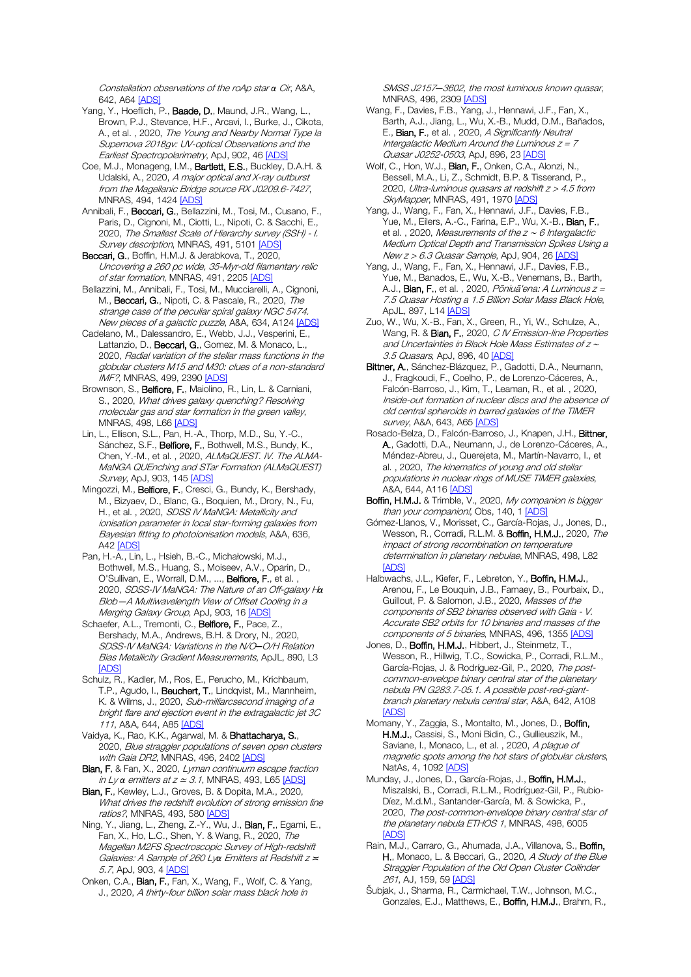Constellation observations of the roAp star *α* Cir, A&A, 642, A64 [\[ADS\]](https://ui.adsabs.harvard.edu/#abs/2020A%26A...642A..64W)

- Yang, Y., Hoeflich, P., Baade, D., Maund, J.R., Wang, L., Brown, P.J., Stevance, H.F., Arcavi, I., Burke, J., Cikota, A., et al., 2020, The Young and Nearby Normal Type la Supernova 2018gv: UV-optical Observations and the Earliest Spectropolarimetry, ApJ, 902, 46 [\[ADS\]](https://ui.adsabs.harvard.edu/#abs/2020ApJ...902...46Y)
- Coe, M.J., Monageng, I.M., Bartlett, E.S., Buckley, D.A.H. & Udalski, A., 2020, A major optical and X-ray outburst from the Magellanic Bridge source RX J0209.6-7427, MNRAS, 494, 1424 [\[ADS\]](https://ui.adsabs.harvard.edu/#abs/2020MNRAS.494.1424C)
- Annibali, F., Beccari, G., Bellazzini, M., Tosi, M., Cusano, F., Paris, D., Cignoni, M., Ciotti, L., Nipoti, C. & Sacchi, E., 2020, The Smallest Scale of Hierarchy survey (SSH) - I. Survey description, MNRAS, 491, 5101 [\[ADS\]](https://ui.adsabs.harvard.edu/#abs/2020MNRAS.491.5101A)
- Beccari, G., Boffin, H.M.J. & Jerabkova, T., 2020, Uncovering a 260 pc wide, 35-Myr-old filamentary relic of star formation, MNRAS, 491, 220[5 \[ADS\]](https://ui.adsabs.harvard.edu/#abs/2020MNRAS.491.2205B)
- Bellazzini, M., Annibali, F., Tosi, M., Mucciarelli, A., Cignoni, M., Beccari, G., Nipoti, C. & Pascale, R., 2020, The strange case of the peculiar spiral galaxy NGC 5474. New pieces of a galactic puzzle, A&A, 634, A12[4 \[ADS\]](https://ui.adsabs.harvard.edu/#abs/2020A%26A...634A.124B)
- Cadelano, M., Dalessandro, E., Webb, J.J., Vesperini, E., Lattanzio, D., Beccari, G., Gomez, M. & Monaco, L., 2020, Radial variation of the stellar mass functions in the globular clusters M15 and M30: clues of a non-standard IMF?, MNRAS, 499, 239[0 \[ADS\]](https://ui.adsabs.harvard.edu/#abs/2020MNRAS.499.2390C)
- Brownson, S., Belfiore, F., Maiolino, R., Lin, L. & Carniani, S., 2020, What drives galaxy quenching? Resolving molecular gas and star formation in the green valley, MNRAS, 498, L6[6 \[ADS\]](https://ui.adsabs.harvard.edu/#abs/2020MNRAS.498L..66B)
- Lin, L., Ellison, S.L., Pan, H.-A., Thorp, M.D., Su, Y.-C., Sánchez, S.F., Belfiore, F., Bothwell, M.S., Bundy, K., Chen, Y.-M., et al., 2020, ALMaQUEST. IV. The ALMA-MaNGA QUEnching and STar Formation (ALMaQUEST) Survey, ApJ, 903, 14[5 \[ADS\]](https://ui.adsabs.harvard.edu/#abs/2020ApJ...903..145L)
- Mingozzi, M., Belfiore, F., Cresci, G., Bundy, K., Bershady, M., Bizyaev, D., Blanc, G., Boquien, M., Drory, N., Fu, H., et al., 2020, SDSS IV MaNGA: Metallicity and ionisation parameter in local star-forming galaxies from Bayesian fitting to photoionisation models, A&A, 636, A42 [\[ADS\]](https://ui.adsabs.harvard.edu/#abs/2020A%26A...636A..42M)
- Pan, H.-A., Lin, L., Hsieh, B.-C., Michałowski, M.J., Bothwell, M.S., Huang, S., Moiseev, A.V., Oparin, D., O'Sullivan, E., Worrall, D.M., ..., Belfiore, F., et al., 2020, SDSS-IV MaNGA: The Nature of an Off-galaxy H*α* Blob—A Multiwavelength View of Offset Cooling in a Merging Galaxy Group, ApJ, 903, 16 [\[ADS\]](https://ui.adsabs.harvard.edu/#abs/2020ApJ...903...16P)
- Schaefer, A.L., Tremonti, C., Belfiore, F., Pace, Z. Bershady, M.A., Andrews, B.H. & Drory, N., 2020, SDSS-IV MaNGA: Variations in the N/O*─*O/H Relation Bias Metallicity Gradient Measurements, ApJL, 890, L3 [\[ADS\]](https://ui.adsabs.harvard.edu/#abs/2020ApJ...890L...3S)
- Schulz, R., Kadler, M., Ros, E., Perucho, M., Krichbaum, T.P., Agudo, I., Beuchert, T., Lindqvist, M., Mannheim, K. & Wilms, J., 2020, Sub-milliarcsecond imaging of a bright flare and ejection event in the extragalactic jet 3C 111, A&A, 644, A85 [\[ADS\]](https://ui.adsabs.harvard.edu/#abs/2020A%26A...644A..85S)
- Vaidya, K., Rao, K.K., Agarwal, M. & Bhattacharya, S., 2020, Blue straggler populations of seven open clusters with Gaia DR2, MNRAS, 496, 2402 [\[ADS\]](https://ui.adsabs.harvard.edu/#abs/2020MNRAS.496.2402V)
- Bian, F. & Fan, X., 2020, Lyman continuum escape fraction in Ly *α* emitters at z <sup>≃</sup> 3.1, MNRAS, 493, L6[5 \[ADS\]](https://ui.adsabs.harvard.edu/#abs/2020MNRAS.493L..65B)
- Bian, F., Kewley, L.J., Groves, B. & Dopita, M.A., 2020, What drives the redshift evolution of strong emission line ratios?, MNRAS, 493, 580 [\[ADS\]](https://ui.adsabs.harvard.edu/#abs/2020MNRAS.493..580B)
- Ning, Y., Jiang, L., Zheng, Z.-Y., Wu, J., Bian, F., Egami, E., Fan, X., Ho, L.C., Shen, Y. & Wang, R., 2020, The Magellan M2FS Spectroscopic Survey of High-redshift Galaxies: A Sample of 260 Ly*α* Emitters at Redshift z <sup>≍</sup> 5.7, ApJ, 903, [4 \[ADS\]](https://ui.adsabs.harvard.edu/#abs/2020ApJ...903....4N)
- Onken, C.A., Bian, F., Fan, X., Wang, F., Wolf, C. & Yang, J., 2020, A thirty-four billion solar mass black hole in

SMSS J2157*─*3602, the most luminous known quasar, MNRAS, 496, 230[9 \[ADS\]](https://ui.adsabs.harvard.edu/#abs/2020MNRAS.496.2309O)

- Wang, F., Davies, F.B., Yang, J., Hennawi, J.F., Fan, X., Barth, A.J., Jiang, L., Wu, X.-B., Mudd, D.M., Bañados, E., Bian, F., et al., 2020, A Significantly Neutral Intergalactic Medium Around the Luminous  $z = 7$ Quasar J0252-0503, ApJ, 896, 23 [\[ADS\]](https://ui.adsabs.harvard.edu/#abs/2020ApJ...896...23W)
- Wolf, C., Hon, W.J., **Bian, F.**, Onken, C.A., Alonzi, N. Bessell, M.A., Li, Z., Schmidt, B.P. & Tisserand, P., 2020, Ultra-luminous quasars at redshift  $z > 4.5$  from SkvMapper, MNRAS, 491, 197[0 \[ADS\]](https://ui.adsabs.harvard.edu/#abs/2020MNRAS.491.1970W)
- Yang, J., Wang, F., Fan, X., Hennawi, J.F., Davies, F.B., Yue, M., Eilers, A.-C., Farina, E.P., Wu, X.-B., Bian, F., et al., 2020, Measurements of the z ~ 6 Intergalactic Medium Optical Depth and Transmission Spikes Using a New z > 6.3 Quasar Sample, ApJ, 904, 2[6 \[ADS\]](https://ui.adsabs.harvard.edu/#abs/2020ApJ...904...26Y)
- Yang, J., Wang, F., Fan, X., Hennawi, J.F., Davies, F.B., Yue, M., Banados, E., Wu, X.-B., Venemans, B., Barth, A.J., **Bian, F.**, et al., 2020, Poniua'ena: A Luminous  $z =$ 7.5 Quasar Hosting a 1.5 Billion Solar Mass Black Hole, ApJL, 897, L1[4 \[ADS\]](https://ui.adsabs.harvard.edu/#abs/2020ApJ...897L..14Y)
- Zuo, W., Wu, X.-B., Fan, X., Green, R., Yi, W., Schulze, A., Wang, R. & Bian, F., 2020, C IV Emission-line Properties and Uncertainties in Black Hole Mass Estimates of z <sup>∼</sup> 3.5 Quasars, ApJ, 896, 4[0 \[ADS\]](https://ui.adsabs.harvard.edu/#abs/2020ApJ...896...40Z)
- Bittner, A., Sánchez-Blázquez, P., Gadotti, D.A., Neumann, J., Fragkoudi, F., Coelho, P., de Lorenzo-Cáceres, A., Falcón-Barroso, J., Kim, T., Leaman, R., et al. , 2020, Inside-out formation of nuclear discs and the absence of old central spheroids in barred galaxies of the TIMER survey, A&A, 643, A65 [\[ADS\]](https://ui.adsabs.harvard.edu/#abs/2020A%26A...643A..65B)
- Rosado-Belza, D., Falcón-Barroso, J., Knapen, J.H., Bittner, A., Gadotti, D.A., Neumann, J., de Lorenzo-Cáceres, A., Méndez-Abreu, J., Querejeta, M., Martín-Navarro, I., et al. , 2020, The kinematics of young and old stellar populations in nuclear rings of MUSE TIMER galaxies, A&A, 644, A11[6 \[ADS\]](https://ui.adsabs.harvard.edu/#abs/2020A%26A...644A.116R)
- Boffin, H.M.J. & Trimble, V., 2020, My companion is bigger than your companion!, Obs, 140, [1 \[ADS\]](https://ui.adsabs.harvard.edu/#abs/2020Obs...140....1B)
- Gómez-Llanos, V., Morisset, C., García-Rojas, J., Jones, D., Wesson, R., Corradi, R.L.M. & Boffin, H.M.J., 2020, The impact of strong recombination on temperature determination in planetary nebulae, MNRAS, 498, L82 [\[ADS\]](https://ui.adsabs.harvard.edu/#abs/2020MNRAS.498L..82G)
- Halbwachs, J.L., Kiefer, F., Lebreton, Y., Boffin, H.M.J., Arenou, F., Le Bouquin, J.B., Famaey, B., Pourbaix, D., Guillout, P. & Salomon, J.B., 2020, Masses of the components of SB2 binaries observed with Gaia - V. Accurate SB2 orbits for 10 binaries and masses of the components of 5 binaries, MNRAS, 496, 135[5 \[ADS\]](https://ui.adsabs.harvard.edu/#abs/2020MNRAS.496.1355H)
- Jones, D., Boffin, H.M.J., Hibbert, J., Steinmetz, T., Wesson, R., Hillwig, T.C., Sowicka, P., Corradi, R.L.M., García-Rojas, J. & Rodríguez-Gil, P., 2020, The postcommon-envelope binary central star of the planetary nebula PN G283.7-05.1. A possible post-red-giantbranch planetary nebula central star, A&A, 642, A108 [\[ADS\]](https://ui.adsabs.harvard.edu/#abs/2020A%26A...642A.108J)
- Momany, Y., Zaggia, S., Montalto, M., Jones, D., Boffin, H.M.J., Cassisi, S., Moni Bidin, C., Gullieuszik, M., Saviane, I., Monaco, L., et al., 2020, A plague of magnetic spots among the hot stars of globular clusters, NatAs, 4, 109[2 \[ADS\]](https://ui.adsabs.harvard.edu/#abs/2020NatAs...4.1092M)
- Munday, J., Jones, D., García-Rojas, J., Boffin, H.M.J., Miszalski, B., Corradi, R.L.M., Rodríguez-Gil, P., Rubio-Díez, M.d.M., Santander-García, M. & Sowicka, P., 2020, The post-common-envelope binary central star of the planetary nebula ETHOS 1, MNRAS, 498, 6005 [\[ADS\]](https://ui.adsabs.harvard.edu/#abs/2020MNRAS.498.6005M)
- Rain, M.J., Carraro, G., Ahumada, J.A., Villanova, S., Boffin, H., Monaco, L. & Beccari, G., 2020, A Study of the Blue Straggler Population of the Old Open Cluster Collinder 261, AJ, 159, 59 [\[ADS\]](https://ui.adsabs.harvard.edu/#abs/2020AJ....159...59R)
- Šubjak, J., Sharma, R., Carmichael, T.W., Johnson, M.C., Gonzales, E.J., Matthews, E., Boffin, H.M.J., Brahm, R.,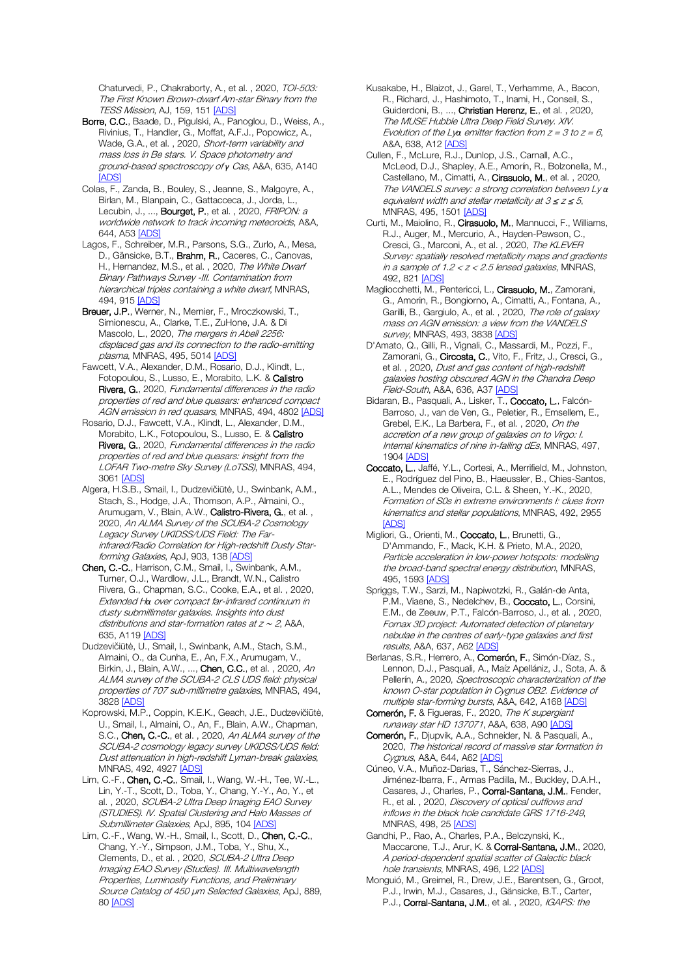Chaturvedi, P., Chakraborty, A., et al., 2020, TOI-503: The First Known Brown-dwarf Am-star Binary from the TESS Mission, AJ, 159, 151 [\[ADS\]](https://ui.adsabs.harvard.edu/#abs/2020AJ....159..151S)

Borre, C.C., Baade, D., Pigulski, A., Panoglou, D., Weiss, A., Rivinius, T., Handler, G., Moffat, A.F.J., Popowicz, A., Wade, G.A., et al., 2020, Short-term variability and mass loss in Be stars. V. Space photometry and ground-based spectroscopy of *γ* Cas, A&A, 635, A140 [\[ADS\]](https://ui.adsabs.harvard.edu/#abs/2020A%26A...635A.140B)

Colas, F., Zanda, B., Bouley, S., Jeanne, S., Malgoyre, A., Birlan, M., Blanpain, C., Gattacceca, J., Jorda, L., Lecubin, J., ..., **Bourget, P.**, et al., 2020, FRIPON: a worldwide network to track incoming meteoroids, A&A, 644, A53 [\[ADS\]](https://ui.adsabs.harvard.edu/#abs/2020A%26A...644A..53C)

Lagos, F., Schreiber, M.R., Parsons, S.G., Zurlo, A., Mesa, D., Gänsicke, B.T., Brahm, R., Caceres, C., Canovas, H., Hernandez, M.S., et al., 2020, The White Dwarf Binary Pathways Survey -III. Contamination from hierarchical triples containing a white dwarf, MNRAS, 494, 91[5 \[ADS\]](https://ui.adsabs.harvard.edu/#abs/2020MNRAS.494..915L)

Breuer, J.P., Werner, N., Mernier, F., Mroczkowski, T., Simionescu, A., Clarke, T.E., ZuHone, J.A. & Di Mascolo, L., 2020, The mergers in Abell 2256: displaced gas and its connection to the radio-emitting plasma, MNRAS, 495, 501[4 \[ADS\]](https://ui.adsabs.harvard.edu/#abs/2020MNRAS.495.5014B)

Fawcett, V.A., Alexander, D.M., Rosario, D.J., Klindt, L., Fotopoulou, S., Lusso, E., Morabito, L.K. & Calistro Rivera, G., 2020, Fundamental differences in the radio properties of red and blue quasars: enhanced compact AGN emission in red quasars, MNRAS, 494, 480[2 \[ADS\]](https://ui.adsabs.harvard.edu/#abs/2020MNRAS.494.4802F)

Rosario, D.J., Fawcett, V.A., Klindt, L., Alexander, D.M., Morabito, L.K., Fotopoulou, S., Lusso, E. & Calistro Rivera, G., 2020, Fundamental differences in the radio properties of red and blue quasars: insight from the LOFAR Two-metre Sky Survey (LoTSS), MNRAS, 494, 3061 [\[ADS\]](https://ui.adsabs.harvard.edu/#abs/2020MNRAS.494.3061R)

Algera, H.S.B., Smail, I., Dudzevičiūtė, U., Swinbank, A.M., Stach, S., Hodge, J.A., Thomson, A.P., Almaini, O., Arumugam, V., Blain, A.W., Calistro-Rivera, G., et al., 2020, An ALMA Survey of the SCUBA-2 Cosmology Legacy Survey UKIDSS/UDS Field: The Farinfrared/Radio Correlation for High-redshift Dusty Star-forming Galaxies, ApJ, 903, 138 [\[ADS\]](https://ui.adsabs.harvard.edu/#abs/2020ApJ...903..138A)

Chen, C.-C., Harrison, C.M., Smail, I., Swinbank, A.M., Turner, O.J., Wardlow, J.L., Brandt, W.N., Calistro Rivera, G., Chapman, S.C., Cooke, E.A., et al. , 2020, Extended H*α* over compact far-infrared continuum in dusty submillimeter galaxies. Insights into dust distributions and star-formation rates at z <sup>∼</sup> 2, A&A, 635, A11[9 \[ADS\]](https://ui.adsabs.harvard.edu/#abs/2020A%26A...635A.119C)

Dudzevičiūtė, U., Smail, I., Swinbank, A.M., Stach, S.M., Almaini, O., da Cunha, E., An, F.X., Arumugam, V., Birkin, J., Blain, A.W., ..., Chen, C.C., et al. , 2020, An ALMA survey of the SCUBA-2 CLS UDS field: physical properties of 707 sub-millimetre galaxies, MNRAS, 494, 3828 [\[ADS\]](https://ui.adsabs.harvard.edu/#abs/2020MNRAS.494.3828D)

Koprowski, M.P., Coppin, K.E.K., Geach, J.E., Dudzevičiūtė, U., Smail, I., Almaini, O., An, F., Blain, A.W., Chapman, S.C., Chen, C.-C., et al., 2020, An ALMA survey of the SCUBA-2 cosmology legacy survey UKIDSS/UDS field: Dust attenuation in high-redshift Lyman-break galaxies, MNRAS, 492, 4927 [\[ADS\]](https://ui.adsabs.harvard.edu/#abs/2020MNRAS.492.4927K)

Lim, C.-F., Chen, C.-C., Smail, I., Wang, W.-H., Tee, W.-L., Lin, Y.-T., Scott, D., Toba, Y., Chang, Y.-Y., Ao, Y., et al., 2020, SCUBA-2 Ultra Deep Imaging EAO Survey (STUDIES). IV. Spatial Clustering and Halo Masses of Submillimeter Galaxies, ApJ, 895, 10[4 \[ADS\]](https://ui.adsabs.harvard.edu/#abs/2020ApJ...895..104L)

Lim, C.-F., Wang, W.-H., Smail, I., Scott, D., Chen, C.-C., Chang, Y.-Y., Simpson, J.M., Toba, Y., Shu, X., Clements, D., et al., 2020, SCUBA-2 Ultra Deep Imaging EAO Survey (Studies). III. Multiwavelength Properties, Luminosity Functions, and Preliminary Source Catalog of 450 μm Selected Galaxies, ApJ, 889, 80 [\[ADS\]](https://ui.adsabs.harvard.edu/#abs/2020ApJ...889...80L)

Kusakabe, H., Blaizot, J., Garel, T., Verhamme, A., Bacon, R., Richard, J., Hashimoto, T., Inami, H., Conseil, S., Guiderdoni, B., ..., Christian Herenz, E., et al. , 2020, The MUSE Hubble Ultra Deep Field Survey. XIV. Evolution of the Ly $\alpha$  emitter fraction from  $z = 3$  to  $z = 6$ , A&A, 638, A1[2 \[ADS\]](https://ui.adsabs.harvard.edu/#abs/2020A%26A...638A..12K)

Cullen, F., McLure, R.J., Dunlop, J.S., Carnall, A.C., McLeod, D.J., Shapley, A.E., Amorín, R., Bolzonella, M., Castellano, M., Cimatti, A., Cirasuolo, M., et al. , 2020, The VANDELS survey: a strong correlation between Ly *α* equivalent width and stellar metallicity at  $3 \le z \le 5$ , MNRAS, 495, 150[1 \[ADS\]](https://ui.adsabs.harvard.edu/#abs/2020MNRAS.495.1501C)

Curti, M., Maiolino, R., Cirasuolo, M., Mannucci, F., Williams, R.J., Auger, M., Mercurio, A., Hayden-Pawson, C., Cresci, G., Marconi, A., et al., 2020, The KLEVER Survey: spatially resolved metallicity maps and gradients in a sample of  $1.2 < z < 2.5$  lensed galaxies, MNRAS, 492, 821 [\[ADS\]](https://ui.adsabs.harvard.edu/#abs/2020MNRAS.492..821C)

Magliocchetti, M., Pentericci, L., Cirasuolo, M., Zamorani, G., Amorin, R., Bongiorno, A., Cimatti, A., Fontana, A., Garilli, B., Gargiulo, A., et al., 2020, The role of galaxy mass on AGN emission: a view from the VANDELS survey, MNRAS, 493, 383[8 \[ADS\]](https://ui.adsabs.harvard.edu/#abs/2020MNRAS.493.3838M)

D'Amato, Q., Gilli, R., Vignali, C., Massardi, M., Pozzi, F., Zamorani, G., Circosta, C., Vito, F., Fritz, J., Cresci, G., et al. , 2020, Dust and gas content of high-redshift galaxies hosting obscured AGN in the Chandra Deep Field-South, A&A, 636, A37 [\[ADS\]](https://ui.adsabs.harvard.edu/#abs/2020A%26A...636A..37D)

Bidaran, B., Pasquali, A., Lisker, T., Coccato, L., Falcón-Barroso, J., van de Ven, G., Peletier, R., Emsellem, E., Grebel, E.K., La Barbera, F., et al. , 2020, On the accretion of a new group of galaxies on to Virgo: I. Internal kinematics of nine in-falling dEs, MNRAS, 497, 1904 [\[ADS\]](https://ui.adsabs.harvard.edu/#abs/2020MNRAS.497.1904B)

Coccato, L., Jaffé, Y.L., Cortesi, A., Merrifield, M., Johnston, E., Rodríguez del Pino, B., Haeussler, B., Chies-Santos, A.L., Mendes de Oliveira, C.L. & Sheen, Y.-K., 2020, Formation of S0s in extreme environments I: clues from kinematics and stellar populations, MNRAS, 492, 2955 [\[ADS\]](https://ui.adsabs.harvard.edu/#abs/2020MNRAS.492.2955C)

Migliori, G., Orienti, M., Coccato, L., Brunetti, G., D'Ammando, F., Mack, K.H. & Prieto, M.A., 2020, Particle acceleration in low-power hotspots: modelling the broad-band spectral energy distribution, MNRAS, 495, 159[3 \[ADS\]](https://ui.adsabs.harvard.edu/#abs/2020MNRAS.495.1593M)

Spriggs, T.W., Sarzi, M., Napiwotzki, R., Galán-de Anta, P.M., Viaene, S., Nedelchev, B., Coccato, L., Corsini, E.M., de Zeeuw, P.T., Falcón-Barroso, J., et al. , 2020, Fornax 3D project: Automated detection of planetary nebulae in the centres of early-type galaxies and first results, A&A, 637, A6[2 \[ADS\]](https://ui.adsabs.harvard.edu/#abs/2020A%26A...637A..62S)

Berlanas, S.R., Herrero, A., Comerón, F., Simón-Díaz, S., Lennon, D.J., Pasquali, A., Maíz Apellániz, J., Sota, A. & Pellerín, A., 2020, Spectroscopic characterization of the known O-star population in Cygnus OB2. Evidence of multiple star-forming bursts, A&A, 642, A16[8 \[ADS\]](https://ui.adsabs.harvard.edu/#abs/2020A%26A...642A.168B)

Comerón, F. & Figueras, F., 2020, The K supergiant runaway star HD 137071, A&A, 638, A90 [\[ADS\]](https://ui.adsabs.harvard.edu/#abs/2020A%26A...638A..90C)

Comerón, F., Djupvik, A.A., Schneider, N. & Pasquali, A., 2020, The historical record of massive star formation in Cygnus, A&A, 644, A62 [\[ADS\]](https://ui.adsabs.harvard.edu/#abs/2020A%26A...644A..62C)

Cúneo, V.A., Muñoz-Darias, T., Sánchez-Sierras, J., Jiménez-Ibarra, F., Armas Padilla, M., Buckley, D.A.H., Casares, J., Charles, P., Corral-Santana, J.M., Fender, R., et al. , 2020, Discovery of optical outflows and inflows in the black hole candidate GRS 1716-249, MNRAS, 498, 25 [\[ADS\]](https://ui.adsabs.harvard.edu/#abs/2020MNRAS.498...25C)

Gandhi, P., Rao, A., Charles, P.A., Belczynski, K., Maccarone, T.J., Arur, K. & Corral-Santana, J.M., 2020, A period-dependent spatial scatter of Galactic black hole transients, MNRAS, 496, L2[2 \[ADS\]](https://ui.adsabs.harvard.edu/#abs/2020MNRAS.496L..22G)

Monguió, M., Greimel, R., Drew, J.E., Barentsen, G., Groot, P.J., Irwin, M.J., Casares, J., Gänsicke, B.T., Carter, P.J., Corral-Santana, J.M., et al., 2020, IGAPS: the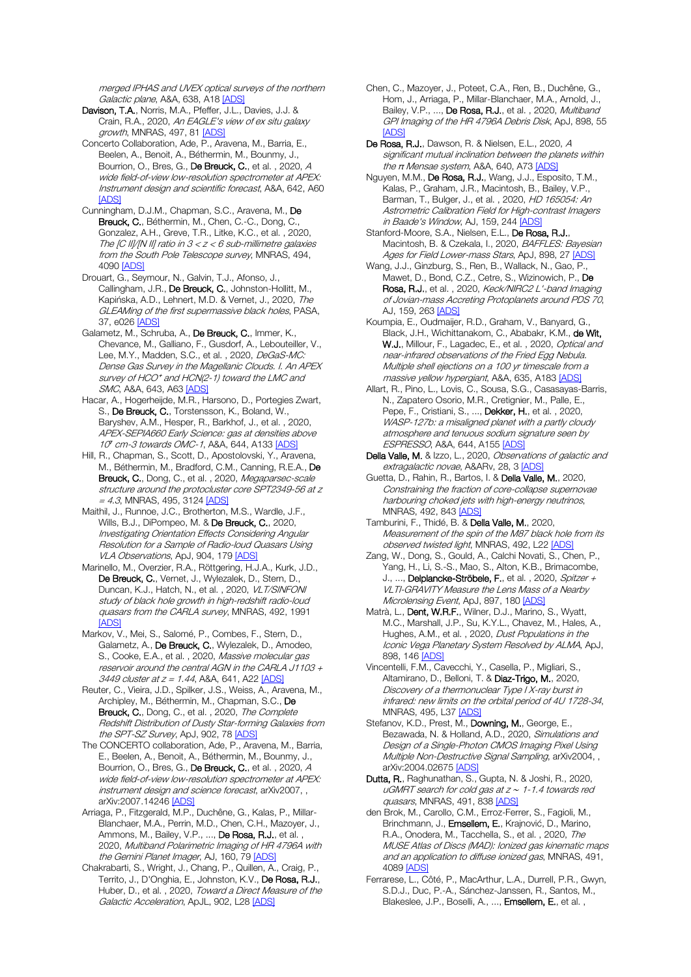merged IPHAS and UVEX optical surveys of the northern Galactic plane, A&A, 638, A1[8 \[ADS\]](https://ui.adsabs.harvard.edu/#abs/2020A%26A...638A..18M)

Davison, T.A., Norris, M.A., Pfeffer, J.L., Davies, J.J. & Crain, R.A., 2020, An EAGLE's view of ex situ galaxy growth, MNRAS, 497, 8[1 \[ADS\]](https://ui.adsabs.harvard.edu/#abs/2020MNRAS.497...81D)

Concerto Collaboration, Ade, P., Aravena, M., Barria, E., Beelen, A., Benoit, A., Béthermin, M., Bounmy, J., Bourrion, O., Bres, G., De Breuck, C., et al. , 2020, A wide field-of-view low-resolution spectrometer at APEX: Instrument design and scientific forecast, A&A, 642, A60 [\[ADS\]](https://ui.adsabs.harvard.edu/#abs/2020A%26A...642A..60C)

Cunningham, D.J.M., Chapman, S.C., Aravena, M., De Breuck, C., Béthermin, M., Chen, C.-C., Dong, C., Gonzalez, A.H., Greve, T.R., Litke, K.C., et al. , 2020, The [C II]/[N II] ratio in  $3 < z < 6$  sub-millimetre galaxies from the South Pole Telescope survey, MNRAS, 494, 4090 [\[ADS\]](https://ui.adsabs.harvard.edu/#abs/2020MNRAS.494.4090C)

Drouart, G., Seymour, N., Galvin, T.J., Afonso, J., Callingham, J.R., De Breuck, C., Johnston-Hollitt, M., Kapińska, A.D., Lehnert, M.D. & Vernet, J., 2020, The GLEAMing of the first supermassive black holes, PASA, 37, e026 [\[ADS\]](https://ui.adsabs.harvard.edu/#abs/2020PASA...37...26D)

Galametz, M., Schruba, A., De Breuck, C., Immer, K., Chevance, M., Galliano, F., Gusdorf, A., Lebouteiller, V., Lee, M.Y., Madden, S.C., et al., 2020, DeGaS-MC. Dense Gas Survey in the Magellanic Clouds. I. An APEX survey of HCO<sup>+</sup> and HCN(2-1) toward the LMC and SMC, A&A, 643, A6[3 \[ADS\]](https://ui.adsabs.harvard.edu/#abs/2020A%26A...643A..63G)

Hacar, A., Hogerheijde, M.R., Harsono, D., Portegies Zwart, S., De Breuck, C., Torstensson, K., Boland, W., Baryshev, A.M., Hesper, R., Barkhof, J., et al. , 2020, APEX-SEPIA660 Early Science: gas at densities above <sup>10</sup>*⁷* cm-3 towards OMC-1, A&A, 644, A13[3 \[ADS\]](https://ui.adsabs.harvard.edu/#abs/2020A%26A...644A.133H)

Hill, R., Chapman, S., Scott, D., Apostolovski, Y., Aravena, M., Béthermin, M., Bradford, C.M., Canning, R.E.A., De Breuck, C., Dong, C., et al., 2020, Megaparsec-scale structure around the protocluster core SPT2349-56 at z  $= 4.3$ , MNRAS, 495, 3124  $[ADS]$ 

Maithil, J., Runnoe, J.C., Brotherton, M.S., Wardle, J.F., Wills, B.J., DiPompeo, M. & De Breuck, C., 2020, Investigating Orientation Effects Considering Angular Resolution for a Sample of Radio-loud Quasars Using VLA Observations, ApJ, 904, 17[9 \[ADS\]](https://ui.adsabs.harvard.edu/#abs/2020ApJ...904..179M)

Marinello, M., Overzier, R.A., Röttgering, H.J.A., Kurk, J.D., De Breuck, C., Vernet, J., Wylezalek, D., Stern, D. Duncan, K.J., Hatch, N., et al. , 2020, VLT/SINFONI study of black hole growth in high-redshift radio-loud quasars from the CARLA survey, MNRAS, 492, 1991 [\[ADS\]](https://ui.adsabs.harvard.edu/#abs/2020MNRAS.492.1991M)

Markov, V., Mei, S., Salomé, P., Combes, F., Stern, D., Galametz, A., De Breuck, C., Wylezalek, D., Amodeo, S., Cooke, E.A., et al., 2020, Massive molecular gas reservoir around the central AGN in the CARLA J1103 + 3449 cluster at z = 1.44, A&A, 641, A22 [\[ADS\]](https://ui.adsabs.harvard.edu/#abs/2020A%26A...641A..22M)

Reuter, C., Vieira, J.D., Spilker, J.S., Weiss, A., Aravena, M., Archipley, M., Béthermin, M., Chapman, S.C., De Breuck, C., Dong, C., et al., 2020, The Complete Redshift Distribution of Dusty Star-forming Galaxies from the SPT-SZ Survey, ApJ, 902, 7[8 \[ADS\]](https://ui.adsabs.harvard.edu/#abs/2020ApJ...902...78R)

The CONCERTO collaboration, Ade, P., Aravena, M., Barria, E., Beelen, A., Benoit, A., Béthermin, M., Bounmy, J., Bourrion, O., Bres, G., De Breuck, C., et al., 2020, A wide field-of-view low-resolution spectrometer at APEX: instrument design and science forecast, arXiv2007, , arXiv:2007.14246 [\[ADS\]](https://ui.adsabs.harvard.edu/#abs/2020arXiv200714246T)

Arriaga, P., Fitzgerald, M.P., Duchêne, G., Kalas, P., Millar-Blanchaer, M.A., Perrin, M.D., Chen, C.H., Mazoyer, J., Ammons, M., Bailey, V.P., ..., De Rosa, R.J., et al. 2020, Multiband Polarimetric Imaging of HR 4796A with the Gemini Planet Imager, AJ, 160, 7[9 \[ADS\]](https://ui.adsabs.harvard.edu/#abs/2020AJ....160...79A)

Chakrabarti, S., Wright, J., Chang, P., Quillen, A., Craig, P., Territo, J., D'Onghia, E., Johnston, K.V., De Rosa, R.J., Huber, D., et al., 2020, Toward a Direct Measure of the Galactic Acceleration, ApJL, 902, L2[8 \[ADS\]](https://ui.adsabs.harvard.edu/#abs/2020ApJ...902L..28C)

Chen, C., Mazoyer, J., Poteet, C.A., Ren, B., Duchêne, G., Hom, J., Arriaga, P., Millar-Blanchaer, M.A., Arnold, J., Bailey, V.P., ..., De Rosa, R.J., et al., 2020, Multiband GPI Imaging of the HR 4796A Debris Disk, ApJ, 898, 55 [\[ADS\]](https://ui.adsabs.harvard.edu/#abs/2020ApJ...898...55C)

De Rosa, R.J., Dawson, R. & Nielsen, E.L., 2020, A significant mutual inclination between the planets within the π Mensae system, A&A, 640, A7[3 \[ADS\]](https://ui.adsabs.harvard.edu/#abs/2020A%26A...640A..73D)

Nguyen, M.M., De Rosa, R.J., Wang, J.J., Esposito, T.M., Kalas, P., Graham, J.R., Macintosh, B., Bailey, V.P., Barman, T., Bulger, J., et al. , 2020, HD 165054: An Astrometric Calibration Field for High-contrast Imagers in Baade's Window, AJ, 159, 24[4 \[ADS\]](https://ui.adsabs.harvard.edu/#abs/2020AJ....159..244N)

Stanford-Moore, S.A., Nielsen, E.L., De Rosa, R.J. Macintosh, B. & Czekala, I., 2020, BAFFLES: Bayesian Ages for Field Lower-mass Stars, ApJ, 898, 2[7 \[ADS\]](https://ui.adsabs.harvard.edu/#abs/2020ApJ...898...27S)

Wang, J.J., Ginzburg, S., Ren, B., Wallack, N., Gao, P., Mawet, D., Bond, C.Z., Cetre, S., Wizinowich, P., De Rosa, R.J., et al., 2020, Keck/NIRC2 L'-band Imaging of Jovian-mass Accreting Protoplanets around PDS 70, AJ, 159, 26[3 \[ADS\]](https://ui.adsabs.harvard.edu/#abs/2020AJ....159..263W)

Koumpia, E., Oudmaijer, R.D., Graham, V., Banyard, G., Black, J.H., Wichittanakom, C., Ababakr, K.M., de Wit, W.J., Millour, F., Lagadec, E., et al., 2020, Optical and near-infrared observations of the Fried Egg Nebula. Multiple shell ejections on a 100 yr timescale from a massive yellow hypergiant, A&A, 635, A18[3 \[ADS\]](https://ui.adsabs.harvard.edu/#abs/2020A%26A...635A.183K)

Allart, R., Pino, L., Lovis, C., Sousa, S.G., Casasayas-Barris, N., Zapatero Osorio, M.R., Cretignier, M., Palle, E., Pepe, F., Cristiani, S., ..., Dekker, H., et al. , 2020, WASP-127b: a misaligned planet with a partly cloudy atmosphere and tenuous sodium signature seen by ESPRESSO, A&A, 644, A155 [\[ADS\]](https://ui.adsabs.harvard.edu/#abs/2020A%26A...644A.155A)

Della Valle, M. & Izzo, L., 2020, Observations of galactic and extragalactic novae, A&ARv, 28, [3 \[ADS\]](https://ui.adsabs.harvard.edu/#abs/2020A%26ARv..28....3D)

Guetta, D., Rahin, R., Bartos, I. & Della Valle, M., 2020, Constraining the fraction of core-collapse supernovae harbouring choked jets with high-energy neutrinos, MNRAS, 492, 84[3 \[ADS\]](https://ui.adsabs.harvard.edu/#abs/2020MNRAS.492..843G)

Tamburini, F., Thidé, B. & Della Valle, M., 2020, Measurement of the spin of the M87 black hole from its observed twisted light, MNRAS, 492, L22 [\[ADS\]](https://ui.adsabs.harvard.edu/#abs/2020MNRAS.492L..22T)

Zang, W., Dong, S., Gould, A., Calchi Novati, S., Chen, P., Yang, H., Li, S.-S., Mao, S., Alton, K.B., Brimacombe, J., ..., Delplancke-Ströbele, F., et al., 2020, Spitzer + VLTI-GRAVITY Measure the Lens Mass of a Nearby Microlensing Event, ApJ, 897, 18[0 \[ADS\]](https://ui.adsabs.harvard.edu/#abs/2020ApJ...897..180Z)

Matrà, L., Dent, W.R.F., Wilner, D.J., Marino, S., Wyatt, M.C., Marshall, J.P., Su, K.Y.L., Chavez, M., Hales, A., Hughes, A.M., et al., 2020, Dust Populations in the Iconic Vega Planetary System Resolved by ALMA, ApJ, 898, 146 [\[ADS\]](https://ui.adsabs.harvard.edu/#abs/2020ApJ...898..146M)

Vincentelli, F.M., Cavecchi, Y., Casella, P., Migliari, S., Altamirano, D., Belloni, T. & Diaz-Trigo, M., 2020, Discovery of a thermonuclear Type I X-ray burst in infrared: new limits on the orbital period of 4U 1728-34, MNRAS, 495, L3[7 \[ADS\]](https://ui.adsabs.harvard.edu/#abs/2020MNRAS.495L..37V)

Stefanov, K.D., Prest, M., Downing, M., George, E., Bezawada, N. & Holland, A.D., 2020, Simulations and Design of a Single-Photon CMOS Imaging Pixel Using Multiple Non-Destructive Signal Sampling, arXiv2004, , arXiv:2004.02675 [\[ADS\]](https://ui.adsabs.harvard.edu/#abs/2020arXiv200402675S)

Dutta, R., Raghunathan, S., Gupta, N. & Joshi, R., 2020, uGMRT search for cold gas at z <sup>∼</sup> 1-1.4 towards red quasars, MNRAS, 491, 83[8 \[ADS\]](https://ui.adsabs.harvard.edu/#abs/2020MNRAS.491..838D)

den Brok, M., Carollo, C.M., Erroz-Ferrer, S., Fagioli, M., Brinchmann, J., Emsellem, E., Krajnović, D., Marino, R.A., Onodera, M., Tacchella, S., et al. , 2020, The MUSE Atlas of Discs (MAD): Ionized gas kinematic maps and an application to diffuse ionized gas, MNRAS, 491, 4089 [\[ADS\]](https://ui.adsabs.harvard.edu/#abs/2020MNRAS.491.4089D)

Ferrarese, L., Côté, P., MacArthur, L.A., Durrell, P.R., Gwyn, S.D.J., Duc, P.-A., Sánchez-Janssen, R., Santos, M., Blakeslee, J.P., Boselli, A., ..., Emsellem, E., et al. ,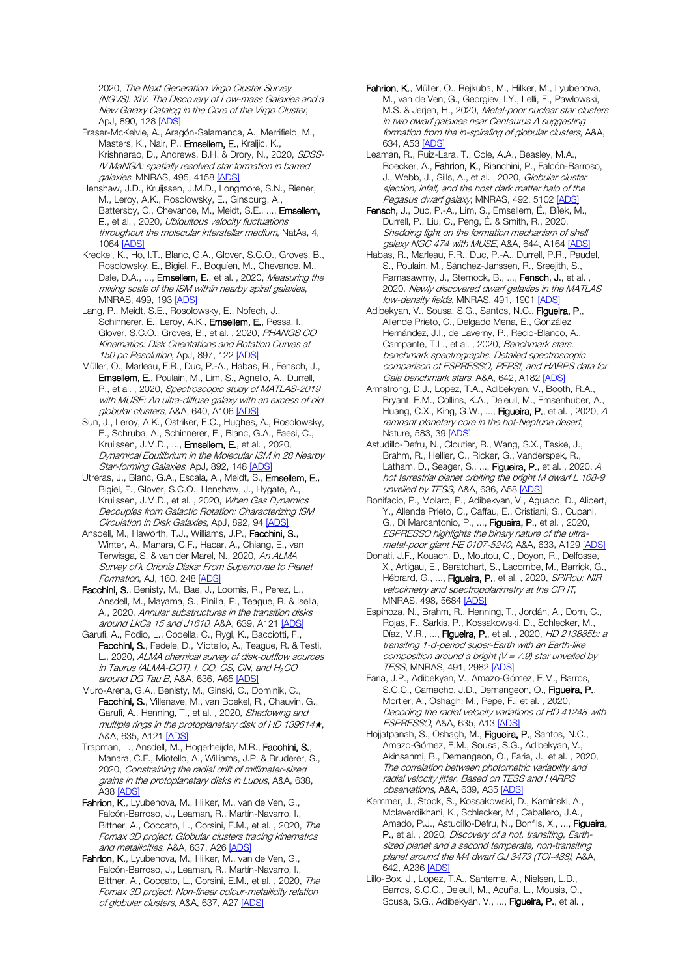2020, The Next Generation Virgo Cluster Survey (NGVS). XIV. The Discovery of Low-mass Galaxies and a New Galaxy Catalog in the Core of the Virgo Cluster, ApJ, 890, 12[8 \[ADS\]](https://ui.adsabs.harvard.edu/#abs/2020ApJ...890..128F)

Fraser-McKelvie, A., Aragón-Salamanca, A., Merrifield, M., Masters, K., Nair, P., Emsellem, E., Kraljic, K., Krishnarao, D., Andrews, B.H. & Drory, N., 2020, SDSS-IV MaNGA: spatially resolved star formation in barred galaxies, MNRAS, 495, 4158 [\[ADS\]](https://ui.adsabs.harvard.edu/#abs/2020MNRAS.495.4158F)

Henshaw, J.D., Kruijssen, J.M.D., Longmore, S.N., Riener, M., Leroy, A.K., Rosolowsky, E., Ginsburg, A., Battersby, C., Chevance, M., Meidt, S.E., ..., Emsellem, E., et al. , 2020, Ubiquitous velocity fluctuations throughout the molecular interstellar medium, NatAs, 4, 1064 [\[ADS\]](https://ui.adsabs.harvard.edu/#abs/2020NatAs...4.1064H)

Kreckel, K., Ho, I.T., Blanc, G.A., Glover, S.C.O., Groves, B., Rosolowsky, E., Bigiel, F., Boquíen, M., Chevance, M., Dale, D.A., ..., Emsellem, E., et al., 2020, Measuring the mixing scale of the ISM within nearby spiral galaxies, MNRAS, 499, 19[3 \[ADS\]](https://ui.adsabs.harvard.edu/#abs/2020MNRAS.499..193K)

Lang, P., Meidt, S.E., Rosolowsky, E., Nofech, J., Schinnerer, E., Leroy, A.K., Emsellem, E., Pessa, I., Glover, S.C.O., Groves, B., et al., 2020, PHANGS CO Kinematics: Disk Orientations and Rotation Curves at 150 pc Resolution, ApJ, 897, 12[2 \[ADS\]](https://ui.adsabs.harvard.edu/#abs/2020ApJ...897..122L)

Müller, O., Marleau, F.R., Duc, P.-A., Habas, R., Fensch, J., Emsellem, E., Poulain, M., Lim, S., Agnello, A., Durrell, P., et al. , 2020, Spectroscopic study of MATLAS-2019 with MUSE: An ultra-diffuse galaxy with an excess of old globular clusters, A&A, 640, A10[6 \[ADS\]](https://ui.adsabs.harvard.edu/#abs/2020A%26A...640A.106M)

Sun, J., Leroy, A.K., Ostriker, E.C., Hughes, A., Rosolowsky, E., Schruba, A., Schinnerer, E., Blanc, G.A., Faesi, C., Kruijssen, J.M.D., ..., Emsellem, E., et al., 2020, Dynamical Equilibrium in the Molecular ISM in 28 Nearby Star-forming Galaxies, ApJ, 892, 148 [\[ADS\]](https://ui.adsabs.harvard.edu/#abs/2020ApJ...892..148S)

Utreras, J., Blanc, G.A., Escala, A., Meidt, S., Emsellem, E., Bigiel, F., Glover, S.C.O., Henshaw, J., Hygate, A., Kruijssen, J.M.D., et al., 2020, When Gas Dynamics Decouples from Galactic Rotation: Characterizing ISM Circulation in Disk Galaxies, ApJ, 892, 94 [\[ADS\]](https://ui.adsabs.harvard.edu/#abs/2020ApJ...892...94U)

Ansdell, M., Haworth, T.J., Williams, J.P., Facchini, S., Winter, A., Manara, C.F., Hacar, A., Chiang, E., van Terwisga, S. & van der Marel, N., 2020, An ALMA Survey of *λ* Orionis Disks: From Supernovae to Planet Formation, AJ, 160, 248 [\[ADS\]](https://ui.adsabs.harvard.edu/#abs/2020AJ....160..248A)

Facchini, S., Benisty, M., Bae, J., Loomis, R., Perez, L., Ansdell, M., Mayama, S., Pinilla, P., Teague, R. & Isella, A., 2020, Annular substructures in the transition disks around LkCa 15 and J1610, A&A, 639, A12[1 \[ADS\]](https://ui.adsabs.harvard.edu/#abs/2020A%26A...639A.121F)

Garufi, A., Podio, L., Codella, C., Rygl, K., Bacciotti, F., Facchini, S., Fedele, D., Miotello, A., Teague, R. & Testi, L., 2020, ALMA chemical survey of disk-outflow sources in Taurus (ALMA-DOT). I. CO, CS, CN, and H<sub>2</sub>CO around DG Tau B, A&A, 636, A6[5 \[ADS\]](https://ui.adsabs.harvard.edu/#abs/2020A%26A...636A..65G)

Muro-Arena, G.A., Benisty, M., Ginski, C., Dominik, C., Facchini, S., Villenave, M., van Boekel, R., Chauvin, G., Garufi, A., Henning, T., et al., 2020, Shadowing and multiple rings in the protoplanetary disk of HD 139614★, A&A, 635, A121 [\[ADS\]](https://ui.adsabs.harvard.edu/#abs/2020A%26A...635A.121M)

Trapman, L., Ansdell, M., Hogerheijde, M.R., Facchini, S., Manara, C.F., Miotello, A., Williams, J.P. & Bruderer, S., 2020, Constraining the radial drift of millimeter-sized grains in the protoplanetary disks in Lupus, A&A, 638, A38 [\[ADS\]](https://ui.adsabs.harvard.edu/#abs/2020A%26A...638A..38T)

Fahrion, K., Lyubenova, M., Hilker, M., van de Ven, G., Falcón-Barroso, J., Leaman, R., Martín-Navarro, I., Bittner, A., Coccato, L., Corsini, E.M., et al. , 2020, The Fornax 3D project: Globular clusters tracing kinematics and metallicities, A&A, 637, A2[6 \[ADS\]](https://ui.adsabs.harvard.edu/#abs/2020A%26A...637A..26F)

Fahrion, K., Lyubenova, M., Hilker, M., van de Ven, G., Falcón-Barroso, J., Leaman, R., Martín-Navarro, I., Bittner, A., Coccato, L., Corsini, E.M., et al. , 2020, The Fornax 3D project: Non-linear colour-metallicity relation of globular clusters, A&A, 637, A27 [\[ADS\]](https://ui.adsabs.harvard.edu/#abs/2020A%26A...637A..27F)

Fahrion, K., Müller, O., Rejkuba, M., Hilker, M., Lyubenova, M., van de Ven, G., Georgiev, I.Y., Lelli, F., Pawlowski, M.S. & Jerjen, H., 2020, Metal-poor nuclear star clusters in two dwarf galaxies near Centaurus A suggesting formation from the in-spiraling of globular clusters, A&A, 634, A5[3 \[ADS\]](https://ui.adsabs.harvard.edu/#abs/2020A%26A...634A..53F)

Leaman, R., Ruiz-Lara, T., Cole, A.A., Beasley, M.A., Boecker, A., Fahrion, K., Bianchini, P., Falcón-Barroso, J., Webb, J., Sills, A., et al., 2020, Globular cluster ejection, infall, and the host dark matter halo of the Pegasus dwarf galaxy, MNRAS, 492, 510[2 \[ADS\]](https://ui.adsabs.harvard.edu/#abs/2020MNRAS.492.5102L)

Fensch, J., Duc, P.-A., Lim, S., Emsellem, É., Bílek, M., Durrell, P., Liu, C., Peng, É. & Smith, R., 2020, Shedding light on the formation mechanism of shell galaxy NGC 474 with MUSE, A&A, 644, A16[4 \[ADS\]](https://ui.adsabs.harvard.edu/#abs/2020A%26A...644A.164F)

Habas, R., Marleau, F.R., Duc, P.-A., Durrell, P.R., Paudel, S., Poulain, M., Sánchez-Janssen, R., Sreejith, S., Ramasawmy, J., Stemock, B., ..., Fensch, J., et al. 2020, Newly discovered dwarf galaxies in the MATLAS low-density fields, MNRAS, 491, 190[1 \[ADS\]](https://ui.adsabs.harvard.edu/#abs/2020MNRAS.491.1901H)

Adibekyan, V., Sousa, S.G., Santos, N.C., Figueira, P., Allende Prieto, C., Delgado Mena, E., González Hernández, J.I., de Laverny, P., Recio-Blanco, A., Campante, T.L., et al. , 2020, Benchmark stars, benchmark spectrographs. Detailed spectroscopic comparison of ESPRESSO, PEPSI, and HARPS data for Gaia benchmark stars, A&A, 642, A18[2 \[ADS\]](https://ui.adsabs.harvard.edu/#abs/2020A%26A...642A.182A)

Armstrong, D.J., Lopez, T.A., Adibekyan, V., Booth, R.A., Bryant, E.M., Collins, K.A., Deleuil, M., Emsenhuber, A., Huang, C.X., King, G.W., ..., Figueira, P., et al., 2020, A remnant planetary core in the hot-Neptune desert, Nature, 583, 3[9 \[ADS\]](https://ui.adsabs.harvard.edu/#abs/2020Natur.583...39A)

Astudillo-Defru, N., Cloutier, R., Wang, S.X., Teske, J., Brahm, R., Hellier, C., Ricker, G., Vanderspek, R., Latham, D., Seager, S., ..., Figueira, P., et al., 2020, A hot terrestrial planet orbiting the bright M dwarf L 168-9 unveiled by TESS, A&A, 636, A5[8 \[ADS\]](https://ui.adsabs.harvard.edu/#abs/2020A%26A...636A..58A)

Bonifacio, P., Molaro, P., Adibekyan, V., Aguado, D., Alibert, Y., Allende Prieto, C., Caffau, E., Cristiani, S., Cupani, G., Di Marcantonio, P., ..., Figueira, P., et al. , 2020, ESPRESSO highlights the binary nature of the ultrametal-poor giant HE 0107-5240, A&A, 633, A12[9 \[ADS\]](https://ui.adsabs.harvard.edu/#abs/2020A%26A...633A.129B)

Donati, J.F., Kouach, D., Moutou, C., Doyon, R., Delfosse, X., Artigau, E., Baratchart, S., Lacombe, M., Barrick, G., Hébrard, G., ..., Figueira, P., et al., 2020, SPIRou: NIR velocimetry and spectropolarimetry at the CFHT, MNRAS, 498, 568[4 \[ADS\]](https://ui.adsabs.harvard.edu/#abs/2020MNRAS.498.5684D)

Espinoza, N., Brahm, R., Henning, T., Jordán, A., Dorn, C., Rojas, F., Sarkis, P., Kossakowski, D., Schlecker, M., Díaz, M.R., ..., Figueira, P., et al., 2020, HD 213885b: a transiting 1-d-period super-Earth with an Earth-like composition around a bright  $(V = 7.9)$  star unveiled by TESS, MNRAS, 491, 298[2 \[ADS\]](https://ui.adsabs.harvard.edu/#abs/2020MNRAS.491.2982E)

Faria, J.P., Adibekyan, V., Amazo-Gómez, E.M., Barros, S.C.C., Camacho, J.D., Demangeon, O., Figueira, P., Mortier, A., Oshagh, M., Pepe, F., et al. , 2020, Decoding the radial velocity variations of HD 41248 with ESPRESSO, A&A, 635, A1[3 \[ADS\]](https://ui.adsabs.harvard.edu/#abs/2020A%26A...635A..13F)

Hojjatpanah, S., Oshagh, M., Figueira, P., Santos, N.C., Amazo-Gómez, E.M., Sousa, S.G., Adibekyan, V., Akinsanmi, B., Demangeon, O., Faria, J., et al. , 2020, The correlation between photometric variability and radial velocity jitter. Based on TESS and HARPS observations, A&A, 639, A3[5 \[ADS\]](https://ui.adsabs.harvard.edu/#abs/2020A%26A...639A..35H)

Kemmer, J., Stock, S., Kossakowski, D., Kaminski, A., Molaverdikhani, K., Schlecker, M., Caballero, J.A., Amado, P.J., Astudillo-Defru, N., Bonfils, X., ..., Figueira, P., et al., 2020, Discovery of a hot, transiting, Earthsized planet and a second temperate, non-transiting planet around the M4 dwarf GJ 3473 (TOI-488), A&A, 642, A23[6 \[ADS\]](https://ui.adsabs.harvard.edu/#abs/2020A%26A...642A.236K)

Lillo-Box, J., Lopez, T.A., Santerne, A., Nielsen, L.D., Barros, S.C.C., Deleuil, M., Acuña, L., Mousis, O., Sousa, S.G., Adibekyan, V., ..., Figueira, P., et al.,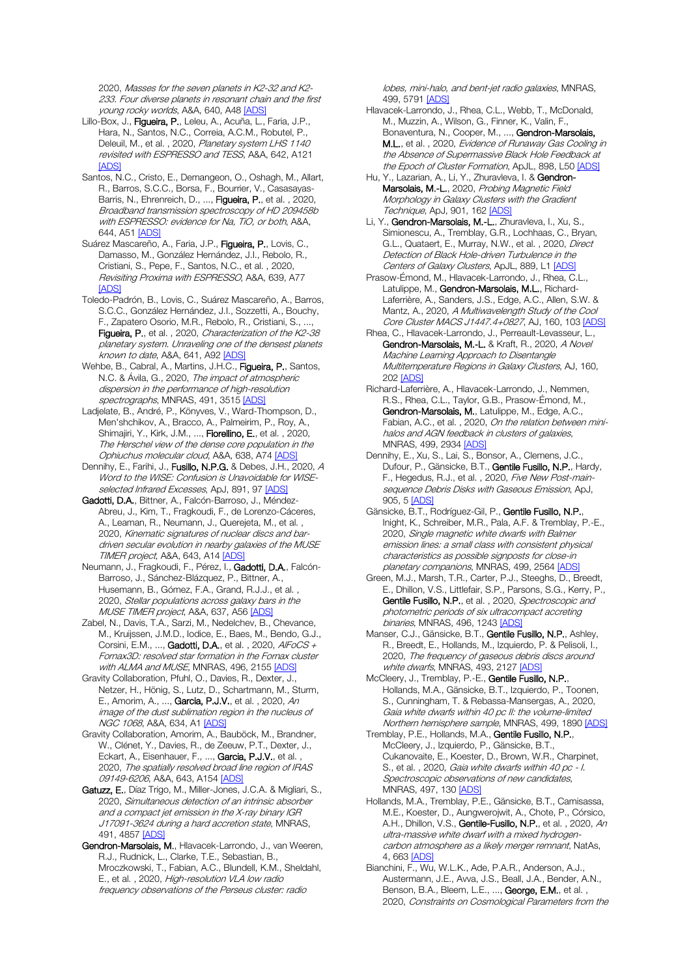2020, Masses for the seven planets in K2-32 and K2- 233. Four diverse planets in resonant chain and the first young rocky worlds, A&A, 640, A48 [\[ADS\]](https://ui.adsabs.harvard.edu/#abs/2020A%26A...640A..48L)

- Lillo-Box, J., Figueira, P., Leleu, A., Acuña, L., Faria, J.P., Hara, N., Santos, N.C., Correia, A.C.M., Robutel, P., Deleuil, M., et al., 2020, Planetary system LHS 1140 revisited with ESPRESSO and TESS, A&A, 642, A121 [\[ADS\]](https://ui.adsabs.harvard.edu/#abs/2020A%26A...642A.121L)
- Santos, N.C., Cristo, E., Demangeon, O., Oshagh, M., Allart, R., Barros, S.C.C., Borsa, F., Bourrier, V., Casasayas-Barris, N., Ehrenreich, D., ..., Figueira, P., et al., 2020, Broadband transmission spectroscopy of HD 209458b with ESPRESSO: evidence for Na, TiO, or both, A&A, 644, A51 [\[ADS\]](https://ui.adsabs.harvard.edu/#abs/2020A%26A...644A..51S)
- Suárez Mascareño, A., Faria, J.P., Figueira, P., Lovis, C., Damasso, M., González Hernández, J.I., Rebolo, R., Cristiani, S., Pepe, F., Santos, N.C., et al. , 2020, Revisiting Proxima with ESPRESSO, A&A, 639, A77 [\[ADS\]](https://ui.adsabs.harvard.edu/#abs/2020A%26A...639A..77S)
- Toledo-Padrón, B., Lovis, C., Suárez Mascareño, A., Barros, S.C.C., González Hernández, J.I., Sozzetti, A., Bouchy, F., Zapatero Osorio, M.R., Rebolo, R., Cristiani, S., ..., Figueira, P., et al., 2020, Characterization of the K2-38 planetary system. Unraveling one of the densest planets known to date, A&A, 641, A9[2 \[ADS\]](https://ui.adsabs.harvard.edu/#abs/2020A%26A...641A..92T)
- Wehbe, B., Cabral, A., Martins, J.H.C., Figueira, P., Santos, N.C. & Ávila, G., 2020, The impact of atmospheric dispersion in the performance of high-resolution spectrographs, MNRAS, 491, 351[5 \[ADS\]](https://ui.adsabs.harvard.edu/#abs/2020MNRAS.491.3515W)
- Ladjelate, B., André, P., Könyves, V., Ward-Thompson, D., Men'shchikov, A., Bracco, A., Palmeirim, P., Roy, A., Shimajiri, Y., Kirk, J.M., ..., Fiorellino, E., et al., 2020, The Herschel view of the dense core population in the Ophiuchus molecular cloud, A&A, 638, A74 [\[ADS\]](https://ui.adsabs.harvard.edu/#abs/2020A%26A...638A..74L)
- Dennihy, E., Farihi, J., Fusillo, N.P.G. & Debes, J.H., 2020, A Word to the WISE: Confusion is Unavoidable for WISE-selected Infrared Excesses, ApJ, 891, 9[7 \[ADS\]](https://ui.adsabs.harvard.edu/#abs/2020ApJ...891...97D)
- Gadotti, D.A., Bittner, A., Falcón-Barroso, J., Méndez-Abreu, J., Kim, T., Fragkoudi, F., de Lorenzo-Cáceres, A., Leaman, R., Neumann, J., Querejeta, M., et al. , 2020, Kinematic signatures of nuclear discs and bardriven secular evolution in nearby galaxies of the MUSE TIMER project, A&A, 643, A1[4 \[ADS\]](https://ui.adsabs.harvard.edu/#abs/2020A%26A...643A..14G)
- Neumann, J., Fragkoudi, F., Pérez, I., Gadotti, D.A., Falcón-Barroso, J., Sánchez-Blázquez, P., Bittner, A., Husemann, B., Gómez, F.A., Grand, R.J.J., et al. , 2020, Stellar populations across galaxy bars in the MUSE TIMER project, A&A, 637, A56 [\[ADS\]](https://ui.adsabs.harvard.edu/#abs/2020A%26A...637A..56N)
- Zabel, N., Davis, T.A., Sarzi, M., Nedelchev, B., Chevance, M., Kruijssen, J.M.D., Iodice, E., Baes, M., Bendo, G.J., Corsini, E.M., ..., Gadotti, D.A., et al., 2020, AlFoCS + Fornax3D: resolved star formation in the Fornax cluster with ALMA and MUSE, MNRAS, 496, 215[5 \[ADS\]](https://ui.adsabs.harvard.edu/#abs/2020MNRAS.496.2155Z)
- Gravity Collaboration, Pfuhl, O., Davies, R., Dexter, J., Netzer, H., Hönig, S., Lutz, D., Schartmann, M., Sturm, E., Amorim, A., ..., Garcia, P.J.V., et al., 2020, An image of the dust sublimation region in the nucleus of NGC 1068, A&A, 634, A[1 \[ADS\]](https://ui.adsabs.harvard.edu/#abs/2020A%26A...634A...1G)
- Gravity Collaboration, Amorim, A., Bauböck, M., Brandner, W., Clénet, Y., Davies, R., de Zeeuw, P.T., Dexter, J., Eckart, A., Eisenhauer, F., ..., Garcia, P.J.V., et al., 2020, The spatially resolved broad line region of IRAS 09149-6206, A&A, 643, A154 [\[ADS\]](https://ui.adsabs.harvard.edu/#abs/2020A%26A...643A.154G)
- Gatuzz, E., Díaz Trigo, M., Miller-Jones, J.C.A. & Migliari, S., 2020, Simultaneous detection of an intrinsic absorber and a compact jet emission in the X-ray binary IGR J17091-3624 during a hard accretion state, MNRAS, 491, 4857 [\[ADS\]](https://ui.adsabs.harvard.edu/#abs/2020MNRAS.491.4857G)
- Gendron-Marsolais, M., Hlavacek-Larrondo, J., van Weeren, R.J., Rudnick, L., Clarke, T.E., Sebastian, B., Mroczkowski, T., Fabian, A.C., Blundell, K.M., Sheldahl, E., et al., 2020, High-resolution VLA low radio frequency observations of the Perseus cluster: radio

lobes, mini-halo, and bent-jet radio galaxies, MNRAS, 499, 579[1 \[ADS\]](https://ui.adsabs.harvard.edu/#abs/2020MNRAS.499.5791G)

- Hlavacek-Larrondo, J., Rhea, C.L., Webb, T., McDonald, M., Muzzin, A., Wilson, G., Finner, K., Valin, F., Bonaventura, N., Cooper, M., ..., Gendron-Marsolais, M.L., et al., 2020, Evidence of Runaway Gas Cooling in the Absence of Supermassive Black Hole Feedback at the Epoch of Cluster Formation, ApJL, 898, L5[0 \[ADS\]](https://ui.adsabs.harvard.edu/#abs/2020ApJ...898L..50H)
- Hu, Y., Lazarian, A., Li, Y., Zhuravleva, I. & Gendron-Marsolais, M.-L., 2020, Probing Magnetic Field Morphology in Galaxy Clusters with the Gradient Technique, ApJ, 901, 16[2 \[ADS\]](https://ui.adsabs.harvard.edu/#abs/2020ApJ...901..162H)
- Li, Y., Gendron-Marsolais, M.-L., Zhuravleva, I., Xu, S., Simionescu, A., Tremblay, G.R., Lochhaas, C., Bryan, G.L., Quataert, E., Murray, N.W., et al., 2020, Direct Detection of Black Hole-driven Turbulence in the Centers of Galaxy Clusters, ApJL, 889, L1 [\[ADS\]](https://ui.adsabs.harvard.edu/#abs/2020ApJ...889L...1L)
- Prasow-Émond, M., Hlavacek-Larrondo, J., Rhea, C.L., Latulippe, M., Gendron-Marsolais, M.L., Richard-Laferrière, A., Sanders, J.S., Edge, A.C., Allen, S.W. & Mantz, A., 2020, A Multiwavelength Study of the Cool Core Cluster MACS J1447.4+0827, AJ, 160, 10[3 \[ADS\]](https://ui.adsabs.harvard.edu/#abs/2020AJ....160..103P)
- Rhea, C., Hlavacek-Larrondo, J., Perreault-Levasseur, L., Gendron-Marsolais, M.-L. & Kraft, R., 2020, A Novel Machine Learning Approach to Disentangle Multitemperature Regions in Galaxy Clusters, AJ, 160, 20[2 \[ADS\]](https://ui.adsabs.harvard.edu/#abs/2020AJ....160..202R)
- Richard-Laferrière, A., Hlavacek-Larrondo, J., Nemmen, R.S., Rhea, C.L., Taylor, G.B., Prasow-Émond, M., Gendron-Marsolais, M., Latulippe, M., Edge, A.C., Fabian, A.C., et al. , 2020, On the relation between minihalos and AGN feedback in clusters of galaxies, MNRAS, 499, 293[4 \[ADS\]](https://ui.adsabs.harvard.edu/#abs/2020MNRAS.499.2934R)
- Dennihy, E., Xu, S., Lai, S., Bonsor, A., Clemens, J.C. Dufour, P., Gänsicke, B.T., Gentile Fusillo, N.P., Hardy, F., Hegedus, R.J., et al. , 2020, Five New Post-mainsequence Debris Disks with Gaseous Emission, ApJ, 905, [5 \[ADS\]](https://ui.adsabs.harvard.edu/#abs/2020ApJ...905....5D)
- Gänsicke, B.T., Rodríguez-Gil, P., Gentile Fusillo, N.P., Inight, K., Schreiber, M.R., Pala, A.F. & Tremblay, P.-E., 2020, Single magnetic white dwarfs with Balmer emission lines: a small class with consistent physical characteristics as possible signposts for close-in planetary companions, MNRAS, 499, 256[4 \[ADS\]](https://ui.adsabs.harvard.edu/#abs/2020MNRAS.499.2564G)
- Green, M.J., Marsh, T.R., Carter, P.J., Steeghs, D., Breedt, E., Dhillon, V.S., Littlefair, S.P., Parsons, S.G., Kerry, P., Gentile Fusillo, N.P., et al., 2020, Spectroscopic and photometric periods of six ultracompact accreting binaries, MNRAS, 496, 124[3 \[ADS\]](https://ui.adsabs.harvard.edu/#abs/2020MNRAS.496.1243G)
- Manser, C.J., Gänsicke, B.T., Gentile Fusillo, N.P., Ashley, R., Breedt, E., Hollands, M., Izquierdo, P. & Pelisoli, I., 2020, The frequency of gaseous debris discs around white dwarfs, MNRAS, 493, 212[7 \[ADS\]](https://ui.adsabs.harvard.edu/#abs/2020MNRAS.493.2127M)
- McCleery, J., Tremblay, P.-E., Gentile Fusillo, N.P., Hollands, M.A., Gänsicke, B.T., Izquierdo, P., Toonen, S., Cunningham, T. & Rebassa-Mansergas, A., 2020, Gaia white dwarfs within 40 pc II: the volume-limited Northern hemisphere sample, MNRAS, 499, 1890 [\[ADS\]](https://ui.adsabs.harvard.edu/#abs/2020MNRAS.499.1890M)
- Tremblay, P.E., Hollands, M.A., Gentile Fusillo, N.P., McCleery, J., Izquierdo, P., Gänsicke, B.T., Cukanovaite, E., Koester, D., Brown, W.R., Charpinet, S., et al., 2020, Gaia white dwarfs within 40 pc - l. Spectroscopic observations of new candidates, MNRAS, 497, 13[0 \[ADS\]](https://ui.adsabs.harvard.edu/#abs/2020MNRAS.497..130T)
- Hollands, M.A., Tremblay, P.E., Gänsicke, B.T., Camisassa, M.E., Koester, D., Aungwerojwit, A., Chote, P., Córsico, A.H., Dhillon, V.S., Gentile-Fusillo, N.P., et al., 2020, An ultra-massive white dwarf with a mixed hydrogencarbon atmosphere as a likely merger remnant, NatAs, 4, 66[3 \[ADS\]](https://ui.adsabs.harvard.edu/#abs/2020NatAs...4..663H)
- Bianchini, F., Wu, W.L.K., Ade, P.A.R., Anderson, A.J., Austermann, J.E., Avva, J.S., Beall, J.A., Bender, A.N., Benson, B.A., Bleem, L.E., ..., George, E.M., et al., 2020, Constraints on Cosmological Parameters from the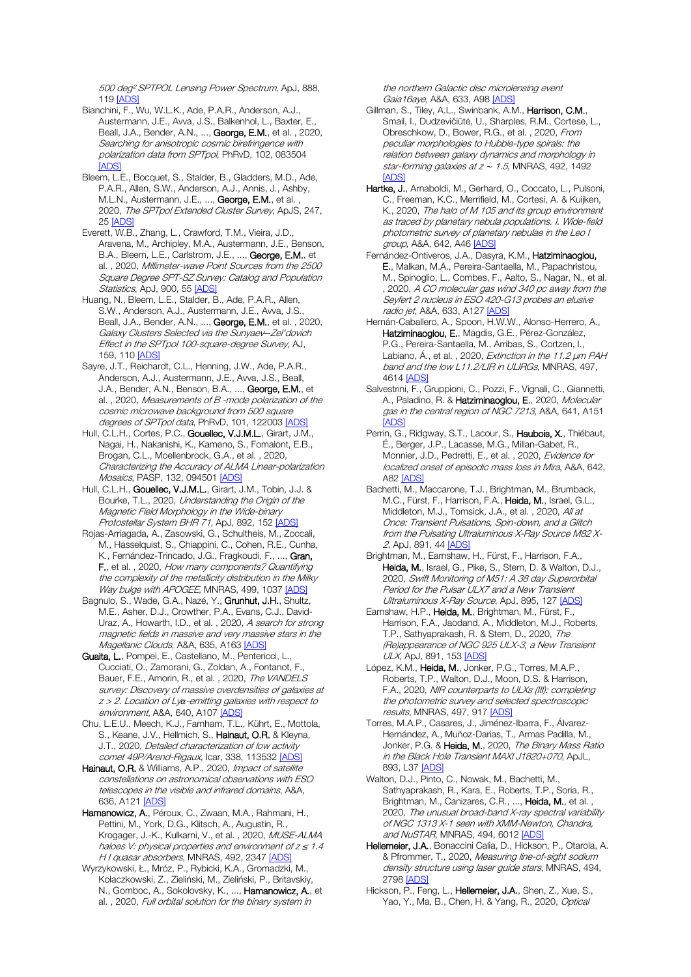500 deg² SPTPOL Lensing Power Spectrum, ApJ, 888, 11[9 \[ADS\]](https://ui.adsabs.harvard.edu/#abs/2020ApJ...888..119B)

Bianchini, F., Wu, W.L.K., Ade, P.A.R., Anderson, A.J., Austermann, J.E., Avva, J.S., Balkenhol, L., Baxter, E., Beall, J.A., Bender, A.N., ..., George, E.M., et al., 2020, Searching for anisotropic cosmic birefringence with polarization data from SPTpol, PhRvD, 102, 083504 [\[ADS\]](https://ui.adsabs.harvard.edu/#abs/2020PhRvD.102h3504B)

Bleem, L.E., Bocquet, S., Stalder, B., Gladders, M.D., Ade, P.A.R., Allen, S.W., Anderson, A.J., Annis, J., Ashby, M.L.N., Austermann, J.E., ..., George, E.M., et al., 2020, The SPTpol Extended Cluster Survey, ApJS, 247, 25 [\[ADS\]](https://ui.adsabs.harvard.edu/#abs/2020ApJS..247...25B)

Everett, W.B., Zhang, L., Crawford, T.M., Vieira, J.D., Aravena, M., Archipley, M.A., Austermann, J.E., Benson, B.A., Bleem, L.E., Carlstrom, J.E., ..., George, E.M., et al. , 2020, Millimeter-wave Point Sources from the 2500 Square Degree SPT-SZ Survey: Catalog and Population Statistics, ApJ, 900, 5[5 \[ADS\]](https://ui.adsabs.harvard.edu/#abs/2020ApJ...900...55E)

Huang, N., Bleem, L.E., Stalder, B., Ade, P.A.R., Allen, S.W., Anderson, A.J., Austermann, J.E., Avva, J.S., Beall, J.A., Bender, A.N., ..., George, E.M., et al., 2020, Galaxy Clusters Selected via the Sunyaev*─*Zel'dovich Effect in the SPTpol 100-square-degree Survey, AJ, 159, 11[0 \[ADS\]](https://ui.adsabs.harvard.edu/#abs/2020AJ....159..110H)

Sayre, J.T., Reichardt, C.L., Henning, J.W., Ade, P.A.R., Anderson, A.J., Austermann, J.E., Avva, J.S., Beall, J.A., Bender, A.N., Benson, B.A., ..., George, E.M., et al. , 2020, Measurements of B -mode polarization of the cosmic microwave background from 500 square degrees of SPTpol data, PhRvD, 101, 122003 [\[ADS\]](https://ui.adsabs.harvard.edu/#abs/2020PhRvD.101l2003S)

Hull, C.L.H., Cortes, P.C., Gouellec, V.J.M.L., Girart, J.M., Nagai, H., Nakanishi, K., Kameno, S., Fomalont, E.B., Brogan, C.L., Moellenbrock, G.A., et al. , 2020, Characterizing the Accuracy of ALMA Linear-polarization Mosaics, PASP, 132, 09450[1 \[ADS\]](https://ui.adsabs.harvard.edu/#abs/2020PASP..132i4501H)

Hull, C.L.H., Gouellec, V.J.M.L., Girart, J.M., Tobin, J.J. & Bourke, T.L., 2020, Understanding the Origin of the Magnetic Field Morphology in the Wide-binary Protostellar System BHR 71, ApJ, 892, 15[2 \[ADS\]](https://ui.adsabs.harvard.edu/#abs/2020ApJ...892..152H)

Rojas-Arriagada, A., Zasowski, G., Schultheis, M., Zoccali, M., Hasselquist, S., Chiappini, C., Cohen, R.E., Cunha, K., Fernández-Trincado, J.G., Fragkoudi, F., ..., Gran, F., et al. , 2020, How many components? Quantifying the complexity of the metallicity distribution in the Milky Way bulge with APOGEE, MNRAS, 499, 103[7 \[ADS\]](https://ui.adsabs.harvard.edu/#abs/2020MNRAS.499.1037R)

Bagnulo, S., Wade, G.A., Nazé, Y., Grunhut, J.H., Shultz, M.E., Asher, D.J., Crowther, P.A., Evans, C.J., David-Uraz, A., Howarth, I.D., et al., 2020, A search for strong magnetic fields in massive and very massive stars in the Magellanic Clouds, A&A, 635, A163 [\[ADS\]](https://ui.adsabs.harvard.edu/#abs/2020A%26A...635A.163B)

Guaita, L., Pompei, E., Castellano, M., Pentericci, L. Cucciati, O., Zamorani, G., Zoldan, A., Fontanot, F., Bauer, F.E., Amorin, R., et al., 2020, The VANDELS survey: Discovery of massive overdensities of galaxies at z > 2. Location of Ly*α*-emitting galaxies with respect to environment, A&A, 640, A10[7 \[ADS\]](https://ui.adsabs.harvard.edu/#abs/2020A%26A...640A.107G)

Chu, L.E.U., Meech, K.J., Farnham, T.L., Kührt, E., Mottola, S., Keane, J.V., Hellmich, S., Hainaut, O.R. & Kleyna, J.T., 2020, Detailed characterization of low activity comet 49P/Arend-Rigaux, Icar, 338, 113532 [\[ADS\]](https://ui.adsabs.harvard.edu/#abs/2020Icar..33813532C)

Hainaut, O.R. & Williams, A.P., 2020, Impact of satellite constellations on astronomical observations with ESO telescopes in the visible and infrared domains, A&A, 636, A12[1 \[ADS\]](https://ui.adsabs.harvard.edu/#abs/2020A%26A...636A.121H)

Hamanowicz, A., Péroux, C., Zwaan, M.A., Rahmani, H., Pettini, M., York, D.G., Klitsch, A., Augustin, R., Krogager, J.-K., Kulkarni, V., et al., 2020, MUSE-ALMA haloes V: physical properties and environment of  $z \leq 1.4$ H I quasar absorbers, MNRAS, 492, 234[7 \[ADS\]](https://ui.adsabs.harvard.edu/#abs/2020MNRAS.492.2347H)

Wyrzykowski, Ł., Mróz, P., Rybicki, K.A., Gromadzki, M., Kołaczkowski, Z., Zieliński, M., Zieliński, P., Britavskiy, N., Gomboc, A., Sokolovsky, K., ..., Hamanowicz, A., et al. , 2020, Full orbital solution for the binary system in

the northern Galactic disc microlensing event Gaia16aye, A&A, 633, A9[8 \[ADS\]](https://ui.adsabs.harvard.edu/#abs/2020A%26A...633A..98W)

Gillman, S., Tiley, A.L., Swinbank, A.M., Harrison, C.M., Smail, I., Dudzevičiūtė, U., Sharples, R.M., Cortese, L., Obreschkow, D., Bower, R.G., et al. , 2020, From peculiar morphologies to Hubble-type spirals: the relation between galaxy dynamics and morphology in star-forming galaxies at  $z \sim 1.5$ , MNRAS, 492, 1492 [\[ADS\]](https://ui.adsabs.harvard.edu/#abs/2020MNRAS.492.1492G)

Hartke, J., Arnaboldi, M., Gerhard, O., Coccato, L., Pulsoni, C., Freeman, K.C., Merrifield, M., Cortesi, A. & Kuijken, K., 2020, The halo of M 105 and its group environment as traced by planetary nebula populations. I. Wide-field photometric survey of planetary nebulae in the Leo I group, A&A, 642, A46 [\[ADS\]](https://ui.adsabs.harvard.edu/#abs/2020A%26A...642A..46H)

Fernández-Ontiveros, J.A., Dasyra, K.M., Hatziminaoglou, E., Malkan, M.A., Pereira-Santaella, M., Papachristou, M., Spinoglio, L., Combes, F., Aalto, S., Nagar, N., et al. , 2020, A CO molecular gas wind 340 pc away from the Seyfert 2 nucleus in ESO 420-G13 probes an elusive radio jet, A&A, 633, A12[7 \[ADS\]](https://ui.adsabs.harvard.edu/#abs/2020A%26A...633A.127F)

Hernán-Caballero, A., Spoon, H.W.W., Alonso-Herrero, A., Hatziminaoglou, E., Magdis, G.E., Pérez-González, P.G., Pereira-Santaella, M., Arribas, S., Cortzen, I., Labiano, Á., et al., 2020, Extinction in the 11.2 um PAH band and the low L11.2/LIR in ULIRGs, MNRAS, 497, 4614 [\[ADS\]](https://ui.adsabs.harvard.edu/#abs/2020MNRAS.497.4614H)

Salvestrini, F., Gruppioni, C., Pozzi, F., Vignali, C., Giannetti, A., Paladino, R. & Hatziminaoglou, E., 2020, Molecular gas in the central region of NGC 7213, A&A, 641, A151 [\[ADS\]](https://ui.adsabs.harvard.edu/#abs/2020A%26A...641A.151S)

Perrin, G., Ridgway, S.T., Lacour, S., Haubois, X., Thiébaut, É., Berger, J.P., Lacasse, M.G., Millan-Gabet, R., Monnier, J.D., Pedretti, E., et al., 2020, Evidence for localized onset of episodic mass loss in Mira, A&A, 642, A82 [\[ADS\]](https://ui.adsabs.harvard.edu/#abs/2020A%26A...642A..82P)

Bachetti, M., Maccarone, T.J., Brightman, M., Brumback, M.C., Fürst, F., Harrison, F.A., Heida, M., Israel, G.L., Middleton, M.J., Tomsick, J.A., et al., 2020, All at Once: Transient Pulsations, Spin-down, and a Glitch from the Pulsating Ultraluminous X-Ray Source M82 X-2, ApJ, 891, 4[4 \[ADS\]](https://ui.adsabs.harvard.edu/#abs/2020ApJ...891...44B)

Brightman, M., Earnshaw, H., Fürst, F., Harrison, F.A., Heida, M., Israel, G., Pike, S., Stern, D. & Walton, D.J., 2020, Swift Monitoring of M51: A 38 day Superorbital Period for the Pulsar ULX7 and a New Transient Ultraluminous X-Ray Source, ApJ, 895, 12[7 \[ADS\]](https://ui.adsabs.harvard.edu/#abs/2020ApJ...895..127B)

Earnshaw, H.P., Heida, M., Brightman, M., Fürst, F., Harrison, F.A., Jaodand, A., Middleton, M.J., Roberts, T.P., Sathyaprakash, R. & Stern, D., 2020, The (Re)appearance of NGC 925 ULX-3, a New Transient ULX, ApJ, 891, 153 [\[ADS\]](https://ui.adsabs.harvard.edu/#abs/2020ApJ...891..153E)

López, K.M., Heida, M., Jonker, P.G., Torres, M.A.P., Roberts, T.P., Walton, D.J., Moon, D.S. & Harrison, F.A., 2020, NIR counterparts to ULXs (III): completing the photometric survey and selected spectroscopic results, MNRAS, 497, 91[7 \[ADS\]](https://ui.adsabs.harvard.edu/#abs/2020MNRAS.497..917L)

Torres, M.A.P., Casares, J., Jiménez-Ibarra, F., Álvarez-Hernández, A., Muñoz-Darias, T., Armas Padilla, M., Jonker, P.G. & Heida, M., 2020, The Binary Mass Ratio in the Black Hole Transient MAXI J1820+070, ApJL, 893, L37 [\[ADS\]](https://ui.adsabs.harvard.edu/#abs/2020ApJ...893L..37T)

Walton, D.J., Pinto, C., Nowak, M., Bachetti, M., Sathyaprakash, R., Kara, E., Roberts, T.P., Soria, R., Brightman, M., Canizares, C.R., ..., Heida, M., et al., 2020, The unusual broad-band X-ray spectral variability of NGC 1313 X-1 seen with XMM-Newton, Chandra, and NuSTAR, MNRAS, 494, 601[2 \[ADS\]](https://ui.adsabs.harvard.edu/#abs/2020MNRAS.494.6012W)

Hellemeier, J.A., Bonaccini Calia, D., Hickson, P., Otarola, A. & Pfrommer, T., 2020, Measuring line-of-sight sodium density structure using laser guide stars, MNRAS, 494, 2798 [\[ADS\]](https://ui.adsabs.harvard.edu/#abs/2020MNRAS.494.2798H)

Hickson, P., Feng, L., Hellemeier, J.A., Shen, Z., Xue, S., Yao, Y., Ma, B., Chen, H. & Yang, R., 2020, Optical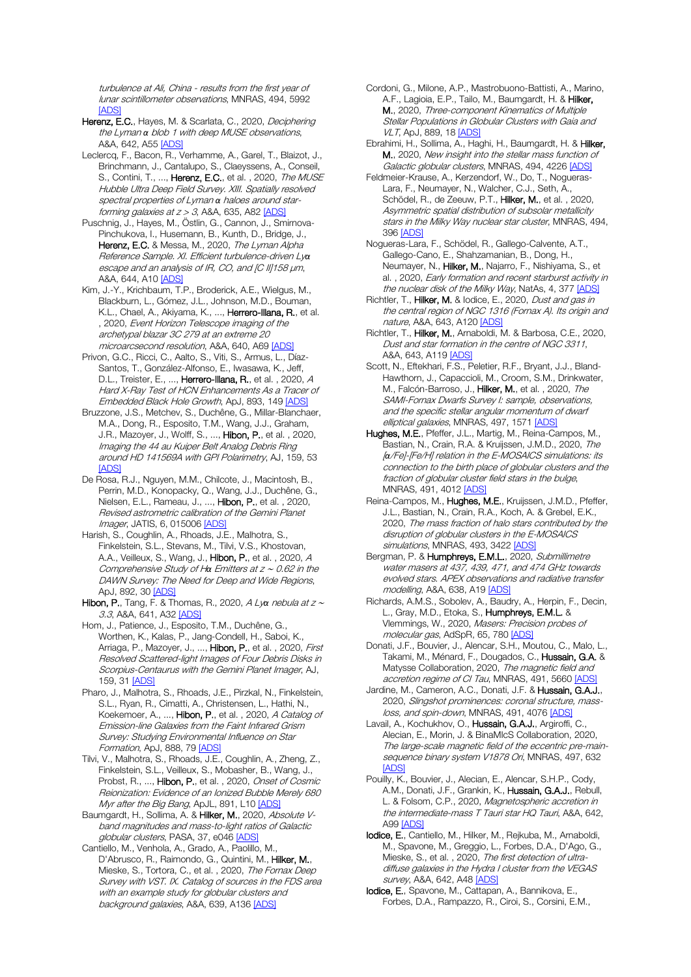turbulence at Ali, China - results from the first year of lunar scintillometer observations, MNRAS, 494, 5992 [\[ADS\]](https://ui.adsabs.harvard.edu/#abs/2020MNRAS.494.5992H)

Herenz, E.C., Hayes, M. & Scarlata, C., 2020, Deciphering the Lyman *α* blob 1 with deep MUSE observations, A&A, 642, A5[5 \[ADS\]](https://ui.adsabs.harvard.edu/#abs/2020A%26A...642A..55H)

Leclercq, F., Bacon, R., Verhamme, A., Garel, T., Blaizot, J., Brinchmann, J., Cantalupo, S., Claeyssens, A., Conseil, S., Contini, T., ..., Herenz, E.C., et al., 2020, The MUSE Hubble Ultra Deep Field Survey. XIII. Spatially resolved spectral properties of Lyman *α* haloes around starforming galaxies at  $z > 3$ , A&A, 635, A82 [\[ADS\]](https://ui.adsabs.harvard.edu/#abs/2020A%26A...635A..82L)

Puschnig, J., Hayes, M., Östlin, G., Cannon, J., Smirnova-Pinchukova, I., Husemann, B., Kunth, D., Bridge, J., Herenz, E.C. & Messa, M., 2020, The Lyman Alpha Reference Sample. XI. Efficient turbulence-driven Ly*α* escape and an analysis of IR, CO, and [C II]158 μm, A&A, 644, A10 [ADS

Kim, J.-Y., Krichbaum, T.P., Broderick, A.E., Wielgus, M., Blackburn, L., Gómez, J.L., Johnson, M.D., Bouman, K.L., Chael, A., Akiyama, K., ..., Herrero-Illana, R., et al. , 2020, Event Horizon Telescope imaging of the archetypal blazar 3C 279 at an extreme 20 microarcsecond resolution, A&A, 640, A69 [\[ADS\]](https://ui.adsabs.harvard.edu/#abs/2020A%26A...640A..69K)

Privon, G.C., Ricci, C., Aalto, S., Viti, S., Armus, L., Díaz-Santos, T., González-Alfonso, E., Iwasawa, K., Jeff, D.L., Treister, E., ..., Herrero-Illana, R., et al., 2020, A Hard X-Ray Test of HCN Enhancements As a Tracer of Embedded Black Hole Growth, ApJ, 893, 149 [\[ADS\]](https://ui.adsabs.harvard.edu/#abs/2020ApJ...893..149P)

Bruzzone, J.S., Metchev, S., Duchêne, G., Millar-Blanchaer, M.A., Dong, R., Esposito, T.M., Wang, J.J., Graham, J.R., Mazoyer, J., Wolff, S., ..., Hibon, P., et al., 2020, Imaging the 44 au Kuiper Belt Analog Debris Ring around HD 141569A with GPI Polarimetry, AJ, 159, 53 [\[ADS\]](https://ui.adsabs.harvard.edu/#abs/2020AJ....159...53B)

De Rosa, R.J., Nguyen, M.M., Chilcote, J., Macintosh, B., Perrin, M.D., Konopacky, Q., Wang, J.J., Duchêne, G., Nielsen, E.L., Rameau, J., ..., Hibon, P., et al. , 2020, Revised astrometric calibration of the Gemini Planet Imager, JATIS, 6, 01500[6 \[ADS\]](https://ui.adsabs.harvard.edu/#abs/2020JATIS...6a5006D)

Harish, S., Coughlin, A., Rhoads, J.E., Malhotra, S., Finkelstein, S.L., Stevans, M., Tilvi, V.S., Khostovan, A.A., Veilleux, S., Wang, J., Hibon, P., et al. , 2020, A Comprehensive Study of H*α* Emitters at z <sup>∼</sup> 0.62 in the DAWN Survey: The Need for Deep and Wide Regions, ApJ, 892, 30 [\[ADS\]](https://ui.adsabs.harvard.edu/#abs/2020ApJ...892...30H)

Hibon, P., Tang, F. & Thomas, R., 2020, A Ly*α* nebula at z <sup>∼</sup> 3.3, A&A, 641, A32 [\[ADS\]](https://ui.adsabs.harvard.edu/#abs/2020A%26A...641A..32H)

Hom, J., Patience, J., Esposito, T.M., Duchêne, G., Worthen, K., Kalas, P., Jang-Condell, H., Saboi, K., Arriaga, P., Mazoyer, J., ..., Hibon, P., et al., 2020, First Resolved Scattered-light Images of Four Debris Disks in Scorpius-Centaurus with the Gemini Planet Imager, AJ, 159, 31 [\[ADS\]](https://ui.adsabs.harvard.edu/#abs/2020AJ....159...31H)

Pharo, J., Malhotra, S., Rhoads, J.E., Pirzkal, N., Finkelstein, S.L., Ryan, R., Cimatti, A., Christensen, L., Hathi, N., Koekemoer, A., ..., Hibon, P., et al., 2020, A Catalog of Emission-line Galaxies from the Faint Infrared Grism Survey: Studying Environmental Influence on Star Formation, ApJ, 888, 79 [\[ADS\]](https://ui.adsabs.harvard.edu/#abs/2020ApJ...888...79P)

Tilvi, V., Malhotra, S., Rhoads, J.E., Coughlin, A., Zheng, Z., Finkelstein, S.L., Veilleux, S., Mobasher, B., Wang, J., Probst, R., ..., Hibon, P., et al., 2020, Onset of Cosmic Reionization: Evidence of an Ionized Bubble Merely 680 Myr after the Big Bang, ApJL, 891, L1[0 \[ADS\]](https://ui.adsabs.harvard.edu/#abs/2020ApJ...891L..10T)

Baumgardt, H., Sollima, A. & Hilker, M., 2020, Absolute Vband magnitudes and mass-to-light ratios of Galactic globular clusters, PASA, 37, e04[6 \[ADS\]](https://ui.adsabs.harvard.edu/#abs/2020PASA...37...46B)

Cantiello, M., Venhola, A., Grado, A., Paolillo, M., D'Abrusco, R., Raimondo, G., Quintini, M., Hilker, M., Mieske, S., Tortora, C., et al., 2020, The Fornax Deep Survey with VST. IX. Catalog of sources in the FDS area with an example study for globular clusters and background galaxies, A&A, 639, A13[6 \[ADS\]](https://ui.adsabs.harvard.edu/#abs/2020A%26A...639A.136C)

Cordoni, G., Milone, A.P., Mastrobuono-Battisti, A., Marino, A.F., Lagioia, E.P., Tailo, M., Baumgardt, H. & Hilker, M., 2020, Three-component Kinematics of Multiple Stellar Populations in Globular Clusters with Gaia and VLT, ApJ, 889, 1[8 \[ADS\]](https://ui.adsabs.harvard.edu/#abs/2020ApJ...889...18C)

Ebrahimi, H., Sollima, A., Haghi, H., Baumgardt, H. & Hilker, M., 2020, New insight into the stellar mass function of Galactic globular clusters, MNRAS, 494, 422[6 \[ADS\]](https://ui.adsabs.harvard.edu/#abs/2020MNRAS.494.4226E)

Feldmeier-Krause, A., Kerzendorf, W., Do, T., Nogueras-Lara, F., Neumayer, N., Walcher, C.J., Seth, A., Schödel, R., de Zeeuw, P.T., Hilker, M., et al. , 2020, Asymmetric spatial distribution of subsolar metallicity stars in the Milky Way nuclear star cluster, MNRAS, 494, 39[6 \[ADS\]](https://ui.adsabs.harvard.edu/#abs/2020MNRAS.494..396F)

Nogueras-Lara, F., Schödel, R., Gallego-Calvente, A.T., Gallego-Cano, E., Shahzamanian, B., Dong, H., Neumayer, N., Hilker, M., Najarro, F., Nishiyama, S., et al. , 2020, Early formation and recent starburst activity in the nuclear disk of the Milky Way, NatAs, 4, 37[7 \[ADS\]](https://ui.adsabs.harvard.edu/#abs/2020NatAs...4..377N)

- Richtler, T., Hilker, M. & Iodice, E., 2020, Dust and gas in the central region of NGC 1316 (Fornax A). Its origin and nature, A&A, 643, A120 [\[ADS\]](https://ui.adsabs.harvard.edu/#abs/2020A%26A...643A.120R)
- Richtler, T., Hilker, M., Arnaboldi, M. & Barbosa, C.E., 2020, Dust and star formation in the centre of NGC 3311, A&A, 643, A11[9 \[ADS\]](https://ui.adsabs.harvard.edu/#abs/2020A%26A...643A.119R)
- Scott, N., Eftekhari, F.S., Peletier, R.F., Bryant, J.J., Bland-Hawthorn, J., Capaccioli, M., Croom, S.M., Drinkwater, M., Falcón-Barroso, J., Hilker, M., et al., 2020, The SAMI-Fornax Dwarfs Survey I: sample, observations, and the specific stellar angular momentum of dwarf elliptical galaxies, MNRAS, 497, 1571 [\[ADS\]](https://ui.adsabs.harvard.edu/#abs/2020MNRAS.497.1571S)
- Hughes, M.E., Pfeffer, J.L., Martig, M., Reina-Campos, M., Bastian, N., Crain, R.A. & Kruijssen, J.M.D., 2020, The [*α*/Fe]-[Fe/H] relation in the E-MOSAICS simulations: its connection to the birth place of globular clusters and the fraction of globular cluster field stars in the bulge, MNRAS, 491, 401[2 \[ADS\]](https://ui.adsabs.harvard.edu/#abs/2020MNRAS.491.4012H)
- Reina-Campos, M., Hughes, M.E., Kruijssen, J.M.D., Pfeffer, J.L., Bastian, N., Crain, R.A., Koch, A. & Grebel, E.K., 2020, The mass fraction of halo stars contributed by the disruption of globular clusters in the E-MOSAICS simulations, MNRAS, 493, 342[2 \[ADS\]](https://ui.adsabs.harvard.edu/#abs/2020MNRAS.493.3422R)
- Bergman, P. & Humphreys, E.M.L., 2020, Submillimetre water masers at 437, 439, 471, and 474 GHz towards evolved stars. APEX observations and radiative transfer modelling, A&A, 638, A1[9 \[ADS\]](https://ui.adsabs.harvard.edu/#abs/2020A%26A...638A..19B)

Richards, A.M.S., Sobolev, A., Baudry, A., Herpin, F., Decin, L., Gray, M.D., Etoka, S., Humphreys, E.M.L. & Vlemmings, W., 2020, Masers: Precision probes of molecular gas, AdSpR, 65, 78[0 \[ADS\]](https://ui.adsabs.harvard.edu/#abs/2020AdSpR..65..780R)

Donati, J.F., Bouvier, J., Alencar, S.H., Moutou, C., Malo, L., Takami, M., Ménard, F., Dougados, C., Hussain, G.A. & Matysse Collaboration, 2020, The magnetic field and accretion regime of CI Tau, MNRAS, 491, 5660 [\[ADS\]](https://ui.adsabs.harvard.edu/#abs/2020MNRAS.491.5660D)

Jardine, M., Cameron, A.C., Donati, J.F. & Hussain, G.A.J., 2020, Slingshot prominences: coronal structure, mass-loss, and spin-down, MNRAS, 491, 4076 [\[ADS\]](https://ui.adsabs.harvard.edu/#abs/2020MNRAS.491.4076J)

Lavail, A., Kochukhov, O., Hussain, G.A.J., Argiroffi, C. Alecian, E., Morin, J. & BinaMIcS Collaboration, 2020, The large-scale magnetic field of the eccentric pre-mainsequence binary system V1878 Ori, MNRAS, 497, 632 [\[ADS\]](https://ui.adsabs.harvard.edu/#abs/2020MNRAS.497..632L)

Pouilly, K., Bouvier, J., Alecian, E., Alencar, S.H.P., Cody, A.M., Donati, J.F., Grankin, K., Hussain, G.A.J., Rebull, L. & Folsom, C.P., 2020, Magnetospheric accretion in the intermediate-mass T Tauri star HQ Tauri, A&A, 642, A99 [\[ADS\]](https://ui.adsabs.harvard.edu/#abs/2020A%26A...642A..99P)

Iodice, E., Cantiello, M., Hilker, M., Rejkuba, M., Arnaboldi, M., Spavone, M., Greggio, L., Forbes, D.A., D'Ago, G., Mieske, S., et al. , 2020, The first detection of ultradiffuse galaxies in the Hydra I cluster from the VEGAS survey, A&A, 642, A48 [\[ADS\]](https://ui.adsabs.harvard.edu/#abs/2020A%26A...642A..48I)

lodice, E., Spavone, M., Cattapan, A., Bannikova, E., Forbes, D.A., Rampazzo, R., Ciroi, S., Corsini, E.M.,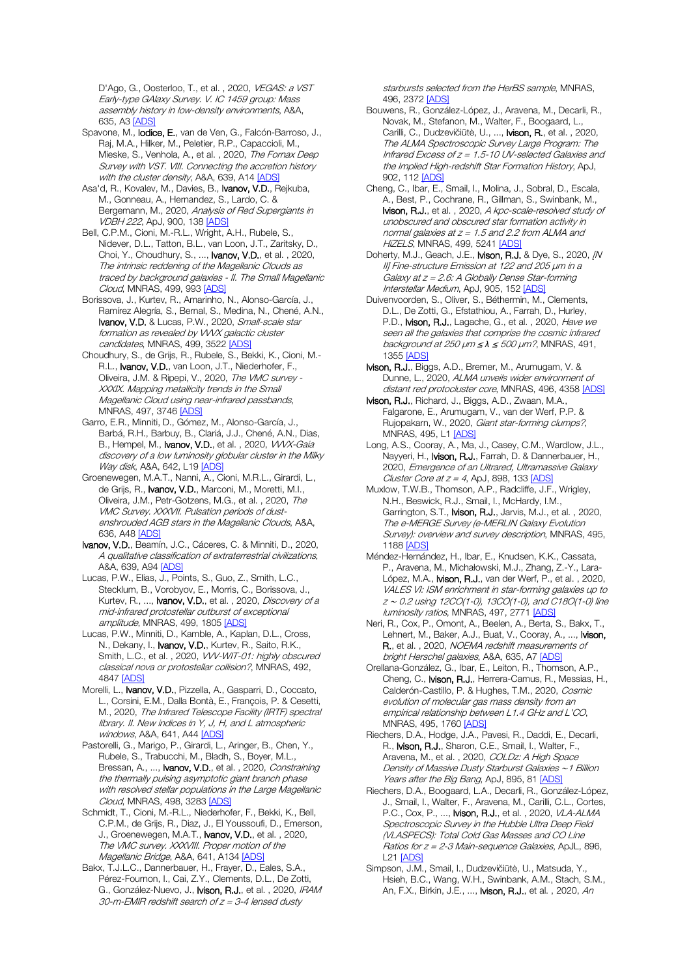D'Ago, G., Oosterloo, T., et al., 2020, VEGAS: a VST Early-type GAlaxy Survey. V. IC 1459 group: Mass assembly history in low-density environments, A&A, 635, A[3 \[ADS\]](https://ui.adsabs.harvard.edu/#abs/2020A%26A...635A...3I)

Spavone, M., Iodice, E., van de Ven, G., Falcón-Barroso, J., Raj, M.A., Hilker, M., Peletier, R.P., Capaccioli, M., Mieske, S., Venhola, A., et al., 2020, The Fornax Deep Survey with VST. VIII. Connecting the accretion history with the cluster density, A&A, 639, A1[4 \[ADS\]](https://ui.adsabs.harvard.edu/#abs/2020A%26A...639A..14S)

Asa'd, R., Kovalev, M., Davies, B., Ivanov, V.D., Rejkuba, M., Gonneau, A., Hernandez, S., Lardo, C. & Bergemann, M., 2020, Analysis of Red Supergiants in VDBH 222, ApJ, 900, 13[8 \[ADS\]](https://ui.adsabs.harvard.edu/#abs/2020ApJ...900..138A)

Bell, C.P.M., Cioni, M.-R.L., Wright, A.H., Rubele, S., Nidever, D.L., Tatton, B.L., van Loon, J.T., Zaritsky, D., Choi, Y., Choudhury, S., ..., Ivanov, V.D., et al. , 2020, The intrinsic reddening of the Magellanic Clouds as traced by background galaxies - II. The Small Magellanic Cloud, MNRAS, 499, 99[3 \[ADS\]](https://ui.adsabs.harvard.edu/#abs/2020MNRAS.499..993B)

Borissova, J., Kurtev, R., Amarinho, N., Alonso-García, J., Ramírez Alegría, S., Bernal, S., Medina, N., Chené, A.N., **Ivanov, V.D.** & Lucas, P.W., 2020, Small-scale star formation as revealed by WVX galactic cluster candidates, MNRAS, 499, 352[2 \[ADS\]](https://ui.adsabs.harvard.edu/#abs/2020MNRAS.499.3522B)

Choudhury, S., de Grijs, R., Rubele, S., Bekki, K., Cioni, M.- R.L., **Ivanov, V.D.**, van Loon, J.T., Niederhofer, F., Oliveira, J.M. & Ripepi, V., 2020, The VMC survey - XXXIX. Mapping metallicity trends in the Small Magellanic Cloud using near-infrared passbands, MNRAS, 497, 3746 [\[ADS\]](https://ui.adsabs.harvard.edu/#abs/2020MNRAS.497.3746C)

Garro, E.R., Minniti, D., Gómez, M., Alonso-García, J., Barbá, R.H., Barbuy, B., Clariá, J.J., Chené, A.N., Dias, B., Hempel, M., Ivanov, V.D., et al., 2020, VVVX-Gaia discovery of a low luminosity globular cluster in the Milky Way disk, A&A, 642, L1[9 \[ADS\]](https://ui.adsabs.harvard.edu/#abs/2020A%26A...642L..19G)

Groenewegen, M.A.T., Nanni, A., Cioni, M.R.L., Girardi, L., de Grijs, R., Ivanov, V.D., Marconi, M., Moretti, M.I., Oliveira, J.M., Petr-Gotzens, M.G., et al. , 2020, The VMC Survey. XXXVII. Pulsation periods of dustenshrouded AGB stars in the Magellanic Clouds, A&A, 636, A48 [\[ADS\]](https://ui.adsabs.harvard.edu/#abs/2020A%26A...636A..48G)

Ivanov, V.D., Beamín, J.C., Cáceres, C. & Minniti, D., 2020, A qualitative classification of extraterrestrial civilizations, A&A, 639, A9[4 \[ADS\]](https://ui.adsabs.harvard.edu/#abs/2020A%26A...639A..94I)

Lucas, P.W., Elias, J., Points, S., Guo, Z., Smith, L.C., Stecklum, B., Vorobyov, E., Morris, C., Borissova, J., Kurtev, R., ..., Ivanov, V.D., et al., 2020, Discovery of a mid-infrared protostellar outburst of exceptional amplitude, MNRAS, 499, 180[5 \[ADS\]](https://ui.adsabs.harvard.edu/#abs/2020MNRAS.499.1805L)

Lucas, P.W., Minniti, D., Kamble, A., Kaplan, D.L., Cross, N., Dekany, I., **Ivanov, V.D.**, Kurtev, R., Saito, R.K., Smith, L.C., et al., 2020, VW-WIT-01: highly obscured classical nova or protostellar collision?, MNRAS, 492, 4847 [\[ADS\]](https://ui.adsabs.harvard.edu/#abs/2020MNRAS.492.4847L)

Morelli, L., Ivanov, V.D., Pizzella, A., Gasparri, D., Coccato, L., Corsini, E.M., Dalla Bontà, E., François, P. & Cesetti, M., 2020, The Infrared Telescope Facility (IRTF) spectral library. II. New indices in Y, J, H, and L atmospheric windows, A&A, 641, A4[4 \[ADS\]](https://ui.adsabs.harvard.edu/#abs/2020A%26A...641A..44M)

Pastorelli, G., Marigo, P., Girardi, L., Aringer, B., Chen, Y., Rubele, S., Trabucchi, M., Bladh, S., Boyer, M.L., Bressan, A., ..., Ivanov, V.D., et al., 2020, Constraining the thermally pulsing asymptotic giant branch phase with resolved stellar populations in the Large Magellanic Cloud, MNRAS, 498, 3283 [\[ADS\]](https://ui.adsabs.harvard.edu/#abs/2020MNRAS.498.3283P)

Schmidt, T., Cioni, M.-R.L., Niederhofer, F., Bekki, K., Bell, C.P.M., de Grijs, R., Diaz, J., El Youssoufi, D., Emerson, J., Groenewegen, M.A.T., **Ivanov, V.D.**, et al., 2020, The VMC survey. XXXVIII. Proper motion of the Magellanic Bridge, A&A, 641, A13[4 \[ADS\]](https://ui.adsabs.harvard.edu/#abs/2020A%26A...641A.134S)

Bakx, T.J.L.C., Dannerbauer, H., Frayer, D., Eales, S.A., Pérez-Fournon, I., Cai, Z.Y., Clements, D.L., De Zotti, G., González-Nuevo, J., Ivison, R.J., et al., 2020, IRAM  $30$ -m-EMIR redshift search of  $z = 3-4$  lensed dusty

starbursts selected from the HerBS sample, MNRAS, 496, 237[2 \[ADS\]](https://ui.adsabs.harvard.edu/#abs/2020MNRAS.496.2372B)

Bouwens, R., González-López, J., Aravena, M., Decarli, R., Novak, M., Stefanon, M., Walter, F., Boogaard, L., Carilli, C., Dudzevičiūtė, U., ..., Ivison, R., et al. , 2020, The ALMA Spectroscopic Survey Large Program: The Infrared Excess of  $z = 1.5 - 10$  UV-selected Galaxies and the Implied High-redshift Star Formation History, ApJ, 902, 112 **[AD** 

Cheng, C., Ibar, E., Smail, I., Molina, J., Sobral, D., Escala, A., Best, P., Cochrane, R., Gillman, S., Swinbank, M., Ivison, R.J., et al. , 2020, A kpc-scale-resolved study of unobscured and obscured star formation activity in normal galaxies at  $z = 1.5$  and 2.2 from ALMA and HiZELS, MNRAS, 499, 5241 [\[ADS\]](https://ui.adsabs.harvard.edu/#abs/2020MNRAS.499.5241C)

Doherty, M.J., Geach, J.E., **Ivison, R.J.** & Dye, S., 2020, *[N* II] Fine-structure Emission at 122 and 205 μm in a Galaxy at  $z = 2.6$ : A Globally Dense Star-forming Interstellar Medium, ApJ, 905, 152 [\[ADS\]](https://ui.adsabs.harvard.edu/#abs/2020ApJ...905..152D)

Duivenvoorden, S., Oliver, S., Béthermin, M., Clements, D.L., De Zotti, G., Efstathiou, A., Farrah, D., Hurley, P.D., **Ivison, R.J.**, Lagache, G., et al., 2020, Have we seen all the galaxies that comprise the cosmic infrared background at 250 μm ≤ *λ* ≤ 500 μm?, MNRAS, 491, 1355 [\[ADS\]](https://ui.adsabs.harvard.edu/#abs/2020MNRAS.491.1355D)

Ivison, R.J., Biggs, A.D., Bremer, M., Arumugam, V. & Dunne, L., 2020, ALMA unveils wider environment of distant red protocluster core, MNRAS, 496, 435[8 \[ADS\]](https://ui.adsabs.harvard.edu/#abs/2020MNRAS.496.4358I)

Ivison, R.J., Richard, J., Biggs, A.D., Zwaan, M.A., Falgarone, E., Arumugam, V., van der Werf, P.P. & Rujopakarn, W., 2020, Giant star-forming clumps?, MNRAS, 495, L[1 \[ADS\]](https://ui.adsabs.harvard.edu/#abs/2020MNRAS.495L...1I)

Long, A.S., Cooray, A., Ma, J., Casey, C.M., Wardlow, J.L., Nayyeri, H., **Ivison, R.J.**, Farrah, D. & Dannerbauer, H., 2020, Emergence of an Ultrared, Ultramassive Galaxy Cluster Core at  $z = 4$ , ApJ, 898, 13[3 \[ADS\]](https://ui.adsabs.harvard.edu/#abs/2020ApJ...898..133L)

Muxlow, T.W.B., Thomson, A.P., Radcliffe, J.F., Wrigley, N.H., Beswick, R.J., Smail, I., McHardy, I.M., Garrington, S.T., **Ivison, R.J.**, Jarvis, M.J., et al., 2020, The e-MERGE Survey (e-MERLIN Galaxy Evolution Survey): overview and survey description, MNRAS, 495, 1188 [\[ADS\]](https://ui.adsabs.harvard.edu/#abs/2020MNRAS.495.1188M)

Méndez-Hernández, H., Ibar, E., Knudsen, K.K., Cassata, P., Aravena, M., Michałowski, M.J., Zhang, Z.-Y., Lara-López, M.A., **Ivison, R.J.**, van der Werf, P., et al., 2020, VALES VI: ISM enrichment in star-forming galaxies up to <sup>z</sup><sup>∼</sup> 0.2 using 12CO(1-0), 13CO(1-0), and C18O(1-0) line luminosity ratios, MNRAS, 497, 277[1 \[ADS\]](https://ui.adsabs.harvard.edu/#abs/2020MNRAS.497.2771M)

Neri, R., Cox, P., Omont, A., Beelen, A., Berta, S., Bakx, T., Lehnert, M., Baker, A.J., Buat, V., Cooray, A., ..., Ivison, R., et al., 2020, NOEMA redshift measurements of bright Herschel galaxies, A&A, 635, A7 [\[ADS\]](https://ui.adsabs.harvard.edu/#abs/2020A%26A...635A...7N)

Orellana-González, G., Ibar, E., Leiton, R., Thomson, A.P., Cheng, C., Ivison, R.J., Herrera-Camus, R., Messias, H., Calderón-Castillo, P. & Hughes, T.M., 2020, Cosmic evolution of molecular gas mass density from an empirical relationship between L1.4 GHz and L'CO, MNRAS, 495, 176[0 \[ADS\]](https://ui.adsabs.harvard.edu/#abs/2020MNRAS.495.1760O)

Riechers, D.A., Hodge, J.A., Pavesi, R., Daddi, E., Decarli, R., **Ivison, R.J.**, Sharon, C.E., Smail, I., Walter, F., Aravena, M., et al. , 2020, COLDz: A High Space Density of Massive Dusty Starburst Galaxies ∼1 Billion Years after the Big Bang, ApJ, 895, 8[1 \[ADS\]](https://ui.adsabs.harvard.edu/#abs/2020ApJ...895...81R)

Riechers, D.A., Boogaard, L.A., Decarli, R., González-López, J., Smail, I., Walter, F., Aravena, M., Carilli, C.L., Cortes, P.C., Cox, P., ..., **Ivison, R.J.**, et al., 2020, VLA-ALMA Spectroscopic Survey in the Hubble Ultra Deep Field (VLASPECS): Total Cold Gas Masses and CO Line Ratios for  $z = 2-3$  Main-sequence Galaxies, ApJL, 896, L21 [\[ADS\]](https://ui.adsabs.harvard.edu/#abs/2020ApJ...896L..21R)

Simpson, J.M., Smail, I., Dudzevičiūtė, U., Matsuda, Y., Hsieh, B.C., Wang, W.H., Swinbank, A.M., Stach, S.M., An, F.X., Birkin, J.E., ..., **Ivison, R.J.**, et al., 2020, An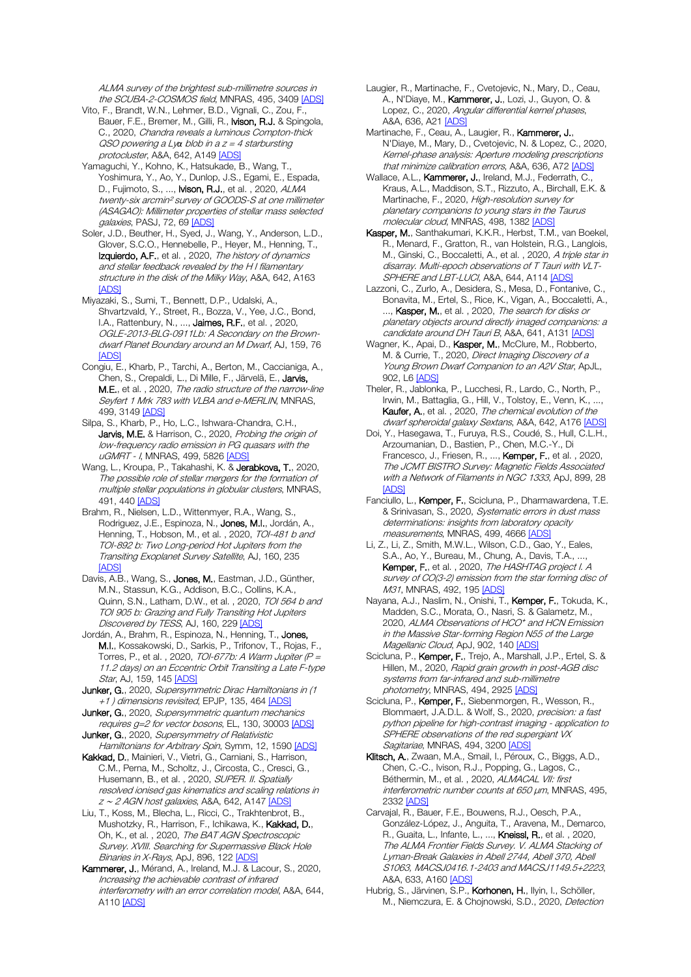ALMA survey of the brightest sub-millimetre sources in the SCUBA-2-COSMOS field, MNRAS, 495, 340[9 \[ADS\]](https://ui.adsabs.harvard.edu/#abs/2020MNRAS.495.3409S)

Vito, F., Brandt, W.N., Lehmer, B.D., Vignali, C., Zou, F., Bauer, F.E., Bremer, M., Gilli, R., Ivison, R.J. & Spingola, C., 2020, Chandra reveals a luminous Compton-thick QSO powering a Ly*α* blob in a z = 4 starbursting protocluster, A&A, 642, A14[9 \[ADS\]](https://ui.adsabs.harvard.edu/#abs/2020A%26A...642A.149V)

Yamaguchi, Y., Kohno, K., Hatsukade, B., Wang, T., Yoshimura, Y., Ao, Y., Dunlop, J.S., Egami, E., Espada, D., Fujimoto, S., ..., **Ivison, R.J.**, et al., 2020, ALMA twenty-six arcmin² survey of GOODS-S at one millimeter (ASAGAO): Millimeter properties of stellar mass selected galaxies, PASJ, 72, 69 [\[ADS\]](https://ui.adsabs.harvard.edu/#abs/2020PASJ...72...69Y)

Soler, J.D., Beuther, H., Syed, J., Wang, Y., Anderson, L.D., Glover, S.C.O., Hennebelle, P., Heyer, M., Henning, T., Izquierdo, A.F., et al., 2020, The history of dynamics and stellar feedback revealed by the H I filamentary structure in the disk of the Milky Way, A&A, 642, A163 [\[ADS\]](https://ui.adsabs.harvard.edu/#abs/2020A%26A...642A.163S)

Miyazaki, S., Sumi, T., Bennett, D.P., Udalski, A., Shvartzvald, Y., Street, R., Bozza, V., Yee, J.C., Bond, I.A., Rattenbury, N., ..., Jaimes, R.F., et al., 2020, OGLE-2013-BLG-0911Lb: A Secondary on the Browndwarf Planet Boundary around an M Dwarf, AJ, 159, 76 [\[ADS\]](https://ui.adsabs.harvard.edu/#abs/2020AJ....159...76M)

Congiu, E., Kharb, P., Tarchi, A., Berton, M., Caccianiga, A., Chen, S., Crepaldi, L., Di Mille, F., Järvelä, E., Jarvis, M.E., et al. , 2020, The radio structure of the narrow-line Seyfert 1 Mrk 783 with VLBA and e-MERLIN, MNRAS, 499, 3149 [\[ADS\]](https://ui.adsabs.harvard.edu/#abs/2020MNRAS.499.3149C)

Silpa, S., Kharb, P., Ho, L.C., Ishwara-Chandra, C.H., Jarvis, M.E. & Harrison, C., 2020, Probing the origin of low-frequency radio emission in PG quasars with the uGMRT - I, MNRAS, 499, 582[6 \[ADS\]](https://ui.adsabs.harvard.edu/#abs/2020MNRAS.499.5826S)

Wang, L., Kroupa, P., Takahashi, K. & Jerabkova, T., 2020, The possible role of stellar mergers for the formation of multiple stellar populations in globular clusters, MNRAS, 491, 44[0 \[ADS\]](https://ui.adsabs.harvard.edu/#abs/2020MNRAS.491..440W)

Brahm, R., Nielsen, L.D., Wittenmyer, R.A., Wang, S., Rodriguez, J.E., Espinoza, N., Jones, M.I., Jordán, A., Henning, T., Hobson, M., et al., 2020, TOI-481 b and TOI-892 b: Two Long-period Hot Jupiters from the Transiting Exoplanet Survey Satellite, AJ, 160, 235 **[\[ADS\]](https://ui.adsabs.harvard.edu/#abs/2020AJ....160..235B)** 

Davis, A.B., Wang, S., Jones, M., Eastman, J.D., Günther, M.N., Stassun, K.G., Addison, B.C., Collins, K.A., Quinn, S.N., Latham, D.W., et al., 2020, TOI 564 b and TOI 905 b: Grazing and Fully Transiting Hot Jupiters Discovered by TESS, AJ, 160, 229 [\[ADS\]](https://ui.adsabs.harvard.edu/#abs/2020AJ....160..229D)

Jordán, A., Brahm, R., Espinoza, N., Henning, T., Jones, M.I., Kossakowski, D., Sarkis, P., Trifonov, T., Rojas, F., Torres, P., et al., 2020, *TOI-677b: A Warm Jupiter (P =* 11.2 days) on an Eccentric Orbit Transiting a Late F-type Star, AJ, 159, 14[5 \[ADS\]](https://ui.adsabs.harvard.edu/#abs/2020AJ....159..145J)

Junker, G., 2020, Supersymmetric Dirac Hamiltonians in (1 +1 ) dimensions revisited, EPJP, 135, 46[4 \[ADS\]](https://ui.adsabs.harvard.edu/#abs/2020EPJP..135..464J)

Junker, G., 2020, Supersymmetric quantum mechanics requires g=2 for vector bosons, EL, 130, 3000[3 \[ADS\]](https://ui.adsabs.harvard.edu/#abs/2020EL....13030003J) Junker, G., 2020, Supersymmetry of Relativistic

Hamiltonians for Arbitrary Spin, Symm, 12, 159[0 \[ADS\]](https://ui.adsabs.harvard.edu/#abs/2020Symm...12.1590J) Kakkad, D., Mainieri, V., Vietri, G., Carniani, S., Harrison,

C.M., Perna, M., Scholtz, J., Circosta, C., Cresci, G., Husemann, B., et al., 2020, SUPER. II. Spatially resolved ionised gas kinematics and scaling relations in z ~ 2 AGN host galaxies, A&A, 642, A14[7 \[ADS\]](https://ui.adsabs.harvard.edu/#abs/2020A%26A...642A.147K)

Liu, T., Koss, M., Blecha, L., Ricci, C., Trakhtenbrot, B., Mushotzky, R., Harrison, F., Ichikawa, K., Kakkad, D., Oh, K., et al., 2020, The BAT AGN Spectroscopic Survey. XVIII. Searching for Supermassive Black Hole Binaries in X-Rays, ApJ, 896, 122 [\[ADS\]](https://ui.adsabs.harvard.edu/#abs/2020ApJ...896..122L)

Kammerer, J., Mérand, A., Ireland, M.J. & Lacour, S., 2020, Increasing the achievable contrast of infrared interferometry with an error correlation model, A&A, 644, A11[0 \[ADS\]](https://ui.adsabs.harvard.edu/#abs/2020A%26A...644A.110K)

Laugier, R., Martinache, F., Cvetojevic, N., Mary, D., Ceau, A., N'Diaye, M., Kammerer, J., Lozi, J., Guyon, O. & Lopez, C., 2020, Angular differential kernel phases, A&A, 636, A2[1 \[ADS\]](https://ui.adsabs.harvard.edu/#abs/2020A%26A...636A..21L)

Martinache, F., Ceau, A., Laugier, R., Kammerer, J., N'Diaye, M., Mary, D., Cvetojevic, N. & Lopez, C., 2020, Kernel-phase analysis: Aperture modeling prescriptions that minimize calibration errors, A&A, 636, A7[2 \[ADS\]](https://ui.adsabs.harvard.edu/#abs/2020A%26A...636A..72M)

Wallace, A.L., Kammerer, J., Ireland, M.J., Federrath, C. Kraus, A.L., Maddison, S.T., Rizzuto, A., Birchall, E.K. & Martinache, F., 2020, High-resolution survey for planetary companions to young stars in the Taurus molecular cloud, MNRAS, 498, 138[2 \[ADS\]](https://ui.adsabs.harvard.edu/#abs/2020MNRAS.498.1382W)

Kasper, M., Santhakumari, K.K.R., Herbst, T.M., van Boekel, R., Menard, F., Gratton, R., van Holstein, R.G., Langlois, M., Ginski, C., Boccaletti, A., et al. , 2020, A triple star in disarray. Multi-epoch observations of T Tauri with VLT-SPHERE and LBT-LUCI, A&A, 644, A11[4 \[ADS\]](https://ui.adsabs.harvard.edu/#abs/2020A%26A...644A.114K)

Lazzoni, C., Zurlo, A., Desidera, S., Mesa, D., Fontanive, C., Bonavita, M., Ertel, S., Rice, K., Vigan, A., Boccaletti, A., ..., Kasper, M., et al., 2020, The search for disks or planetary objects around directly imaged companions: a candidate around DH Tauri B, A&A, 641, A13[1 \[ADS\]](https://ui.adsabs.harvard.edu/#abs/2020A%26A...641A.131L)

Wagner, K., Apai, D., Kasper, M., McClure, M., Robberto, M. & Currie, T., 2020, Direct Imaging Discovery of a Young Brown Dwarf Companion to an A2V Star, ApJL, 902, L[6 \[ADS\]](https://ui.adsabs.harvard.edu/#abs/2020ApJ...902L...6W)

Theler, R., Jablonka, P., Lucchesi, R., Lardo, C., North, P., Irwin, M., Battaglia, G., Hill, V., Tolstoy, E., Venn, K., ..., Kaufer, A., et al. , 2020, The chemical evolution of the dwarf spheroidal galaxy Sextans, A&A, 642, A176 [\[ADS\]](https://ui.adsabs.harvard.edu/#abs/2020A%26A...642A.176T)

Doi, Y., Hasegawa, T., Furuya, R.S., Coudé, S., Hull, C.L.H., Arzoumanian, D., Bastien, P., Chen, M.C.-Y., Di Francesco, J., Friesen, R., ..., Kemper, F., et al. , 2020, The JCMT BISTRO Survey: Magnetic Fields Associated with a Network of Filaments in NGC 1333, ApJ, 899, 28 [\[ADS\]](https://ui.adsabs.harvard.edu/#abs/2020ApJ...899...28D)

Fanciullo, L., Kemper, F., Scicluna, P., Dharmawardena, T.E. & Srinivasan, S., 2020, Systematic errors in dust mass determinations: insights from laboratory opacity measurements, MNRAS, 499, 466[6 \[ADS\]](https://ui.adsabs.harvard.edu/#abs/2020MNRAS.499.4666F)

Li, Z., Li, Z., Smith, M.W.L., Wilson, C.D., Gao, Y., Eales, S.A., Ao, Y., Bureau, M., Chung, A., Davis, T.A., .. Kemper, F., et al., 2020, The HASHTAG project I. A survey of CO(3-2) emission from the star forming disc of M31, MNRAS, 492, 19[5 \[ADS\]](https://ui.adsabs.harvard.edu/#abs/2020MNRAS.492..195L)

Nayana, A.J., Naslim, N., Onishi, T., Kemper, F., Tokuda, K., Madden, S.C., Morata, O., Nasri, S. & Galametz, M., 2020, ALMA Observations of HCO<sup>+</sup> and HCN Emission in the Massive Star-forming Region N55 of the Large Magellanic Cloud, ApJ, 902, 140 [\[ADS\]](https://ui.adsabs.harvard.edu/#abs/2020ApJ...902..140N)

Scicluna, P., Kemper, F., Trejo, A., Marshall, J.P., Ertel, S. & Hillen, M., 2020, Rapid grain growth in post-AGB disc systems from far-infrared and sub-millimetre photometry, MNRAS, 494, 292[5 \[ADS\]](https://ui.adsabs.harvard.edu/#abs/2020MNRAS.494.2925S)

Scicluna, P., Kemper, F., Siebenmorgen, R., Wesson, R., Blommaert, J.A.D.L. & Wolf, S., 2020, precision: a fast python pipeline for high-contrast imaging - application to SPHERE observations of the red supergiant VX Sagitariae, MNRAS, 494, 3200 [\[ADS\]](https://ui.adsabs.harvard.edu/#abs/2020MNRAS.494.3200S)

Klitsch, A., Zwaan, M.A., Smail, I., Péroux, C., Biggs, A.D., Chen, C.-C., Ivison, R.J., Popping, G., Lagos, C., Béthermin, M., et al., 2020, ALMACAL VII: first interferometric number counts at 650 μm, MNRAS, 495, 2332 [\[ADS\]](https://ui.adsabs.harvard.edu/#abs/2020MNRAS.495.2332K)

Carvajal, R., Bauer, F.E., Bouwens, R.J., Oesch, P.A., González-López, J., Anguita, T., Aravena, M., Demarco, R., Guaita, L., Infante, L., ..., Kneissl, R., et al. , 2020, The ALMA Frontier Fields Survey. V. ALMA Stacking of Lyman-Break Galaxies in Abell 2744, Abell 370, Abell S1063, MACSJ0416.1-2403 and MACSJ1149.5+2223, A&A, 633, A16[0 \[ADS\]](https://ui.adsabs.harvard.edu/#abs/2020A%26A...633A.160C)

Hubrig, S., Järvinen, S.P., Korhonen, H., Ilyin, I., Schöller, M., Niemczura, E. & Chojnowski, S.D., 2020, Detection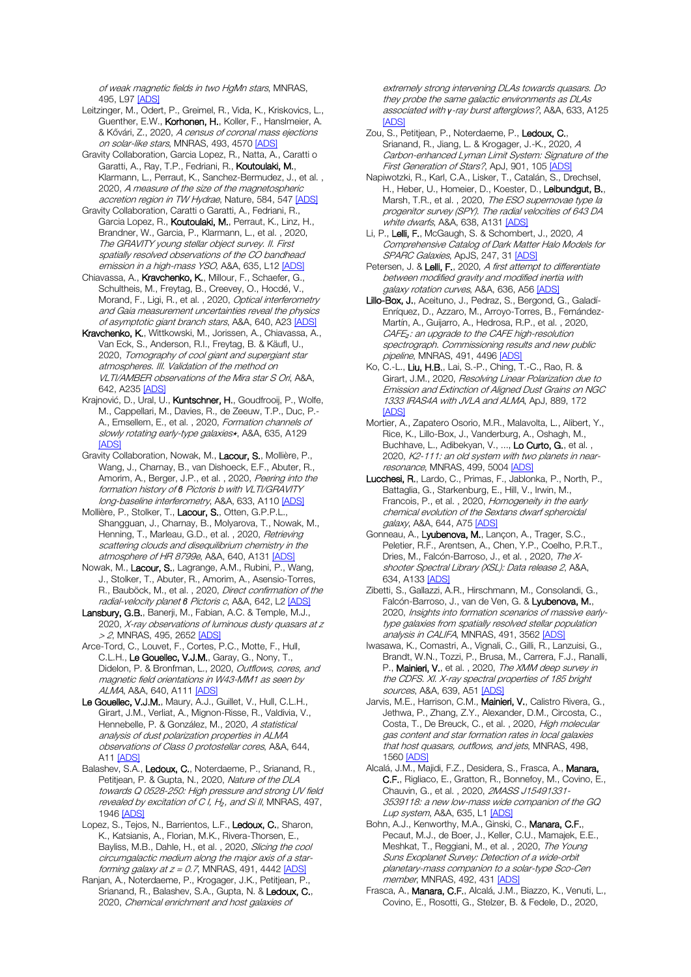of weak magnetic fields in two HgMn stars, MNRAS, 495 | 97 **[ADS]** 

Leitzinger, M., Odert, P., Greimel, R., Vida, K., Kriskovics, L., Guenther, E.W., Korhonen, H., Koller, F., Hanslmeier, A. & Kővári, Z., 2020, A census of coronal mass ejections on solar-like stars, MNRAS, 493, 4570 [\[ADS\]](https://ui.adsabs.harvard.edu/#abs/2020MNRAS.493.4570L)

Gravity Collaboration, Garcia Lopez, R., Natta, A., Caratti o Garatti, A., Ray, T.P., Fedriani, R., Koutoulaki, M., Klarmann, L., Perraut, K., Sanchez-Bermudez, J., et al. , 2020, A measure of the size of the magnetospheric accretion region in TW Hydrae, Nature, 584, 54[7 \[ADS\]](https://ui.adsabs.harvard.edu/#abs/2020Natur.584..547G)

Gravity Collaboration, Caratti o Garatti, A., Fedriani, R., Garcia Lopez, R., Koutoulaki, M., Perraut, K., Linz, H., Brandner, W., Garcia, P., Klarmann, L., et al. , 2020, The GRAVITY young stellar object survey. II. First spatially resolved observations of the CO bandhead emission in a high-mass YSO, A&A, 635, L12 [\[ADS\]](https://ui.adsabs.harvard.edu/#abs/2020A%26A...635L..12G)

Chiavassa, A., Kravchenko, K., Millour, F., Schaefer, G., Schultheis, M., Freytag, B., Creevey, O., Hocdé, V., Morand, F., Ligi, R., et al., 2020, Optical interferometry and Gaia measurement uncertainties reveal the physics of asymptotic giant branch stars, A&A, 640, A2[3 \[ADS\]](https://ui.adsabs.harvard.edu/#abs/2020A%26A...640A..23C)

Kravchenko, K., Wittkowski, M., Jorissen, A., Chiavassa, A., Van Eck, S., Anderson, R.I., Freytag, B. & Käufl, U., 2020, Tomography of cool giant and supergiant star atmospheres. III. Validation of the method on VLTI/AMBER observations of the Mira star S Ori, A&A, 642, A23[5 \[ADS\]](https://ui.adsabs.harvard.edu/#abs/2020A%26A...642A.235K)

Krajnović, D., Ural, U., Kuntschner, H., Goudfrooij, P., Wolfe, M., Cappellari, M., Davies, R., de Zeeuw, T.P., Duc, P.- A., Emsellem, E., et al., 2020, Formation channels of slowly rotating early-type galaxies\*, A&A, 635, A129 [\[ADS\]](https://ui.adsabs.harvard.edu/#abs/2020A%26A...635A.129K)

Gravity Collaboration, Nowak, M., Lacour, S., Mollière, P., Wang, J., Charnay, B., van Dishoeck, E.F., Abuter, R., Amorim, A., Berger, J.P., et al., 2020, Peering into the formation history of *β Pictoris b with VLTI/GRAVITY* long-baseline interferometry, A&A, 633, A11[0 \[ADS\]](https://ui.adsabs.harvard.edu/#abs/2020A%26A...633A.110G)

Mollière, P., Stolker, T., Lacour, S., Otten, G.P.P.L., Shangguan, J., Charnay, B., Molyarova, T., Nowak, M., Henning, T., Marleau, G.D., et al., 2020, Retrieving scattering clouds and disequilibrium chemistry in the atmosphere of HR 8799e, A&A, 640, A13[1 \[ADS\]](https://ui.adsabs.harvard.edu/#abs/2020A%26A...640A.131M)

Nowak, M., Lacour, S., Lagrange, A.M., Rubini, P., Wang, J., Stolker, T., Abuter, R., Amorim, A., Asensio-Torres, R., Bauböck, M., et al. , 2020, Direct confirmation of the radial-velocity planet *β Pictoris c*, A&A, 642, L[2 \[ADS\]](https://ui.adsabs.harvard.edu/#abs/2020A%26A...642L...2N)

Lansbury, G.B., Banerji, M., Fabian, A.C. & Temple, M.J., 2020, X-ray observations of luminous dusty quasars at z > 2, MNRAS, 495, 2652 [\[ADS\]](https://ui.adsabs.harvard.edu/#abs/2020MNRAS.495.2652L)

Arce-Tord, C., Louvet, F., Cortes, P.C., Motte, F., Hull, C.L.H., Le Gouellec, V.J.M., Garay, G., Nony, T., Didelon, P. & Bronfman, L., 2020, Outflows, cores, and magnetic field orientations in W43-MM1 as seen by ALMA, A&A, 640, A11[1 \[ADS\]](https://ui.adsabs.harvard.edu/#abs/2020A%26A...640A.111A)

Le Gouellec, V.J.M., Maury, A.J., Guillet, V., Hull, C.L.H., Girart, J.M., Verliat, A., Mignon-Risse, R., Valdivia, V., Hennebelle, P. & González, M., 2020, A statistical analysis of dust polarization properties in ALMA observations of Class 0 protostellar cores, A&A, 644, A11 [\[ADS\]](https://ui.adsabs.harvard.edu/#abs/2020A%26A...644A..11L)

Balashev, S.A., Ledoux, C., Noterdaeme, P., Srianand, R., Petitjean, P. & Gupta, N., 2020, Nature of the DLA towards Q 0528-250: High pressure and strong UV field revealed by excitation of C I,  $H_2$ , and Si II, MNRAS, 497, 1946 [\[ADS\]](https://ui.adsabs.harvard.edu/#abs/2020MNRAS.497.1946B)

Lopez, S., Tejos, N., Barrientos, L.F., Ledoux, C., Sharon, K., Katsianis, A., Florian, M.K., Rivera-Thorsen, E., Bayliss, M.B., Dahle, H., et al., 2020, Slicing the cool circumgalactic medium along the major axis of a starforming galaxy at  $z = 0.7$ , MNRAS, 491, 444[2 \[ADS\]](https://ui.adsabs.harvard.edu/#abs/2020MNRAS.491.4442L)

Ranjan, A., Noterdaeme, P., Krogager, J.K., Petitjean, P., Srianand, R., Balashev, S.A., Gupta, N. & Ledoux, C., 2020, Chemical enrichment and host galaxies of

extremely strong intervening DLAs towards quasars. Do they probe the same galactic environments as DLAs associated with *γ*-ray burst afterglows?, A&A, 633, A125 [\[ADS\]](https://ui.adsabs.harvard.edu/#abs/2020A%26A...633A.125R)

Zou, S., Petitjean, P., Noterdaeme, P., Ledoux, C., Srianand, R., Jiang, L. & Krogager, J.-K., 2020, A Carbon-enhanced Lyman Limit System: Signature of the First Generation of Stars?, ApJ, 901, 10[5 \[ADS\]](https://ui.adsabs.harvard.edu/#abs/2020ApJ...901..105Z)

Napiwotzki, R., Karl, C.A., Lisker, T., Catalán, S., Drechsel, H., Heber, U., Homeier, D., Koester, D., Leibundgut, B., Marsh, T.R., et al., 2020, The ESO supernovae type la progenitor survey (SPY). The radial velocities of 643 DA white dwarfs, A&A, 638, A131 [\[ADS\]](https://ui.adsabs.harvard.edu/#abs/2020A%26A...638A.131N)

Li, P., Lelli, F., McGaugh, S. & Schombert, J., 2020, A Comprehensive Catalog of Dark Matter Halo Models for SPARC Galaxies, ApJS, 247, 3[1 \[ADS\]](https://ui.adsabs.harvard.edu/#abs/2020ApJS..247...31L)

Petersen, J. & Lelli, F., 2020, A first attempt to differentiate between modified gravity and modified inertia with galaxy rotation curves, A&A, 636, A5[6 \[ADS\]](https://ui.adsabs.harvard.edu/#abs/2020A%26A...636A..56P)

Lillo-Box, J., Aceituno, J., Pedraz, S., Bergond, G., Galadí-Enríquez, D., Azzaro, M., Arroyo-Torres, B., Fernández-Martín, A., Guijarro, A., Hedrosa, R.P., et al. , 2020, CAFE<sub>2</sub>: an upgrade to the CAFE high-resolution spectrograph. Commissioning results and new public pipeline, MNRAS, 491, 449[6 \[ADS\]](https://ui.adsabs.harvard.edu/#abs/2020MNRAS.491.4496L)

Ko, C.-L., Liu, H.B., Lai, S.-P., Ching, T.-C., Rao, R. & Girart, J.M., 2020, Resolving Linear Polarization due to Emission and Extinction of Aligned Dust Grains on NGC 1333 IRAS4A with JVLA and ALMA, ApJ, 889, 172 [\[ADS\]](https://ui.adsabs.harvard.edu/#abs/2020ApJ...889..172K)

Mortier, A., Zapatero Osorio, M.R., Malavolta, L., Alibert, Y., Rice, K., Lillo-Box, J., Vanderburg, A., Oshagh, M., Buchhave, L., Adibekyan, V., ..., Lo Curto, G., et al. 2020, K2-111: an old system with two planets in near-resonance, MNRAS, 499, 500[4 \[ADS\]](https://ui.adsabs.harvard.edu/#abs/2020MNRAS.499.5004M)

Lucchesi, R., Lardo, C., Primas, F., Jablonka, P., North, P., Battaglia, G., Starkenburg, E., Hill, V., Irwin, M., Francois, P., et al., 2020, Homogeneity in the early chemical evolution of the Sextans dwarf spheroidal galaxy, A&A, 644, A7[5 \[ADS\]](https://ui.adsabs.harvard.edu/#abs/2020A%26A...644A..75L)

Gonneau, A., Lyubenova, M., Lançon, A., Trager, S.C. Peletier, R.F., Arentsen, A., Chen, Y.P., Coelho, P.R.T., Dries, M., Falcón-Barroso, J., et al., 2020, The Xshooter Spectral Library (XSL): Data release 2, A&A, 634, A13[3 \[ADS\]](https://ui.adsabs.harvard.edu/#abs/2020A%26A...634A.133G)

Zibetti, S., Gallazzi, A.R., Hirschmann, M., Consolandi, G., Falcón-Barroso, J., van de Ven, G. & Lyubenova, M., 2020, Insights into formation scenarios of massive earlytype galaxies from spatially resolved stellar population analysis in CALIFA, MNRAS, 491, 356[2 \[ADS\]](https://ui.adsabs.harvard.edu/#abs/2020MNRAS.491.3562Z)

Iwasawa, K., Comastri, A., Vignali, C., Gilli, R., Lanzuisi, G., Brandt, W.N., Tozzi, P., Brusa, M., Carrera, F.J., Ranalli, P., Mainieri, V., et al., 2020, The XMM deep survey in the CDFS. XI. X-ray spectral properties of 185 bright sources, A&A, 639, A51 [AD

Jarvis, M.E., Harrison, C.M., Mainieri, V., Calistro Rivera, G., Jethwa, P., Zhang, Z.Y., Alexander, D.M., Circosta, C., Costa, T., De Breuck, C., et al. , 2020, High molecular gas content and star formation rates in local galaxies that host quasars, outflows, and jets, MNRAS, 498, 1560 [\[ADS\]](https://ui.adsabs.harvard.edu/#abs/2020MNRAS.498.1560J)

Alcalá, J.M., Majidi, F.Z., Desidera, S., Frasca, A., Manara, C.F., Rigliaco, E., Gratton, R., Bonnefoy, M., Covino, E., Chauvin, G., et al. , 2020, 2MASS J15491331- 3539118: a new low-mass wide companion of the GQ Lup system, A&A, 635, L[1 \[ADS\]](https://ui.adsabs.harvard.edu/#abs/2020A%26A...635L...1A)

Bohn, A.J., Kenworthy, M.A., Ginski, C., Manara, C.F., Pecaut, M.J., de Boer, J., Keller, C.U., Mamajek, E.E., Meshkat, T., Reggiani, M., et al. , 2020, The Young Suns Exoplanet Survey: Detection of a wide-orbit planetary-mass companion to a solar-type Sco-Cen member, MNRAS, 492, 43[1 \[ADS\]](https://ui.adsabs.harvard.edu/#abs/2020MNRAS.492..431B)

Frasca, A., Manara, C.F., Alcalá, J.M., Biazzo, K., Venuti, L., Covino, E., Rosotti, G., Stelzer, B. & Fedele, D., 2020,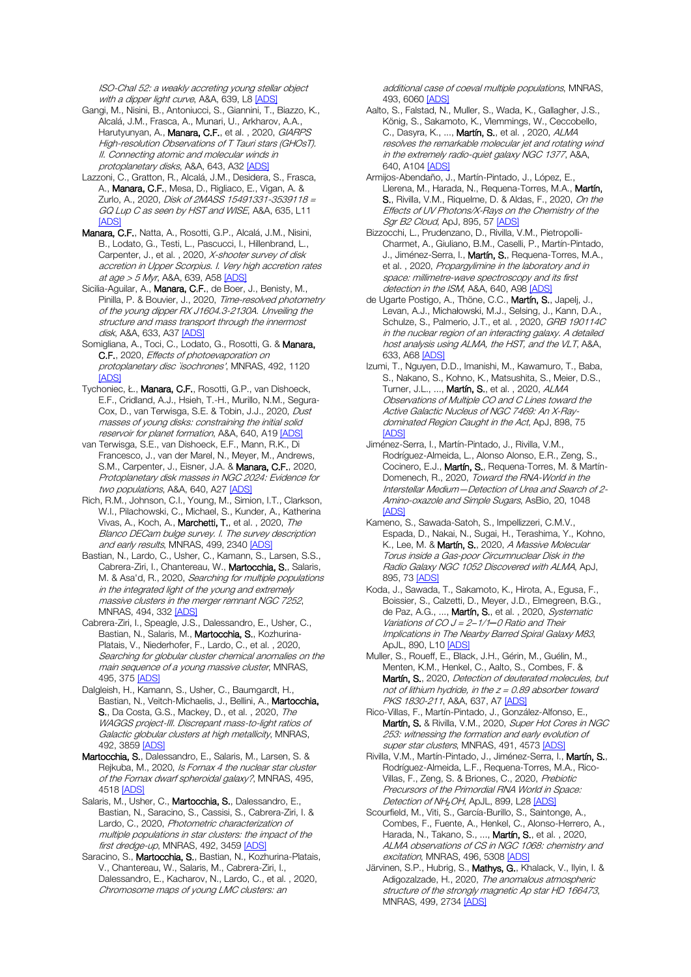ISO-ChaI 52: a weakly accreting young stellar object with a dipper light curve, A&A, 639, L[8 \[ADS\]](https://ui.adsabs.harvard.edu/#abs/2020A%26A...639L...8F)

- Gangi, M., Nisini, B., Antoniucci, S., Giannini, T., Biazzo, K., Alcalá, J.M., Frasca, A., Munari, U., Arkharov, A.A., Harutyunyan, A., Manara, C.F., et al., 2020, GIARPS High-resolution Observations of T Tauri stars (GHOsT). II. Connecting atomic and molecular winds in protoplanetary disks, A&A, 643, A3[2 \[ADS\]](https://ui.adsabs.harvard.edu/#abs/2020A%26A...643A..32G)
- Lazzoni, C., Gratton, R., Alcalá, J.M., Desidera, S., Frasca, A., Manara, C.F., Mesa, D., Rigliaco, E., Vigan, A. & Zurlo, A., 2020, *Disk of 2MASS 15491331-3539118 =* GQ Lup C as seen by HST and WISE, A&A, 635, L11 [\[ADS\]](https://ui.adsabs.harvard.edu/#abs/2020A%26A...635L..11L)
- Manara, C.F., Natta, A., Rosotti, G.P., Alcalá, J.M., Nisini, B., Lodato, G., Testi, L., Pascucci, I., Hillenbrand, L., Carpenter, J., et al., 2020, X-shooter survey of disk accretion in Upper Scorpius. I. Very high accretion rates at age > 5 Myr, A&A, 639, A58 [\[ADS\]](https://ui.adsabs.harvard.edu/#abs/2020A%26A...639A..58M)
- Sicilia-Aguilar, A., Manara, C.F., de Boer, J., Benisty, M., Pinilla, P. & Bouvier, J., 2020, Time-resolved photometry of the young dipper RX J1604.3-2130A. Unveiling the structure and mass transport through the innermost disk, A&A, 633, A3[7 \[ADS\]](https://ui.adsabs.harvard.edu/#abs/2020A%26A...633A..37S)
- Somigliana, A., Toci, C., Lodato, G., Rosotti, G. & Manara, C.F., 2020, Effects of photoevaporation on protoplanetary disc `isochrones', MNRAS, 492, 1120 [\[ADS\]](https://ui.adsabs.harvard.edu/#abs/2020MNRAS.492.1120S)
- Tychoniec, Ł., Manara, C.F., Rosotti, G.P., van Dishoeck, E.F., Cridland, A.J., Hsieh, T.-H., Murillo, N.M., Segura-Cox, D., van Terwisga, S.E. & Tobin, J.J., 2020, Dust masses of young disks: constraining the initial solid reservoir for planet formation, A&A, 640, A1[9 \[ADS\]](https://ui.adsabs.harvard.edu/#abs/2020A%26A...640A..19T)

van Terwisga, S.E., van Dishoeck, E.F., Mann, R.K., Di Francesco, J., van der Marel, N., Meyer, M., Andrews, S.M., Carpenter, J., Eisner, J.A. & Manara, C.F., 2020, Protoplanetary disk masses in NGC 2024: Evidence for two populations, A&A, 640, A27 [\[ADS\]](https://ui.adsabs.harvard.edu/#abs/2020A%26A...640A..27V)

- Rich, R.M., Johnson, C.I., Young, M., Simion, I.T., Clarkson, W.I., Pilachowski, C., Michael, S., Kunder, A., Katherina Vivas, A., Koch, A., Marchetti, T., et al., 2020, The Blanco DECam bulge survey. I. The survey description and early results, MNRAS, 499, 234[0 \[ADS\]](https://ui.adsabs.harvard.edu/#abs/2020MNRAS.499.2340R)
- Bastian, N., Lardo, C., Usher, C., Kamann, S., Larsen, S.S., Cabrera-Ziri, I., Chantereau, W., Martocchia, S., Salaris, M. & Asa'd, R., 2020, Searching for multiple populations in the integrated light of the young and extremely massive clusters in the merger remnant NGC 7252, MNRAS, 494, 33[2 \[ADS\]](https://ui.adsabs.harvard.edu/#abs/2020MNRAS.494..332B)
- Cabrera-Ziri, I., Speagle, J.S., Dalessandro, E., Usher, C., Bastian, N., Salaris, M., Martocchia, S., Kozhurina-Platais, V., Niederhofer, F., Lardo, C., et al. , 2020, Searching for globular cluster chemical anomalies on the main sequence of a young massive cluster, MNRAS, 495, 37[5 \[ADS\]](https://ui.adsabs.harvard.edu/#abs/2020MNRAS.495..375C)
- Dalgleish, H., Kamann, S., Usher, C., Baumgardt, H., Bastian, N., Veitch-Michaelis, J., Bellini, A., Martocchia, S., Da Costa, G.S., Mackey, D., et al. , 2020, The WAGGS project-III. Discrepant mass-to-light ratios of Galactic globular clusters at high metallicity, MNRAS, 492, 3859 [\[ADS\]](https://ui.adsabs.harvard.edu/#abs/2020MNRAS.492.3859D)
- Martocchia, S., Dalessandro, E., Salaris, M., Larsen, S. & Rejkuba, M., 2020, Is Fornax 4 the nuclear star cluster of the Fornax dwarf spheroidal galaxy?, MNRAS, 495, 4518 [\[ADS\]](https://ui.adsabs.harvard.edu/#abs/2020MNRAS.495.4518M)
- Salaris, M., Usher, C., Martocchia, S., Dalessandro, E., Bastian, N., Saracino, S., Cassisi, S., Cabrera-Ziri, I. & Lardo, C., 2020, Photometric characterization of multiple populations in star clusters: the impact of the first dredge-up, MNRAS, 492, 3459 [\[ADS\]](https://ui.adsabs.harvard.edu/#abs/2020MNRAS.492.3459S)
- Saracino, S., Martocchia, S., Bastian, N., Kozhurina-Platais, V., Chantereau, W., Salaris, M., Cabrera-Ziri, I., Dalessandro, E., Kacharov, N., Lardo, C., et al. , 2020, Chromosome maps of young LMC clusters: an

additional case of coeval multiple populations, MNRAS, 493, 606[0 \[ADS\]](https://ui.adsabs.harvard.edu/#abs/2020MNRAS.493.6060S)

- Aalto, S., Falstad, N., Muller, S., Wada, K., Gallagher, J.S., König, S., Sakamoto, K., Vlemmings, W., Ceccobello, C., Dasyra, K., ..., Martín, S., et al. , 2020, ALMA resolves the remarkable molecular jet and rotating wind in the extremely radio-quiet galaxy NGC 1377, A&A, 640, A10[4 \[ADS\]](https://ui.adsabs.harvard.edu/#abs/2020A%26A...640A.104A)
- Armijos-Abendaño, J., Martín-Pintado, J., López, E., Llerena, M., Harada, N., Requena-Torres, M.A., Martín, S., Rivilla, V.M., Riquelme, D. & Aldas, F., 2020, On the Effects of UV Photons/X-Rays on the Chemistry of the Sgr B2 Cloud, ApJ, 895, 57 [\[ADS\]](https://ui.adsabs.harvard.edu/#abs/2020ApJ...895...57A)
- Bizzocchi, L., Prudenzano, D., Rivilla, V.M., Pietropolli-Charmet, A., Giuliano, B.M., Caselli, P., Martín-Pintado, J., Jiménez-Serra, I., Martín, S., Requena-Torres, M.A., et al. , 2020, Propargylimine in the laboratory and in space: millimetre-wave spectroscopy and its first detection in the ISM, A&A, 640, A9[8 \[ADS\]](https://ui.adsabs.harvard.edu/#abs/2020A%26A...640A..98B)
- de Ugarte Postigo, A., Thöne, C.C., Martín, S., Japelj, J., Levan, A.J., Michałowski, M.J., Selsing, J., Kann, D.A., Schulze, S., Palmerio, J.T., et al. , 2020, GRB 190114C in the nuclear region of an interacting galaxy. A detailed host analysis using ALMA, the HST, and the VLT, A&A, 633, A6[8 \[ADS\]](https://ui.adsabs.harvard.edu/#abs/2020A%26A...633A..68D)
- Izumi, T., Nguyen, D.D., Imanishi, M., Kawamuro, T., Baba, S., Nakano, S., Kohno, K., Matsushita, S., Meier, D.S., Turner, J.L., ..., Martín, S., et al., 2020, ALMA Observations of Multiple CO and C Lines toward the Active Galactic Nucleus of NGC 7469: An X-Raydominated Region Caught in the Act, ApJ, 898, 75 [\[ADS\]](https://ui.adsabs.harvard.edu/#abs/2020ApJ...898...75I)
- Jiménez-Serra, I., Martín-Pintado, J., Rivilla, V.M., Rodríguez-Almeida, L., Alonso Alonso, E.R., Zeng, S., Cocinero, E.J., Martín, S., Requena-Torres, M. & Martín-Domenech, R., 2020, Toward the RNA-World in the Interstellar Medium—Detection of Urea and Search of 2- Amino-oxazole and Simple Sugars, AsBio, 20, 1048 **[\[ADS\]](https://ui.adsabs.harvard.edu/#abs/2020AsBio..20.1048J)**
- Kameno, S., Sawada-Satoh, S., Impellizzeri, C.M.V., Espada, D., Nakai, N., Sugai, H., Terashima, Y., Kohno, K., Lee, M. & Martín, S., 2020, A Massive Molecular Torus inside a Gas-poor Circumnuclear Disk in the Radio Galaxy NGC 1052 Discovered with ALMA, ApJ, 895, 7[3 \[ADS\]](https://ui.adsabs.harvard.edu/#abs/2020ApJ...895...73K)
- Koda, J., Sawada, T., Sakamoto, K., Hirota, A., Egusa, F., Boissier, S., Calzetti, D., Meyer, J.D., Elmegreen, B.G., de Paz, A.G., ..., Martín, S., et al., 2020, Systematic Variations of CO J = 2−1/1*─*0 Ratio and Their Implications in The Nearby Barred Spiral Galaxy M83, ApJL, 890, L1[0 \[ADS\]](https://ui.adsabs.harvard.edu/#abs/2020ApJ...890L..10K)
- Muller, S., Roueff, E., Black, J.H., Gérin, M., Guélin, M., Menten, K.M., Henkel, C., Aalto, S., Combes, F. & Martín, S., 2020, Detection of deuterated molecules, but not of lithium hydride, in the  $z = 0.89$  absorber toward PKS 1830-211, A&A, 637, A[7 \[ADS\]](https://ui.adsabs.harvard.edu/#abs/2020A%26A...637A...7M)
- Rico-Villas, F., Martín-Pintado, J., González-Alfonso, E., Martín, S. & Rivilla, V.M., 2020, Super Hot Cores in NGC 253: witnessing the formation and early evolution of super star clusters, MNRAS, 491, 457[3 \[ADS\]](https://ui.adsabs.harvard.edu/#abs/2020MNRAS.491.4573R)
- Rivilla, V.M., Martín-Pintado, J., Jiménez-Serra, I., Martín, S., Rodríguez-Almeida, L.F., Requena-Torres, M.A., Rico-Villas, F., Zeng, S. & Briones, C., 2020, Prebiotic Precursors of the Primordial RNA World in Space: Detection of NH<sub>2</sub>OH, ApJL, 899, L2[8 \[ADS\]](https://ui.adsabs.harvard.edu/#abs/2020ApJ...899L..28R)
- Scourfield, M., Viti, S., García-Burillo, S., Saintonge, A., Combes, F., Fuente, A., Henkel, C., Alonso-Herrero, A., Harada, N., Takano, S., ..., Martín, S., et al. , 2020, ALMA observations of CS in NGC 1068: chemistry and excitation, MNRAS, 496, 5308 [\[ADS\]](https://ui.adsabs.harvard.edu/#abs/2020MNRAS.496.5308S)
- Järvinen, S.P., Hubrig, S., Mathys, G., Khalack, V., Ilyin, I. & Adigozalzade, H., 2020, The anomalous atmospheric structure of the strongly magnetic Ap star HD 166473, MNRAS, 499, 273[4 \[ADS\]](https://ui.adsabs.harvard.edu/#abs/2020MNRAS.499.2734J)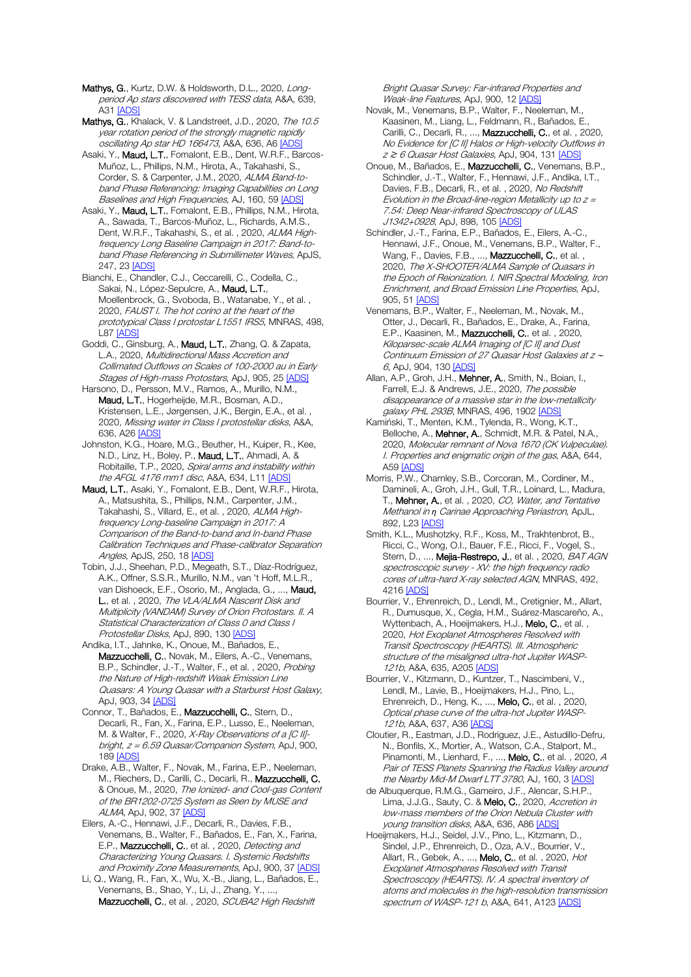Mathys, G., Kurtz, D.W. & Holdsworth, D.L., 2020, Longperiod Ap stars discovered with TESS data, A&A, 639, A31 [\[ADS\]](https://ui.adsabs.harvard.edu/#abs/2020A%26A...639A..31M)

Mathys, G., Khalack, V. & Landstreet, J.D., 2020, The 10.5 year rotation period of the strongly magnetic rapidly oscillating Ap star HD 166473, A&A, 636, A[6 \[ADS\]](https://ui.adsabs.harvard.edu/#abs/2020A%26A...636A...6M)

Asaki, Y., Maud, L.T., Fomalont, E.B., Dent, W.R.F., Barcos-Muñoz, L., Phillips, N.M., Hirota, A., Takahashi, S., Corder, S. & Carpenter, J.M., 2020, ALMA Band-toband Phase Referencing: Imaging Capabilities on Long Baselines and High Frequencies, AJ, 160, 5[9 \[ADS\]](https://ui.adsabs.harvard.edu/#abs/2020AJ....160...59A)

Asaki, Y., Maud, L.T., Fomalont, E.B., Phillips, N.M., Hirota, A., Sawada, T., Barcos-Muñoz, L., Richards, A.M.S., Dent, W.R.F., Takahashi, S., et al., 2020, ALMA Highfrequency Long Baseline Campaign in 2017: Band-toband Phase Referencing in Submillimeter Waves, ApJS, 247, 23 [\[ADS\]](https://ui.adsabs.harvard.edu/#abs/2020ApJS..247...23A)

Bianchi, E., Chandler, C.J., Ceccarelli, C., Codella, C., Sakai, N., López-Sepulcre, A., Maud, L.T., Moellenbrock, G., Svoboda, B., Watanabe, Y., et al. , 2020, FAUST I. The hot corino at the heart of the prototypical Class I protostar L1551 IRS5, MNRAS, 498, L8[7 \[ADS\]](https://ui.adsabs.harvard.edu/#abs/2020MNRAS.498L..87B)

Goddi, C., Ginsburg, A., Maud, L.T., Zhang, Q. & Zapata, L.A., 2020, Multidirectional Mass Accretion and Collimated Outflows on Scales of 100-2000 au in Early Stages of High-mass Protostars, ApJ, 905, 2[5 \[ADS\]](https://ui.adsabs.harvard.edu/#abs/2020ApJ...905...25G)

Harsono, D., Persson, M.V., Ramos, A., Murillo, N.M., Maud, L.T., Hogerheijde, M.R., Bosman, A.D., Kristensen, L.E., Jørgensen, J.K., Bergin, E.A., et al. , 2020, Missing water in Class I protostellar disks, A&A, 636, A26 [\[ADS\]](https://ui.adsabs.harvard.edu/#abs/2020A%26A...636A..26H)

Johnston, K.G., Hoare, M.G., Beuther, H., Kuiper, R., Kee, N.D., Linz, H., Boley, P., Maud, L.T., Ahmadi, A. & Robitaille, T.P., 2020, Spiral arms and instability within the AFGL 4176 mm1 disc, A&A, 634, L11 [\[ADS\]](https://ui.adsabs.harvard.edu/#abs/2020A%26A...634L..11J)

Maud, L.T., Asaki, Y., Fomalont, E.B., Dent, W.R.F., Hirota, A., Matsushita, S., Phillips, N.M., Carpenter, J.M., Takahashi, S., Villard, E., et al. , 2020, ALMA Highfrequency Long-baseline Campaign in 2017: A Comparison of the Band-to-band and In-band Phase Calibration Techniques and Phase-calibrator Separation Angles, ApJS, 250, 1[8 \[ADS\]](https://ui.adsabs.harvard.edu/#abs/2020ApJS..250...18M)

Tobin, J.J., Sheehan, P.D., Megeath, S.T., Díaz-Rodríguez, A.K., Offner, S.S.R., Murillo, N.M., van 't Hoff, M.L.R., van Dishoeck, E.F., Osorio, M., Anglada, G., ..., Maud, L., et al., 2020, The VLA/ALMA Nascent Disk and Multiplicity (VANDAM) Survey of Orion Protostars. II. A Statistical Characterization of Class 0 and Class I Protostellar Disks, ApJ, 890, 13[0 \[ADS\]](https://ui.adsabs.harvard.edu/#abs/2020ApJ...890..130T)

Andika, I.T., Jahnke, K., Onoue, M., Bañados, E., Mazzucchelli, C., Novak, M., Eilers, A.-C., Venemans, B.P., Schindler, J.-T., Walter, F., et al., 2020, Probing the Nature of High-redshift Weak Emission Line Quasars: A Young Quasar with a Starburst Host Galaxy, ApJ, 903, 34 [\[ADS\]](https://ui.adsabs.harvard.edu/#abs/2020ApJ...903...34A)

Connor, T., Bañados, E., Mazzucchelli, C., Stern, D., Decarli, R., Fan, X., Farina, E.P., Lusso, E., Neeleman, M. & Walter, F., 2020, X-Ray Observations of a [C II]bright, z = 6.59 Quasar/Companion System, ApJ, 900, 18[9 \[ADS\]](https://ui.adsabs.harvard.edu/#abs/2020ApJ...900..189C)

Drake, A.B., Walter, F., Novak, M., Farina, E.P., Neeleman, M., Riechers, D., Carilli, C., Decarli, R., Mazzucchelli, C. & Onoue, M., 2020, The Ionized- and Cool-gas Content of the BR1202-0725 System as Seen by MUSE and ALMA, ApJ, 902, 3[7 \[ADS\]](https://ui.adsabs.harvard.edu/#abs/2020ApJ...902...37D)

Eilers, A.-C., Hennawi, J.F., Decarli, R., Davies, F.B., Venemans, B., Walter, F., Bañados, E., Fan, X., Farina, E.P., Mazzucchelli, C., et al., 2020, Detecting and Characterizing Young Quasars. I. Systemic Redshifts and Proximity Zone Measurements, ApJ, 900, 3[7 \[ADS\]](https://ui.adsabs.harvard.edu/#abs/2020ApJ...900...37E)

Li, Q., Wang, R., Fan, X., Wu, X.-B., Jiang, L., Bañados, E., Venemans, B., Shao, Y., Li, J., Zhang, Y., ..., Mazzucchelli, C., et al., 2020, SCUBA2 High Redshift

Bright Quasar Survey: Far-infrared Properties and Weak-line Features, ApJ, 900, 1[2 \[ADS\]](https://ui.adsabs.harvard.edu/#abs/2020ApJ...900...12L)

Novak, M., Venemans, B.P., Walter, F., Neeleman, M., Kaasinen, M., Liang, L., Feldmann, R., Bañados, E., Carilli, C., Decarli, R., ..., Mazzucchelli, C., et al., 2020, No Evidence for [C II] Halos or High-velocity Outflows in z ≥ 6 Quasar Host Galaxies, ApJ, 904, 13[1 \[ADS\]](https://ui.adsabs.harvard.edu/#abs/2020ApJ...904..131N)

Onoue, M., Bañados, E., Mazzucchelli, C., Venemans, B.P., Schindler, J.-T., Walter, F., Hennawi, J.F., Andika, I.T., Davies, F.B., Decarli, R., et al., 2020, No Redshift Evolution in the Broad-line-region Metallicity up to  $z =$ 7.54: Deep Near-infrared Spectroscopy of ULAS J1342+0928, ApJ, 898, 105 [\[ADS\]](https://ui.adsabs.harvard.edu/#abs/2020ApJ...898..105O)

Schindler, J.-T., Farina, E.P., Bañados, E., Eilers, A.-C. Hennawi, J.F., Onoue, M., Venemans, B.P., Walter, F., Wang, F., Davies, F.B., ..., Mazzucchelli, C., et al., 2020, The X-SHOOTER/ALMA Sample of Quasars in the Epoch of Reionization. I. NIR Spectral Modeling, Iron Enrichment, and Broad Emission Line Properties, ApJ, 905, 5[1 \[ADS\]](https://ui.adsabs.harvard.edu/#abs/2020ApJ...905...51S)

Venemans, B.P., Walter, F., Neeleman, M., Novak, M., Otter, J., Decarli, R., Bañados, E., Drake, A., Farina, E.P., Kaasinen, M., Mazzucchelli, C., et al. , 2020, Kiloparsec-scale ALMA Imaging of [C II] and Dust Continuum Emission of 27 Quasar Host Galaxies at z <sup>∼</sup> 6, ApJ, 904, 130 [\[ADS\]](https://ui.adsabs.harvard.edu/#abs/2020ApJ...904..130V)

Allan, A.P., Groh, J.H., Mehner, A., Smith, N., Boian, I., Farrell, E.J. & Andrews, J.E., 2020, The possible disappearance of a massive star in the low-metallicity galaxy PHL 293B, MNRAS, 496, 1902 [\[ADS\]](https://ui.adsabs.harvard.edu/#abs/2020MNRAS.496.1902A)

Kamiński, T., Menten, K.M., Tylenda, R., Wong, K.T., Belloche, A., Mehner, A., Schmidt, M.R. & Patel, N.A., 2020, Molecular remnant of Nova 1670 (CK Vulpeculae). I. Properties and enigmatic origin of the gas, A&A, 644, **A59 [\[ADS\]](https://ui.adsabs.harvard.edu/#abs/2020A%26A...644A..59K)** 

Morris, P.W., Charnley, S.B., Corcoran, M., Cordiner, M., Damineli, A., Groh, J.H., Gull, T.R., Loinard, L., Madura, T., Mehner, A., et al., 2020, CO, Water, and Tentative Methanol in *η* Carinae Approaching Periastron, ApJL, 892, L23 [\[ADS\]](https://ui.adsabs.harvard.edu/#abs/2020ApJ...892L..23M)

Smith, K.L., Mushotzky, R.F., Koss, M., Trakhtenbrot, B., Ricci, C., Wong, O.I., Bauer, F.E., Ricci, F., Vogel, S., Stern, D., ..., Mejia-Restrepo, J., et al., 2020, BAT AGN spectroscopic survey - XV: the high frequency radio cores of ultra-hard X-ray selected AGN, MNRAS, 492, 4216 [\[ADS\]](https://ui.adsabs.harvard.edu/#abs/2020MNRAS.492.4216S)

Bourrier, V., Ehrenreich, D., Lendl, M., Cretignier, M., Allart, R., Dumusque, X., Cegla, H.M., Suárez-Mascareño, A., Wyttenbach, A., Hoeijmakers, H.J., Melo, C., et al. 2020, Hot Exoplanet Atmospheres Resolved with Transit Spectroscopy (HEARTS). III. Atmospheric structure of the misaligned ultra-hot Jupiter WASP-121b, A&A, 635, A205 [\[ADS\]](https://ui.adsabs.harvard.edu/#abs/2020A%26A...635A.205B)

Bourrier, V., Kitzmann, D., Kuntzer, T., Nascimbeni, V., Lendl, M., Lavie, B., Hoeijmakers, H.J., Pino, L., Ehrenreich, D., Heng, K., ..., Melo, C., et al. , 2020, Optical phase curve of the ultra-hot Jupiter WASP-121b, A&A, 637, A3[6 \[ADS\]](https://ui.adsabs.harvard.edu/#abs/2020A%26A...637A..36B)

Cloutier, R., Eastman, J.D., Rodriguez, J.E., Astudillo-Defru, N., Bonfils, X., Mortier, A., Watson, C.A., Stalport, M., Pinamonti, M., Lienhard, F., ..., Melo, C., et al., 2020, A Pair of TESS Planets Spanning the Radius Valley around the Nearby Mid-M Dwarf LTT 3780, AJ, 160, [3 \[ADS\]](https://ui.adsabs.harvard.edu/#abs/2020AJ....160....3C)

de Albuquerque, R.M.G., Gameiro, J.F., Alencar, S.H.P., Lima, J.J.G., Sauty, C. & Melo, C., 2020, Accretion in low-mass members of the Orion Nebula Cluster with young transition disks, A&A, 636, A86 [\[ADS\]](https://ui.adsabs.harvard.edu/#abs/2020A%26A...636A..86D)

Hoeijmakers, H.J., Seidel, J.V., Pino, L., Kitzmann, D., Sindel, J.P., Ehrenreich, D., Oza, A.V., Bourrier, V., Allart, R., Gebek, A., ..., Melo, C., et al., 2020, Hot Exoplanet Atmospheres Resolved with Transit Spectroscopy (HEARTS). IV. A spectral inventory of atoms and molecules in the high-resolution transmission spectrum of WASP-121 b, A&A, 641, A123 [\[ADS\]](https://ui.adsabs.harvard.edu/#abs/2020A%26A...641A.123H)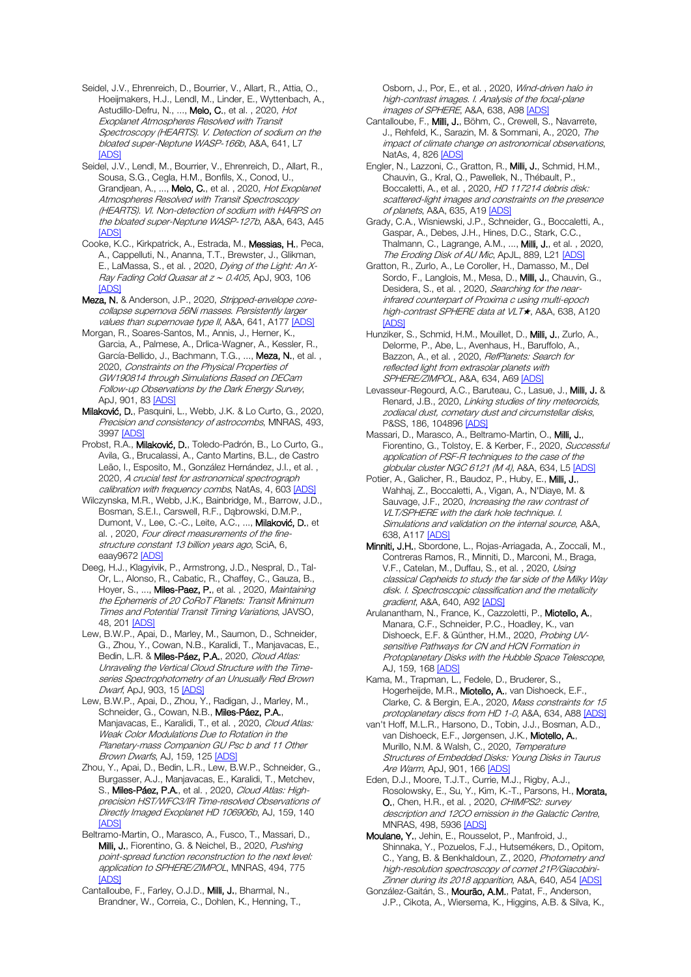- Seidel, J.V., Ehrenreich, D., Bourrier, V., Allart, R., Attia, O., Hoeijmakers, H.J., Lendl, M., Linder, E., Wyttenbach, A., Astudillo-Defru, N., ..., Melo, C., et al. , 2020, Hot Exoplanet Atmospheres Resolved with Transit Spectroscopy (HEARTS). V. Detection of sodium on the bloated super-Neptune WASP-166b, A&A, 641, L7 [\[ADS\]](https://ui.adsabs.harvard.edu/#abs/2020A%26A...641L...7S)
- Seidel, J.V., Lendl, M., Bourrier, V., Ehrenreich, D., Allart, R., Sousa, S.G., Cegla, H.M., Bonfils, X., Conod, U., Grandjean, A., ..., Melo, C., et al., 2020, Hot Exoplanet Atmospheres Resolved with Transit Spectroscopy (HEARTS). VI. Non-detection of sodium with HARPS on the bloated super-Neptune WASP-127b, A&A, 643, A45 **[\[ADS\]](https://ui.adsabs.harvard.edu/#abs/2020A%26A...643A..45S)**
- Cooke, K.C., Kirkpatrick, A., Estrada, M., Messias, H., Peca, A., Cappelluti, N., Ananna, T.T., Brewster, J., Glikman, E., LaMassa, S., et al. , 2020, Dying of the Light: An X-Ray Fading Cold Quasar at z <sup>∼</sup> 0.405, ApJ, 903, 106 [\[ADS\]](https://ui.adsabs.harvard.edu/#abs/2020ApJ...903..106C)
- Meza, N. & Anderson, J.P., 2020, Stripped-envelope corecollapse supernova 56Ni masses. Persistently larger values than supernovae type II, A&A, 641, A17[7 \[ADS\]](https://ui.adsabs.harvard.edu/#abs/2020A%26A...641A.177M)
- Morgan, R., Soares-Santos, M., Annis, J., Herner, K., Garcia, A., Palmese, A., Drlica-Wagner, A., Kessler, R., García-Bellido, J., Bachmann, T.G., ..., Meza, N., et al., 2020, Constraints on the Physical Properties of GW190814 through Simulations Based on DECam Follow-up Observations by the Dark Energy Survey, ApJ, 901, 83 [\[ADS\]](https://ui.adsabs.harvard.edu/#abs/2020ApJ...901...83M)
- Milaković, D., Pasquini, L., Webb, J.K. & Lo Curto, G., 2020, Precision and consistency of astrocombs, MNRAS, 493, 3997 [\[ADS\]](https://ui.adsabs.harvard.edu/#abs/2020MNRAS.493.3997M)
- Probst, R.A., Milaković, D., Toledo-Padrón, B., Lo Curto, G., Avila, G., Brucalassi, A., Canto Martins, B.L., de Castro Leão, I., Esposito, M., González Hernández, J.I., et al. , 2020, A crucial test for astronomical spectrograph calibration with frequency combs, NatAs, 4, 603 [\[ADS\]](https://ui.adsabs.harvard.edu/#abs/2020NatAs...4..603P)
- Wilczynska, M.R., Webb, J.K., Bainbridge, M., Barrow, J.D., Bosman, S.E.I., Carswell, R.F., Dąbrowski, D.M.P., Dumont, V., Lee, C.-C., Leite, A.C., ..., Milaković, D., et al., 2020, Four direct measurements of the finestructure constant 13 billion years ago, SciA, 6, eaay967[2 \[ADS\]](https://ui.adsabs.harvard.edu/#abs/2020SciA....6.9672W)
- Deeg, H.J., Klagyivik, P., Armstrong, J.D., Nespral, D., Tal-Or, L., Alonso, R., Cabatic, R., Chaffey, C., Gauza, B., Hoyer, S., ..., Miles-Paez, P., et al., 2020, Maintaining the Ephemeris of 20 CoRoT Planets: Transit Minimum Times and Potential Transit Timing Variations, JAVSO, 48, 201 [\[ADS\]](https://ui.adsabs.harvard.edu/#abs/2020JAVSO..48..201D)
- Lew, B.W.P., Apai, D., Marley, M., Saumon, D., Schneider, G., Zhou, Y., Cowan, N.B., Karalidi, T., Manjavacas, E., Bedin, L.R. & Miles-Páez, P.A., 2020, Cloud Atlas: Unraveling the Vertical Cloud Structure with the Timeseries Spectrophotometry of an Unusually Red Brown Dwarf, ApJ, 903, 1[5 \[ADS\]](https://ui.adsabs.harvard.edu/#abs/2020ApJ...903...15L)
- Lew, B.W.P., Apai, D., Zhou, Y., Radigan, J., Marley, M., Schneider, G., Cowan, N.B., Miles-Páez, P.A., Manjavacas, E., Karalidi, T., et al., 2020, Cloud Atlas: Weak Color Modulations Due to Rotation in the Planetary-mass Companion GU Psc b and 11 Other Brown Dwarfs, AJ, 159, 125 [\[ADS\]](https://ui.adsabs.harvard.edu/#abs/2020AJ....159..125L)
- Zhou, Y., Apai, D., Bedin, L.R., Lew, B.W.P., Schneider, G., Burgasser, A.J., Manjavacas, E., Karalidi, T., Metchev, S., Miles-Páez, P.A., et al., 2020, Cloud Atlas: Highprecision HST/WFC3/IR Time-resolved Observations of Directly Imaged Exoplanet HD 106906b, AJ, 159, 140 [\[ADS\]](https://ui.adsabs.harvard.edu/#abs/2020AJ....159..140Z)
- Beltramo-Martin, O., Marasco, A., Fusco, T., Massari, D., Milli, J., Fiorentino, G. & Neichel, B., 2020, Pushing point-spread function reconstruction to the next level: application to SPHERE/ZIMPOL, MNRAS, 494, 775 [\[ADS\]](https://ui.adsabs.harvard.edu/#abs/2020MNRAS.494..775B)
- Cantalloube, F., Farley, O.J.D., Milli, J., Bharmal, N., Brandner, W., Correia, C., Dohlen, K., Henning, T.,

Osborn, J., Por, E., et al., 2020, Wind-driven halo in high-contrast images. I. Analysis of the focal-plane images of SPHERE, A&A, 638, A98 [\[ADS\]](https://ui.adsabs.harvard.edu/#abs/2020A%26A...638A..98C)

- Cantalloube, F., Milli, J., Böhm, C., Crewell, S., Navarrete, J., Rehfeld, K., Sarazin, M. & Sommani, A., 2020, The impact of climate change on astronomical observations, NatAs, 4, 82[6 \[ADS\]](https://ui.adsabs.harvard.edu/#abs/2020NatAs...4..826C)
- Engler, N., Lazzoni, C., Gratton, R., Milli, J., Schmid, H.M., Chauvin, G., Kral, Q., Pawellek, N., Thébault, P., Boccaletti, A., et al., 2020, HD 117214 debris disk: scattered-light images and constraints on the presence of planets, A&A, 635, A1[9 \[ADS\]](https://ui.adsabs.harvard.edu/#abs/2020A%26A...635A..19E)
- Grady, C.A., Wisniewski, J.P., Schneider, G., Boccaletti, A., Gaspar, A., Debes, J.H., Hines, D.C., Stark, C.C., Thalmann, C., Lagrange, A.M., ..., Milli, J., et al. , 2020, The Eroding Disk of AU Mic, ApJL, 889, L2[1 \[ADS\]](https://ui.adsabs.harvard.edu/#abs/2020ApJ...889L..21G)
- Gratton, R., Zurlo, A., Le Coroller, H., Damasso, M., Del Sordo, F., Langlois, M., Mesa, D., Milli, J., Chauvin, G., Desidera, S., et al., 2020, Searching for the nearinfrared counterpart of Proxima c using multi-epoch high-contrast SPHERE data at VLT★, A&A, 638, A120 [\[ADS\]](https://ui.adsabs.harvard.edu/#abs/2020A%26A...638A.120G)
- Hunziker, S., Schmid, H.M., Mouillet, D., Milli, J., Zurlo, A., Delorme, P., Abe, L., Avenhaus, H., Baruffolo, A., Bazzon, A., et al., 2020, RefPlanets: Search for reflected light from extrasolar planets with SPHERE/ZIMPOL, A&A, 634, A6[9 \[ADS\]](https://ui.adsabs.harvard.edu/#abs/2020A%26A...634A..69H)
- Levasseur-Regourd, A.C., Baruteau, C., Lasue, J., Milli, J. & Renard, J.B., 2020, Linking studies of tiny meteoroids, zodiacal dust, cometary dust and circumstellar disks, P&SS, 186, 104896 [\[ADS\]](https://ui.adsabs.harvard.edu/#abs/2020P%26SS..18604896L)
- Massari, D., Marasco, A., Beltramo-Martin, O., Milli, J., Fiorentino, G., Tolstoy, E. & Kerber, F., 2020, Successful application of PSF-R techniques to the case of the globular cluster NGC 6121 (M 4), A&A, 634, L[5 \[ADS\]](https://ui.adsabs.harvard.edu/#abs/2020A%26A...634L...5M)
- Potier, A., Galicher, R., Baudoz, P., Huby, E., Milli, J., Wahhaj, Z., Boccaletti, A., Vigan, A., N'Diaye, M. & Sauvage, J.F., 2020, Increasing the raw contrast of VLT/SPHERE with the dark hole technique. I. Simulations and validation on the internal source, A&A, 638, A11[7 \[ADS\]](https://ui.adsabs.harvard.edu/#abs/2020A%26A...638A.117P)
- Minniti, J.H., Sbordone, L., Rojas-Arriagada, A., Zoccali, M., Contreras Ramos, R., Minniti, D., Marconi, M., Braga, V.F., Catelan, M., Duffau, S., et al., 2020, Using classical Cepheids to study the far side of the Milky Way disk. I. Spectroscopic classification and the metallicity gradient, A&A, 640, A9[2 \[ADS\]](https://ui.adsabs.harvard.edu/#abs/2020A%26A...640A..92M)
- Arulanantham, N., France, K., Cazzoletti, P., Miotello, A., Manara, C.F., Schneider, P.C., Hoadley, K., van Dishoeck, E.F. & Günther, H.M., 2020, Probing UVsensitive Pathways for CN and HCN Formation in Protoplanetary Disks with the Hubble Space Telescope, AJ, 159, 16[8 \[ADS\]](https://ui.adsabs.harvard.edu/#abs/2020AJ....159..168A)
- Kama, M., Trapman, L., Fedele, D., Bruderer, S., Hogerheijde, M.R., Miotello, A., van Dishoeck, E.F., Clarke, C. & Bergin, E.A., 2020, Mass constraints for 15 protoplanetary discs from HD 1-0, A&A, 634, A88 [\[ADS\]](https://ui.adsabs.harvard.edu/#abs/2020A%26A...634A..88K)
- van't Hoff, M.L.R., Harsono, D., Tobin, J.J., Bosman, A.D., van Dishoeck, E.F., Jørgensen, J.K., Miotello, A., Murillo, N.M. & Walsh, C., 2020, Temperature Structures of Embedded Disks: Young Disks in Taurus Are Warm, ApJ, 901, 16[6 \[ADS\]](https://ui.adsabs.harvard.edu/#abs/2020ApJ...901..166V)
- Eden, D.J., Moore, T.J.T., Currie, M.J., Rigby, A.J., Rosolowsky, E., Su, Y., Kim, K.-T., Parsons, H., Morata, O., Chen, H.R., et al., 2020, CHIMPS2: survey description and 12CO emission in the Galactic Centre, MNRAS, 498, 593[6 \[ADS\]](https://ui.adsabs.harvard.edu/#abs/2020MNRAS.498.5936E)
- Moulane, Y., Jehin, E., Rousselot, P., Manfroid, J., Shinnaka, Y., Pozuelos, F.J., Hutsemékers, D., Opitom, C., Yang, B. & Benkhaldoun, Z., 2020, Photometry and high-resolution spectroscopy of comet 21P/Giacobini-Zinner during its 2018 apparition, A&A, 640, A54 [\[ADS\]](https://ui.adsabs.harvard.edu/#abs/2020A%26A...640A..54M)
- González-Gaitán, S., Mourão, A.M., Patat, F., Anderson, J.P., Cikota, A., Wiersema, K., Higgins, A.B. & Silva, K.,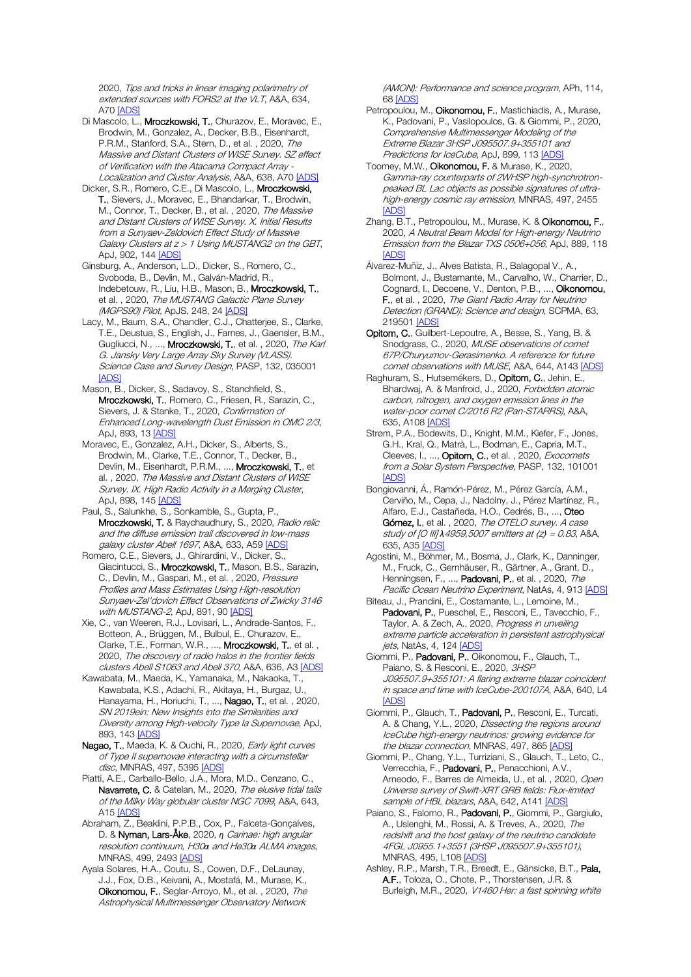2020, Tips and tricks in linear imaging polarimetry of extended sources with FORS2 at the VLT, A&A, 634, A70 [\[ADS\]](https://ui.adsabs.harvard.edu/#abs/2020A%26A...634A..70G)

Di Mascolo, L., Mroczkowski, T., Churazov, E., Moravec, E., Brodwin, M., Gonzalez, A., Decker, B.B., Eisenhardt, P.R.M., Stanford, S.A., Stern, D., et al. , 2020, The Massive and Distant Clusters of WISE Survey. SZ effect of Verification with the Atacama Compact Array - Localization and Cluster Analysis, A&A, 638, A70 [\[ADS\]](https://ui.adsabs.harvard.edu/#abs/2020A%26A...638A..70D)

Dicker, S.R., Romero, C.E., Di Mascolo, L., Mroczkowski, T., Sievers, J., Moravec, E., Bhandarkar, T., Brodwin, M., Connor, T., Decker, B., et al., 2020, The Massive and Distant Clusters of WISE Survey. X. Initial Results from a Sunyaev-Zeldovich Effect Study of Massive Galaxy Clusters at  $z > 1$  Using MUSTANG2 on the GBT, ApJ, 902, 144 [\[ADS\]](https://ui.adsabs.harvard.edu/#abs/2020ApJ...902..144D)

Ginsburg, A., Anderson, L.D., Dicker, S., Romero, C., Svoboda, B., Devlin, M., Galván-Madrid, R., Indebetouw, R., Liu, H.B., Mason, B., Mroczkowski, T., et al., 2020, The MUSTANG Galactic Plane Survey (MGPS90) Pilot, ApJS, 248, 24 [\[ADS\]](https://ui.adsabs.harvard.edu/#abs/2020ApJS..248...24G)

Lacy, M., Baum, S.A., Chandler, C.J., Chatterjee, S., Clarke, T.E., Deustua, S., English, J., Farnes, J., Gaensler, B.M., Gugliucci, N., ..., Mroczkowski, T., et al., 2020, The Karl G. Jansky Very Large Array Sky Survey (VLASS). Science Case and Survey Design, PASP, 132, 035001 [\[ADS\]](https://ui.adsabs.harvard.edu/#abs/2020PASP..132c5001L)

Mason, B., Dicker, S., Sadavoy, S., Stanchfield, S., Mroczkowski, T., Romero, C., Friesen, R., Sarazin, C., Sievers, J. & Stanke, T., 2020, Confirmation of Enhanced Long-wavelength Dust Emission in OMC 2/3, ApJ, 893, 13 [\[ADS\]](https://ui.adsabs.harvard.edu/#abs/2020ApJ...893...13M)

Moravec, E., Gonzalez, A.H., Dicker, S., Alberts, S., Brodwin, M., Clarke, T.E., Connor, T., Decker, B., Devlin, M., Eisenhardt, P.R.M., ..., Mroczkowski, T., et al. , 2020, The Massive and Distant Clusters of WISE Survey. IX. High Radio Activity in a Merging Cluster, ApJ, 898, 14[5 \[ADS\]](https://ui.adsabs.harvard.edu/#abs/2020ApJ...898..145M)

Paul, S., Salunkhe, S., Sonkamble, S., Gupta, P., Mroczkowski, T. & Raychaudhury, S., 2020, Radio relic and the diffuse emission trail discovered in low-mass galaxy cluster Abell 1697, A&A, 633, A5[9 \[ADS\]](https://ui.adsabs.harvard.edu/#abs/2020A%26A...633A..59P)

Romero, C.E., Sievers, J., Ghirardini, V., Dicker, S., Giacintucci, S., Mroczkowski, T., Mason, B.S., Sarazin, C., Devlin, M., Gaspari, M., et al., 2020, Pressure Profiles and Mass Estimates Using High-resolution Sunyaev-Zel'dovich Effect Observations of Zwicky 3146 with MUSTANG-2, ApJ, 891, 9[0 \[ADS\]](https://ui.adsabs.harvard.edu/#abs/2020ApJ...891...90R)

Xie, C., van Weeren, R.J., Lovisari, L., Andrade-Santos, F., Botteon, A., Brüggen, M., Bulbul, E., Churazov, E., Clarke, T.E., Forman, W.R., ..., Mroczkowski, T., et al., 2020, The discovery of radio halos in the frontier fields clusters Abell S1063 and Abell 370, A&A, 636, A3 [\[ADS\]](https://ui.adsabs.harvard.edu/#abs/2020A%26A...636A...3X)

Kawabata, M., Maeda, K., Yamanaka, M., Nakaoka, T., Kawabata, K.S., Adachi, R., Akitaya, H., Burgaz, U., Hanayama, H., Horiuchi, T., ..., Nagao, T., et al., 2020, SN 2019ein: New Insights into the Similarities and Diversity among High-velocity Type Ia Supernovae, ApJ, 893, 14[3 \[ADS\]](https://ui.adsabs.harvard.edu/#abs/2020ApJ...893..143K)

Nagao, T., Maeda, K. & Ouchi, R., 2020, Early light curves of Type II supernovae interacting with a circumstellar disc, MNRAS, 497, 539[5 \[ADS\]](https://ui.adsabs.harvard.edu/#abs/2020MNRAS.497.5395N)

Piatti, A.E., Carballo-Bello, J.A., Mora, M.D., Cenzano, C., Navarrete, C. & Catelan, M., 2020, The elusive tidal tails of the Milky Way globular cluster NGC 7099, A&A, 643, A15 [\[ADS\]](https://ui.adsabs.harvard.edu/#abs/2020A%26A...643A..15P)

Abraham, Z., Beaklini, P.P.B., Cox, P., Falceta-Gonçalves, D. & Nyman, Lars-Åke, 2020, *η* Carinae: high angular resolution continuum, H30*α* and He30*α* ALMA images, MNRAS, 499, 2493 [\[ADS\]](https://ui.adsabs.harvard.edu/#abs/2020MNRAS.499.2493A)

Ayala Solares, H.A., Coutu, S., Cowen, D.F., DeLaunay, J.J., Fox, D.B., Keivani, A., Mostafá, M., Murase, K., Oikonomou, F., Seglar-Arroyo, M., et al., 2020, The Astrophysical Multimessenger Observatory Network

(AMON): Performance and science program, APh, 114, 68 [\[ADS\]](https://ui.adsabs.harvard.edu/#abs/2020APh...114...68A)

- Petropoulou, M., Oikonomou, F., Mastichiadis, A., Murase, K., Padovani, P., Vasilopoulos, G. & Giommi, P., 2020, Comprehensive Multimessenger Modeling of the Extreme Blazar 3HSP J095507.9+355101 and Predictions for IceCube, ApJ, 899, 11[3 \[ADS\]](https://ui.adsabs.harvard.edu/#abs/2020ApJ...899..113P)
- Toomey, M.W., Oikonomou, F. & Murase, K., 2020, Gamma-ray counterparts of 2WHSP high-synchrotronpeaked BL Lac objects as possible signatures of ultrahigh-energy cosmic ray emission, MNRAS, 497, 2455 [\[ADS\]](https://ui.adsabs.harvard.edu/#abs/2020MNRAS.497.2455T)
- Zhang, B.T., Petropoulou, M., Murase, K. & Oikonomou, F., 2020, A Neutral Beam Model for High-energy Neutrino Emission from the Blazar TXS 0506+056, ApJ, 889, 118 [\[ADS\]](https://ui.adsabs.harvard.edu/#abs/2020ApJ...889..118Z)
- Álvarez-Muñiz, J., Alves Batista, R., Balagopal V., A., Bolmont, J., Bustamante, M., Carvalho, W., Charrier, D., Cognard, I., Decoene, V., Denton, P.B., ..., Oikonomou, F., et al. , 2020, The Giant Radio Array for Neutrino Detection (GRAND): Science and design, SCPMA, 63, 21950[1 \[ADS\]](https://ui.adsabs.harvard.edu/#abs/2020SCPMA..6319501A)
- Opitom, C., Guilbert-Lepoutre, A., Besse, S., Yang, B. & Snodgrass, C., 2020, MUSE observations of comet 67P/Churyumov-Gerasimenko. A reference for future comet observations with MUSE, A&A, 644, A14[3 \[ADS\]](https://ui.adsabs.harvard.edu/#abs/2020A%26A...644A.143O)
- Raghuram, S., Hutsemékers, D., Opitom, C., Jehin, E., Bhardwaj, A. & Manfroid, J., 2020, Forbidden atomic carbon, nitrogen, and oxygen emission lines in the water-poor comet C/2016 R2 (Pan-STARRS), A&A, 635, A10[8 \[ADS\]](https://ui.adsabs.harvard.edu/#abs/2020A%26A...635A.108R)

Strøm, P.A., Bodewits, D., Knight, M.M., Kiefer, F., Jones, G.H., Kral, Q., Matrà, L., Bodman, E., Capria, M.T., Cleeves, I., ..., Opitom, C., et al., 2020, Exocomets from a Solar System Perspective, PASP, 132, 101001 [\[ADS\]](https://ui.adsabs.harvard.edu/#abs/2020PASP..132j1001S)

Bongiovanni, Á., Ramón-Pérez, M., Pérez García, A.M., Cerviño, M., Cepa, J., Nadolny, J., Pérez Martínez, R., Alfaro, E.J., Castañeda, H.O., Cedrés, B., ..., Oteo Gómez, I., et al., 2020, The OTELO survey. A case study of [O III] *λ*4959,5007 emitters at ⟨z⟩ = 0.83, A&A, 635, A3[5 \[ADS\]](https://ui.adsabs.harvard.edu/#abs/2020A%26A...635A..35B)

Agostini, M., Böhmer, M., Bosma, J., Clark, K., Danninger, M., Fruck, C., Gernhäuser, R., Gärtner, A., Grant, D., Henningsen, F., ..., Padovani, P., et al., 2020, The Pacific Ocean Neutrino Experiment, NatAs, 4, 913 [\[ADS\]](https://ui.adsabs.harvard.edu/#abs/2020NatAs...4..913A)

- Biteau, J., Prandini, E., Costamante, L., Lemoine, M., Padovani, P., Pueschel, E., Resconi, E., Tavecchio, F., Taylor, A. & Zech, A., 2020, Progress in unveiling extreme particle acceleration in persistent astrophysical jets, NatAs, 4, 124 [\[ADS\]](https://ui.adsabs.harvard.edu/#abs/2020NatAs...4..124B)
- Giommi, P., Padovani, P., Oikonomou, F., Glauch, T., Paiano, S. & Resconi, E., 2020, 3HSP J095507.9+355101: A flaring extreme blazar coincident in space and time with IceCube-200107A, A&A, 640, L4 [\[ADS\]](https://ui.adsabs.harvard.edu/#abs/2020A%26A...640L...4G)
- Giommi, P., Glauch, T., Padovani, P., Resconi, E., Turcati, A. & Chang, Y.L., 2020, Dissecting the regions around IceCube high-energy neutrinos: growing evidence for the blazar connection, MNRAS, 497, 86[5 \[ADS\]](https://ui.adsabs.harvard.edu/#abs/2020MNRAS.497..865G)
- Giommi, P., Chang, Y.L., Turriziani, S., Glauch, T., Leto, C., Verrecchia, F., Padovani, P., Penacchioni, A.V., Arneodo, F., Barres de Almeida, U., et al. , 2020, Open Universe survey of Swift-XRT GRB fields: Flux-limited sample of HBL blazars, A&A, 642, A141 [\[ADS\]](https://ui.adsabs.harvard.edu/#abs/2020A%26A...642A.141G)
- Paiano, S., Falomo, R., Padovani, P., Giommi, P., Gargiulo, A., Uslenghi, M., Rossi, A. & Treves, A., 2020, The redshift and the host galaxy of the neutrino candidate 4FGL J0955.1+3551 (3HSP J095507.9+355101), MNRAS, 495, L10[8 \[ADS\]](https://ui.adsabs.harvard.edu/#abs/2020MNRAS.495L.108P)

Ashley, R.P., Marsh, T.R., Breedt, E., Gänsicke, B.T., Pala, A.F., Toloza, O., Chote, P., Thorstensen, J.R. & Burleigh, M.R., 2020, V1460 Her: a fast spinning white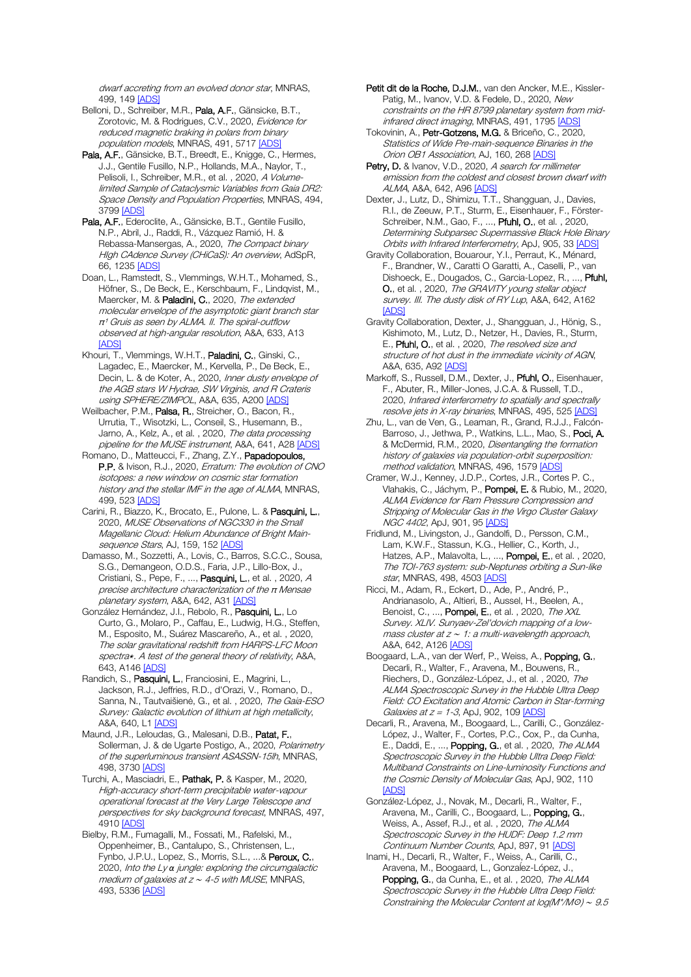dwarf accreting from an evolved donor star, MNRAS, 499, 14[9 \[ADS\]](https://ui.adsabs.harvard.edu/#abs/2020MNRAS.499..149A)

- Belloni, D., Schreiber, M.R., Pala, A.F., Gänsicke, B.T., Zorotovic, M. & Rodrigues, C.V., 2020, Evidence for reduced magnetic braking in polars from binary population models, MNRAS, 491, 5717 [\[ADS\]](https://ui.adsabs.harvard.edu/#abs/2020MNRAS.491.5717B)
- Pala, A.F., Gänsicke, B.T., Breedt, E., Knigge, C., Hermes, J.J., Gentile Fusillo, N.P., Hollands, M.A., Naylor, T., Pelisoli, I., Schreiber, M.R., et al., 2020, A Volumelimited Sample of Cataclysmic Variables from Gaia DR2: Space Density and Population Properties, MNRAS, 494, 3799 [\[ADS\]](https://ui.adsabs.harvard.edu/#abs/2020MNRAS.494.3799P)
- Pala, A.F., Ederoclite, A., Gänsicke, B.T., Gentile Fusillo, N.P., Abril, J., Raddi, R., Vázquez Ramió, H. & Rebassa-Mansergas, A., 2020, The Compact binary HIgh CAdence Survey (CHiCaS): An overview, AdSpR, 66, 123[5 \[ADS\]](https://ui.adsabs.harvard.edu/#abs/2020AdSpR..66.1235P)
- Doan, L., Ramstedt, S., Vlemmings, W.H.T., Mohamed, S., Höfner, S., De Beck, E., Kerschbaum, F., Lindqvist, M., Maercker, M. & Paladini, C., 2020, The extended molecular envelope of the asymptotic giant branch star  $π<sup>1</sup>$  Gruis as seen by ALMA. II. The spiral-outflow observed at high-angular resolution, A&A, 633, A13 [\[ADS\]](https://ui.adsabs.harvard.edu/#abs/2020A%26A...633A..13D)
- Khouri, T., Vlemmings, W.H.T., Paladini, C., Ginski, C., Lagadec, E., Maercker, M., Kervella, P., De Beck, E., Decin, L. & de Koter, A., 2020, Inner dusty envelope of the AGB stars W Hydrae, SW Virginis, and R Crateris using SPHERE/ZIMPOL, A&A, 635, A20[0 \[ADS\]](https://ui.adsabs.harvard.edu/#abs/2020A%26A...635A.200K)
- Weilbacher, P.M., Palsa, R., Streicher, O., Bacon, R., Urrutia, T., Wisotzki, L., Conseil, S., Husemann, B., Jarno, A., Kelz, A., et al., 2020, The data processing pipeline for the MUSE instrument, A&A, 641, A28 [\[ADS\]](https://ui.adsabs.harvard.edu/#abs/2020A%26A...641A..28W)
- Romano, D., Matteucci, F., Zhang, Z.Y., Papadopoulos, P.P. & Ivison, R.J., 2020, *Erratum: The evolution of CNO* isotopes: a new window on cosmic star formation history and the stellar IMF in the age of ALMA, MNRAS, 499, 52[3 \[ADS\]](https://ui.adsabs.harvard.edu/#abs/2020MNRAS.499..523R)
- Carini, R., Biazzo, K., Brocato, E., Pulone, L. & Pasquini, L., 2020, MUSE Observations of NGC330 in the Small Magellanic Cloud: Helium Abundance of Bright Main-sequence Stars, AJ, 159, 152 [\[ADS\]](https://ui.adsabs.harvard.edu/#abs/2020AJ....159..152C)
- Damasso, M., Sozzetti, A., Lovis, C., Barros, S.C.C., Sousa, S.G., Demangeon, O.D.S., Faria, J.P., Lillo-Box, J., Cristiani, S., Pepe, F., ..., Pasquini, L., et al. , 2020, A precise architecture characterization of the π Mensae planetary system, A&A, 642, A31 [\[ADS\]](https://ui.adsabs.harvard.edu/#abs/2020A%26A...642A..31D)
- González Hernández, J.I., Rebolo, R., Pasquini, L., Lo Curto, G., Molaro, P., Caffau, E., Ludwig, H.G., Steffen, M., Esposito, M., Suárez Mascareño, A., et al. , 2020, The solar gravitational redshift from HARPS-LFC Moon spectra\*. A test of the general theory of relativity, A&A, 643, A14[6 \[ADS\]](https://ui.adsabs.harvard.edu/#abs/2020A%26A...643A.146G)
- Randich, S., Pasquini, L., Franciosini, E., Magrini, L., Jackson, R.J., Jeffries, R.D., d'Orazi, V., Romano, D., Sanna, N., Tautvaišienė, G., et al., 2020, The Gaia-ESO Survey: Galactic evolution of lithium at high metallicity, A&A, 640, L[1 \[ADS\]](https://ui.adsabs.harvard.edu/#abs/2020A%26A...640L...1R)
- Maund, J.R., Leloudas, G., Malesani, D.B., Patat, F., Sollerman, J. & de Ugarte Postigo, A., 2020, Polarimetry of the superluminous transient ASASSN-15lh, MNRAS, 498, 3730 [\[ADS\]](https://ui.adsabs.harvard.edu/#abs/2020MNRAS.498.3730M)
- Turchi, A., Masciadri, E., Pathak, P. & Kasper, M., 2020, High-accuracy short-term precipitable water-vapour operational forecast at the Very Large Telescope and perspectives for sky background forecast, MNRAS, 497, 4910 [\[ADS\]](https://ui.adsabs.harvard.edu/#abs/2020MNRAS.497.4910T)
- Bielby, R.M., Fumagalli, M., Fossati, M., Rafelski, M., Oppenheimer, B., Cantalupo, S., Christensen, L., Fynbo, J.P.U., Lopez, S., Morris, S.L., ...& Peroux, C., 2020, Into the Ly *α* jungle: exploring the circumgalactic medium of galaxies at z ~ 4-5 with MUSE, MNRAS, 493, 5336 [\[ADS\]](https://ui.adsabs.harvard.edu/#abs/2020MNRAS.493.5336B)
- Petit dit de la Roche, D.J.M., van den Ancker, M.E., Kissler-Patig, M., Ivanov, V.D. & Fedele, D., 2020, New constraints on the HR 8799 planetary system from midinfrared direct imaging, MNRAS, 491, 179[5 \[ADS\]](https://ui.adsabs.harvard.edu/#abs/2020MNRAS.491.1795P)
- Tokovinin, A., Petr-Gotzens, M.G. & Briceño, C., 2020, Statistics of Wide Pre-main-sequence Binaries in the Orion OB1 Association, AJ, 160, 26[8 \[ADS\]](https://ui.adsabs.harvard.edu/#abs/2020AJ....160..268T)
- Petry, D. & Ivanov, V.D., 2020, A search for millimeter emission from the coldest and closest brown dwarf with ALMA, A&A, 642, A9[6 \[ADS\]](https://ui.adsabs.harvard.edu/#abs/2020A%26A...642A..96P)
- Dexter, J., Lutz, D., Shimizu, T.T., Shangguan, J., Davies, R.I., de Zeeuw, P.T., Sturm, E., Eisenhauer, F., Förster-Schreiber, N.M., Gao, F., ..., Pfuhl, O., et al. , 2020, Determining Subparsec Supermassive Black Hole Binary Orbits with Infrared Interferometry, ApJ, 905, 3[3 \[ADS\]](https://ui.adsabs.harvard.edu/#abs/2020ApJ...905...33D)
- Gravity Collaboration, Bouarour, Y.I., Perraut, K., Ménard, F., Brandner, W., Caratti O Garatti, A., Caselli, P., van Dishoeck, E., Dougados, C., Garcia-Lopez, R., ..., Pfuhl, O., et al., 2020, The GRAVITY young stellar object survey. III. The dusty disk of RY Lup, A&A, 642, A162 [\[ADS\]](https://ui.adsabs.harvard.edu/#abs/2020A%26A...642A.162G)
- Gravity Collaboration, Dexter, J., Shangguan, J., Hönig, S., Kishimoto, M., Lutz, D., Netzer, H., Davies, R., Sturm, E., Pfuhl, O., et al., 2020, The resolved size and structure of hot dust in the immediate vicinity of AGN, A&A, 635, A9[2 \[ADS\]](https://ui.adsabs.harvard.edu/#abs/2020A%26A...635A..92G)
- Markoff, S., Russell, D.M., Dexter, J., Pfuhl, O., Eisenhauer, F., Abuter, R., Miller-Jones, J.C.A. & Russell, T.D., 2020, Infrared interferometry to spatially and spectrally resolve jets in X-ray binaries, MNRAS, 495, 525 [\[ADS\]](https://ui.adsabs.harvard.edu/#abs/2020MNRAS.495..525M)
- Zhu, L., van de Ven, G., Leaman, R., Grand, R.J.J., Falcón-Barroso, J., Jethwa, P., Watkins, L.L., Mao, S., Poci, A. & McDermid, R.M., 2020, Disentangling the formation history of galaxies via population-orbit superposition: method validation, MNRAS, 496, 1579 [\[ADS\]](https://ui.adsabs.harvard.edu/#abs/2020MNRAS.496.1579Z)
- Cramer, W.J., Kenney, J.D.P., Cortes, J.R., Cortes P. C., Vlahakis, C., Jáchym, P., Pompei, E. & Rubio, M., 2020, ALMA Evidence for Ram Pressure Compression and Stripping of Molecular Gas in the Virgo Cluster Galaxy NGC 4402, ApJ, 901, 9[5 \[ADS\]](https://ui.adsabs.harvard.edu/#abs/2020ApJ...901...95C)
- Fridlund, M., Livingston, J., Gandolfi, D., Persson, C.M., Lam, K.W.F., Stassun, K.G., Hellier, C., Korth, J., Hatzes, A.P., Malavolta, L., ..., Pompei, E., et al. , 2020, The TOI-763 system: sub-Neptunes orbiting a Sun-like star, MNRAS, 498, 4503 [\[ADS\]](https://ui.adsabs.harvard.edu/#abs/2020MNRAS.498.4503F)
- Ricci, M., Adam, R., Eckert, D., Ade, P., André, P., Andrianasolo, A., Altieri, B., Aussel, H., Beelen, A., Benoist, C., ..., **Pompei, E.**, et al., 2020, *The XXL* Survey. XLIV. Sunyaev-Zel'dovich mapping of a lowmass cluster at z <sup>∼</sup> 1: a multi-wavelength approach, A&A, 642, A12[6 \[ADS\]](https://ui.adsabs.harvard.edu/#abs/2020A%26A...642A.126R)
- Boogaard, L.A., van der Werf, P., Weiss, A., Popping, G., Decarli, R., Walter, F., Aravena, M., Bouwens, R., Riechers, D., González-López, J., et al. , 2020, The ALMA Spectroscopic Survey in the Hubble Ultra Deep Field: CO Excitation and Atomic Carbon in Star-forming Galaxies at  $z = 1-3$ , ApJ, 902, 109  $[ADS]$
- Decarli, R., Aravena, M., Boogaard, L., Carilli, C., González-López, J., Walter, F., Cortes, P.C., Cox, P., da Cunha, E., Daddi, E., ..., **Popping, G.**, et al., 2020, *The ALMA* Spectroscopic Survey in the Hubble Ultra Deep Field: Multiband Constraints on Line-luminosity Functions and the Cosmic Density of Molecular Gas, ApJ, 902, 110 [\[ADS\]](https://ui.adsabs.harvard.edu/#abs/2020ApJ...902..110D)
- González-López, J., Novak, M., Decarli, R., Walter, F., Aravena, M., Carilli, C., Boogaard, L., Popping, G., Weiss, A., Assef, R.J., et al. , 2020, The ALMA Spectroscopic Survey in the HUDF: Deep 1.2 mm Continuum Number Counts, ApJ, 897, 9[1 \[ADS\]](https://ui.adsabs.harvard.edu/#abs/2020ApJ...897...91G)
- Inami, H., Decarli, R., Walter, F., Weiss, A., Carilli, C., Aravena, M., Boogaard, L., Gonzaĺez-López, J., Popping, G., da Cunha, E., et al., 2020, The ALMA Spectroscopic Survey in the Hubble Ultra Deep Field: Constraining the Molecular Content at log(M\*/M☉) <sup>∼</sup> 9.5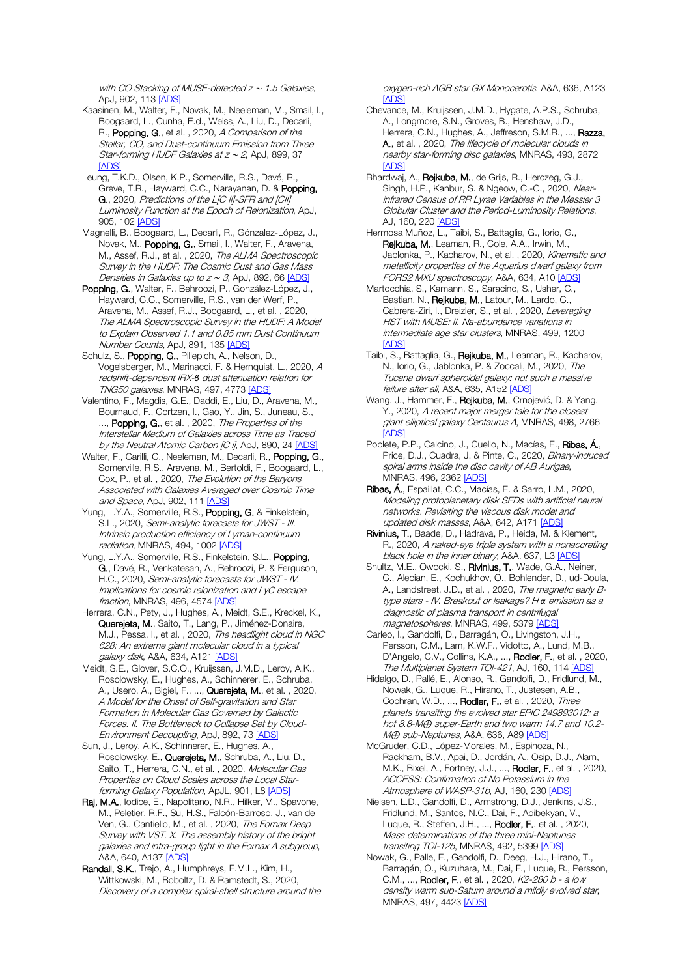with CO Stacking of MUSE-detected z ~ 1.5 Galaxies, ApJ, 902, 11[3 \[ADS\]](https://ui.adsabs.harvard.edu/#abs/2020ApJ...902..113I)

Kaasinen, M., Walter, F., Novak, M., Neeleman, M., Smail, I., Boogaard, L., Cunha, E.d., Weiss, A., Liu, D., Decarli, R., Popping, G., et al., 2020, A Comparison of the Stellar, CO, and Dust-continuum Emission from Three Star-forming HUDF Galaxies at z <sup>∼</sup> <sup>2</sup>, ApJ, 899, 37 **[\[ADS\]](https://ui.adsabs.harvard.edu/#abs/2020ApJ...899...37K)** 

Leung, T.K.D., Olsen, K.P., Somerville, R.S., Davé, R., Greve, T.R., Hayward, C.C., Narayanan, D. & Popping, G., 2020, Predictions of the L[C II]-SFR and [CII] Luminosity Function at the Epoch of Reionization, ApJ, 905, 10[2 \[ADS\]](https://ui.adsabs.harvard.edu/#abs/2020ApJ...905..102L)

Magnelli, B., Boogaard, L., Decarli, R., Gónzalez-López, J., Novak, M., Popping, G., Smail, I., Walter, F., Aravena, M., Assef, R.J., et al., 2020, The ALMA Spectroscopic Survey in the HUDF: The Cosmic Dust and Gas Mass Densities in Galaxies up to  $z \sim 3$ , ApJ, 892, 6[6 \[ADS\]](https://ui.adsabs.harvard.edu/#abs/2020ApJ...892...66M)

Popping, G., Walter, F., Behroozi, P., González-López, J., Hayward, C.C., Somerville, R.S., van der Werf, P., Aravena, M., Assef, R.J., Boogaard, L., et al. , 2020, The ALMA Spectroscopic Survey in the HUDF: A Model to Explain Observed 1.1 and 0.85 mm Dust Continuum Number Counts, ApJ, 891, 135 [\[ADS\]](https://ui.adsabs.harvard.edu/#abs/2020ApJ...891..135P)

Schulz, S., Popping, G., Pillepich, A., Nelson, D., Vogelsberger, M., Marinacci, F. & Hernquist, L., 2020, A redshift-dependent IRX-*β* dust attenuation relation for TNG50 galaxies, MNRAS, 497, 4773 [\[ADS\]](https://ui.adsabs.harvard.edu/#abs/2020MNRAS.497.4773S)

Valentino, F., Magdis, G.E., Daddi, E., Liu, D., Aravena, M., Bournaud, F., Cortzen, I., Gao, Y., Jin, S., Juneau, S., ..., Popping, G., et al., 2020, The Properties of the Interstellar Medium of Galaxies across Time as Traced by the Neutral Atomic Carbon [C i], ApJ, 890, 2[4 \[ADS\]](https://ui.adsabs.harvard.edu/#abs/2020ApJ...890...24V)

Walter, F., Carilli, C., Neeleman, M., Decarli, R., Popping, G., Somerville, R.S., Aravena, M., Bertoldi, F., Boogaard, L., Cox, P., et al. , 2020, The Evolution of the Baryons Associated with Galaxies Averaged over Cosmic Time and Space, ApJ, 902, 11[1 \[ADS\]](https://ui.adsabs.harvard.edu/#abs/2020ApJ...902..111W)

Yung, L.Y.A., Somerville, R.S., Popping, G. & Finkelstein, S.L., 2020, Semi-analytic forecasts for JWST - III. Intrinsic production efficiency of Lyman-continuum radiation, MNRAS, 494, 1002 [\[ADS\]](https://ui.adsabs.harvard.edu/#abs/2020MNRAS.494.1002Y)

Yung, L.Y.A., Somerville, R.S., Finkelstein, S.L., Popping, G., Davé, R., Venkatesan, A., Behroozi, P. & Ferguson, H.C., 2020, Semi-analytic forecasts for JWST - IV. Implications for cosmic reionization and LyC escape fraction, MNRAS, 496, 4574 [\[ADS\]](https://ui.adsabs.harvard.edu/#abs/2020MNRAS.496.4574Y)

Herrera, C.N., Pety, J., Hughes, A., Meidt, S.E., Kreckel, K., Querejeta, M., Saito, T., Lang, P., Jiménez-Donaire, M.J., Pessa, I., et al., 2020, The headlight cloud in NGC 628: An extreme giant molecular cloud in a typical galaxy disk, A&A, 634, A12[1 \[ADS\]](https://ui.adsabs.harvard.edu/#abs/2020A%26A...634A.121H)

Meidt, S.E., Glover, S.C.O., Kruijssen, J.M.D., Leroy, A.K., Rosolowsky, E., Hughes, A., Schinnerer, E., Schruba, A., Usero, A., Bigiel, F., ..., Querejeta, M., et al., 2020, A Model for the Onset of Self-gravitation and Star Formation in Molecular Gas Governed by Galactic Forces. II. The Bottleneck to Collapse Set by Cloud-Environment Decoupling, ApJ, 892, 7[3 \[ADS\]](https://ui.adsabs.harvard.edu/#abs/2020ApJ...892...73M)

Sun, J., Leroy, A.K., Schinnerer, E., Hughes, A., Rosolowsky, E., Querejeta, M., Schruba, A., Liu, D., Saito, T., Herrera, C.N., et al., 2020, Molecular Gas Properties on Cloud Scales across the Local Star-forming Galaxy Population, ApJL, 901, L8 [\[ADS\]](https://ui.adsabs.harvard.edu/#abs/2020ApJ...901L...8S)

Raj, M.A., Iodice, E., Napolitano, N.R., Hilker, M., Spavone, M., Peletier, R.F., Su, H.S., Falcón-Barroso, J., van de Ven, G., Cantiello, M., et al., 2020, The Fornax Deep Survey with VST. X. The assembly history of the bright galaxies and intra-group light in the Fornax A subgroup, A&A, 640, A137 [\[ADS\]](https://ui.adsabs.harvard.edu/#abs/2020A%26A...640A.137R)

Randall, S.K., Trejo, A., Humphreys, E.M.L., Kim, H., Wittkowski, M., Boboltz, D. & Ramstedt, S., 2020, Discovery of a complex spiral-shell structure around the oxygen-rich AGB star GX Monocerotis, A&A, 636, A123  $[ADS]$ 

Chevance, M., Kruijssen, J.M.D., Hygate, A.P.S., Schruba, A., Longmore, S.N., Groves, B., Henshaw, J.D., Herrera, C.N., Hughes, A., Jeffreson, S.M.R., ..., Razza, A., et al. , 2020, The lifecycle of molecular clouds in nearby star-forming disc galaxies, MNRAS, 493, 2872 [\[ADS\]](https://ui.adsabs.harvard.edu/#abs/2020MNRAS.493.2872C)

Bhardwaj, A., Rejkuba, M., de Grijs, R., Herczeg, G.J., Singh, H.P., Kanbur, S. & Ngeow, C.-C., 2020, Nearinfrared Census of RR Lyrae Variables in the Messier 3 Globular Cluster and the Period-Luminosity Relations, AJ, 160, 22[0 \[ADS\]](https://ui.adsabs.harvard.edu/#abs/2020AJ....160..220B)

Hermosa Muñoz, L., Taibi, S., Battaglia, G., Iorio, G., Rejkuba, M., Leaman, R., Cole, A.A., Irwin, M., Jablonka, P., Kacharov, N., et al., 2020, Kinematic and metallicity properties of the Aquarius dwarf galaxy from FORS2 MXU spectroscopy, A&A, 634, A1[0 \[ADS\]](https://ui.adsabs.harvard.edu/#abs/2020A%26A...634A..10H)

Martocchia, S., Kamann, S., Saracino, S., Usher, C., Bastian, N., Rejkuba, M., Latour, M., Lardo, C., Cabrera-Ziri, I., Dreizler, S., et al. , 2020, Leveraging HST with MUSE: II. Na-abundance variations in intermediate age star clusters, MNRAS, 499, 1200 [\[ADS\]](https://ui.adsabs.harvard.edu/#abs/2020MNRAS.499.1200M)

Taibi, S., Battaglia, G., Rejkuba, M., Leaman, R., Kacharov, N., Iorio, G., Jablonka, P. & Zoccali, M., 2020, The Tucana dwarf spheroidal galaxy: not such a massive failure after all, A&A, 635, A152 [\[ADS\]](https://ui.adsabs.harvard.edu/#abs/2020A%26A...635A.152T)

Wang, J., Hammer, F., Rejkuba, M., Crnojević, D. & Yang, Y., 2020, A recent major merger tale for the closest giant elliptical galaxy Centaurus A, MNRAS, 498, 2766 [\[ADS\]](https://ui.adsabs.harvard.edu/#abs/2020MNRAS.498.2766W)

Poblete, P.P., Calcino, J., Cuello, N., Macías, E., Ribas, Á., Price, D.J., Cuadra, J. & Pinte, C., 2020, Binary-induced spiral arms inside the disc cavity of AB Aurigae, MNRAS, 496, 236[2 \[ADS\]](https://ui.adsabs.harvard.edu/#abs/2020MNRAS.496.2362P)

Ribas, Á., Espaillat, C.C., Macías, E. & Sarro, L.M., 2020, Modeling protoplanetary disk SEDs with artificial neural networks. Revisiting the viscous disk model and updated disk masses, A&A, 642, A17[1 \[ADS\]](https://ui.adsabs.harvard.edu/#abs/2020A%26A...642A.171R)

Rivinius, T., Baade, D., Hadrava, P., Heida, M. & Klement, R., 2020, A naked-eye triple system with a nonaccreting black hole in the inner binary, A&A, 637, L[3 \[ADS\]](https://ui.adsabs.harvard.edu/#abs/2020A%26A...637L...3R)

Shultz, M.E., Owocki, S., Rivinius, T., Wade, G.A., Neiner, C., Alecian, E., Kochukhov, O., Bohlender, D., ud-Doula, A., Landstreet, J.D., et al., 2020, The magnetic early Btype stars - IV. Breakout or leakage? H *α* emission as a diagnostic of plasma transport in centrifugal magnetospheres, MNRAS, 499, 5379 [\[ADS\]](https://ui.adsabs.harvard.edu/#abs/2020MNRAS.499.5379S)

Carleo, I., Gandolfi, D., Barragán, O., Livingston, J.H., Persson, C.M., Lam, K.W.F., Vidotto, A., Lund, M.B., D'Angelo, C.V., Collins, K.A., ..., Rodler, F., et al. , 2020, The Multiplanet System TOI-421, AJ, 160, 11[4 \[ADS\]](https://ui.adsabs.harvard.edu/#abs/2020AJ....160..114C)

Hidalgo, D., Pallé, E., Alonso, R., Gandolfi, D., Fridlund, M., Nowak, G., Luque, R., Hirano, T., Justesen, A.B., Cochran, W.D., ..., Rodler, F., et al., 2020, Three planets transiting the evolved star EPIC 249893012: a hot 8.8-M⊕ super-Earth and two warm 14.7 and 10.2- M⊕ sub-Neptunes, A&A, 636, A8[9 \[ADS\]](https://ui.adsabs.harvard.edu/#abs/2020A%26A...636A..89H)

McGruder, C.D., López-Morales, M., Espinoza, N., Rackham, B.V., Apai, D., Jordán, A., Osip, D.J., Alam, M.K., Bixel, A., Fortney, J.J., ..., Rodler, F., et al. , 2020, ACCESS: Confirmation of No Potassium in the Atmosphere of WASP-31b, AJ, 160, 230 [\[ADS\]](https://ui.adsabs.harvard.edu/#abs/2020AJ....160..230M)

Nielsen, L.D., Gandolfi, D., Armstrong, D.J., Jenkins, J.S., Fridlund, M., Santos, N.C., Dai, F., Adibekyan, V., Luque, R., Steffen, J.H., ..., Rodler, F., et al. , 2020, Mass determinations of the three mini-Neptunes transiting TOI-125, MNRAS, 492, 5399 [\[ADS\]](https://ui.adsabs.harvard.edu/#abs/2020MNRAS.492.5399N)

Nowak, G., Palle, E., Gandolfi, D., Deeg, H.J., Hirano, T., Barragán, O., Kuzuhara, M., Dai, F., Luque, R., Persson, C.M., ..., Rodler, F., et al., 2020, K2-280 b - a low density warm sub-Saturn around a mildly evolved star, MNRAS, 497, 442[3 \[ADS\]](https://ui.adsabs.harvard.edu/#abs/2020MNRAS.497.4423N)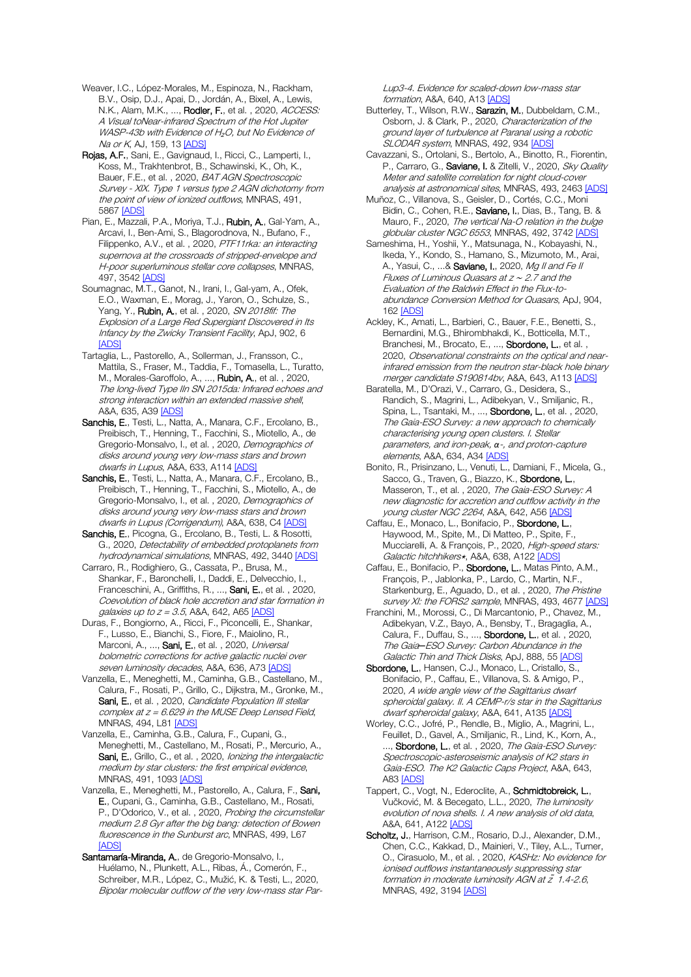Weaver, I.C., López-Morales, M., Espinoza, N., Rackham, B.V., Osip, D.J., Apai, D., Jordán, A., Bixel, A., Lewis, N.K., Alam, M.K., ..., Rodler, F., et al., 2020, ACCESS: A Visual toNear-infrared Spectrum of the Hot Jupiter WASP-43b with Evidence of H<sub>2</sub>O, but No Evidence of Na or K, AJ, 159, 1[3 \[ADS\]](https://ui.adsabs.harvard.edu/#abs/2020AJ....159...13W)

Rojas, A.F., Sani, E., Gavignaud, I., Ricci, C., Lamperti, I., Koss, M., Trakhtenbrot, B., Schawinski, K., Oh, K., Bauer, F.E., et al., 2020, BAT AGN Spectroscopic Survey - XIX. Type 1 versus type 2 AGN dichotomy from the point of view of ionized outflows, MNRAS, 491, 5867 [\[ADS\]](https://ui.adsabs.harvard.edu/#abs/2020MNRAS.491.5867R)

Pian, E., Mazzali, P.A., Moriya, T.J., Rubin, A., Gal-Yam, A., Arcavi, I., Ben-Ami, S., Blagorodnova, N., Bufano, F., Filippenko, A.V., et al., 2020, PTF11rka: an interacting supernova at the crossroads of stripped-envelope and H-poor superluminous stellar core collapses, MNRAS, 497, 3542 **[ADS]** 

Soumagnac, M.T., Ganot, N., Irani, I., Gal-yam, A., Ofek, E.O., Waxman, E., Morag, J., Yaron, O., Schulze, S., Yang, Y., Rubin, A., et al., 2020, SN 2018fif: The Explosion of a Large Red Supergiant Discovered in Its Infancy by the Zwicky Transient Facility, ApJ, 902, 6 [\[ADS\]](https://ui.adsabs.harvard.edu/#abs/2020ApJ...902....6S)

Tartaglia, L., Pastorello, A., Sollerman, J., Fransson, C., Mattila, S., Fraser, M., Taddia, F., Tomasella, L., Turatto, M., Morales-Garoffolo, A., ..., Rubin, A., et al. , 2020, The long-lived Type IIn SN 2015da: Infrared echoes and strong interaction within an extended massive shell, A&A, 635, A3[9 \[ADS\]](https://ui.adsabs.harvard.edu/#abs/2020A%26A...635A..39T)

Sanchis, E., Testi, L., Natta, A., Manara, C.F., Ercolano, B., Preibisch, T., Henning, T., Facchini, S., Miotello, A., de Gregorio-Monsalvo, I., et al. , 2020, Demographics of disks around young very low-mass stars and brown dwarfs in Lupus, A&A, 633, A114 [\[ADS\]](https://ui.adsabs.harvard.edu/#abs/2020A%26A...633A.114S)

Sanchis, E., Testi, L., Natta, A., Manara, C.F., Ercolano, B., Preibisch, T., Henning, T., Facchini, S., Miotello, A., de Gregorio-Monsalvo, I., et al., 2020, Demographics of disks around young very low-mass stars and brown dwarfs in Lupus (Corrigendum), A&A, 638, C[4 \[ADS\]](https://ui.adsabs.harvard.edu/#abs/2020A%26A...638C...4S)

Sanchis, E., Picogna, G., Ercolano, B., Testi, L. & Rosotti, G., 2020, Detectability of embedded protoplanets from hydrodynamical simulations, MNRAS, 492, 344[0 \[ADS\]](https://ui.adsabs.harvard.edu/#abs/2020MNRAS.492.3440S)

Carraro, R., Rodighiero, G., Cassata, P., Brusa, M., Shankar, F., Baronchelli, I., Daddi, E., Delvecchio, I., Franceschini, A., Griffiths, R., ..., Sani, E., et al., 2020, Coevolution of black hole accretion and star formation in galaxies up to  $z = 3.5$ , A&A, 642, A65  $[ADS]$ 

Duras, F., Bongiorno, A., Ricci, F., Piconcelli, E., Shankar, F., Lusso, E., Bianchi, S., Fiore, F., Maiolino, R., Marconi, A., ..., Sani, E., et al., 2020, Universal bolometric corrections for active galactic nuclei over seven luminosity decades, A&A, 636, A73 [\[ADS\]](https://ui.adsabs.harvard.edu/#abs/2020A%26A...636A..73D)

Vanzella, E., Meneghetti, M., Caminha, G.B., Castellano, M., Calura, F., Rosati, P., Grillo, C., Dijkstra, M., Gronke, M., Sani, E., et al., 2020, Candidate Population III stellar complex at  $z = 6.629$  in the MUSE Deep Lensed Field, MNRAS, 494, L8[1 \[ADS\]](https://ui.adsabs.harvard.edu/#abs/2020MNRAS.494L..81V)

Vanzella, E., Caminha, G.B., Calura, F., Cupani, G., Meneghetti, M., Castellano, M., Rosati, P., Mercurio, A., Sani, E., Grillo, C., et al., 2020, Ionizing the intergalactic medium by star clusters: the first empirical evidence, MNRAS, 491, 1093 [\[ADS\]](https://ui.adsabs.harvard.edu/#abs/2020MNRAS.491.1093V)

Vanzella, E., Meneghetti, M., Pastorello, A., Calura, F., Sani, E., Cupani, G., Caminha, G.B., Castellano, M., Rosati, P., D'Odorico, V., et al., 2020, Probing the circumstellar medium 2.8 Gyr after the big bang: detection of Bowen fluorescence in the Sunburst arc, MNRAS, 499, L67 **[\[ADS\]](https://ui.adsabs.harvard.edu/#abs/2020MNRAS.499L..67V)** 

Santamaría-Miranda, A., de Gregorio-Monsalvo, I., Huélamo, N., Plunkett, A.L., Ribas, Á., Comerón, F., Schreiber, M.R., López, C., Mužić, K. & Testi, L., 2020, Bipolar molecular outflow of the very low-mass star ParLup3-4. Evidence for scaled-down low-mass star formation, A&A, 640, A13 [\[ADS\]](https://ui.adsabs.harvard.edu/#abs/2020A%26A...640A..13S)

Butterley, T., Wilson, R.W., Sarazin, M., Dubbeldam, C.M., Osborn, J. & Clark, P., 2020, Characterization of the ground layer of turbulence at Paranal using a robotic SLODAR system, MNRAS, 492, 93[4 \[ADS\]](https://ui.adsabs.harvard.edu/#abs/2020MNRAS.492..934B)

Cavazzani, S., Ortolani, S., Bertolo, A., Binotto, R., Fiorentin, P., Carraro, G., Saviane, I. & Zitelli, V., 2020, Sky Quality Meter and satellite correlation for night cloud-cover analysis at astronomical sites, MNRAS, 493, 2463 [\[ADS\]](https://ui.adsabs.harvard.edu/#abs/2020MNRAS.493.2463C)

Muñoz, C., Villanova, S., Geisler, D., Cortés, C.C., Moni Bidin, C., Cohen, R.E., Saviane, I., Dias, B., Tang, B. & Mauro, F., 2020, The vertical Na-O relation in the bulge globular cluster NGC 6553, MNRAS, 492, 3742 [\[ADS\]](https://ui.adsabs.harvard.edu/#abs/2020MNRAS.492.3742M)

Sameshima, H., Yoshii, Y., Matsunaga, N., Kobayashi, N., Ikeda, Y., Kondo, S., Hamano, S., Mizumoto, M., Arai, A., Yasui, C., ...& Saviane, I., 2020, Mg II and Fe II Fluxes of Luminous Quasars at z <sup>∼</sup> 2.7 and the Evaluation of the Baldwin Effect in the Flux-toabundance Conversion Method for Quasars, ApJ, 904, 16[2 \[ADS\]](https://ui.adsabs.harvard.edu/#abs/2020ApJ...904..162S)

Ackley, K., Amati, L., Barbieri, C., Bauer, F.E., Benetti, S., Bernardini, M.G., Bhirombhakdi, K., Botticella, M.T., Branchesi, M., Brocato, E., ..., Sbordone, L., et al., 2020, Observational constraints on the optical and nearinfrared emission from the neutron star-black hole binary merger candidate S190814bv, A&A, 643, A113 [\[ADS\]](https://ui.adsabs.harvard.edu/#abs/2020A%26A...643A.113A)

Baratella, M., D'Orazi, V., Carraro, G., Desidera, S., Randich, S., Magrini, L., Adibekyan, V., Smiljanic, R., Spina, L., Tsantaki, M., ..., Sbordone, L., et al. , 2020, The Gaia-ESO Survey: a new approach to chemically characterising young open clusters. I. Stellar parameters, and iron-peak, *α*-, and proton-capture elements, A&A, 634, A3[4 \[ADS\]](https://ui.adsabs.harvard.edu/#abs/2020A%26A...634A..34B)

Bonito, R., Prisinzano, L., Venuti, L., Damiani, F., Micela, G., Sacco, G., Traven, G., Biazzo, K., Sbordone, L., Masseron, T., et al., 2020, The Gaia-ESO Survey: new diagnostic for accretion and outflow activity in the young cluster NGC 2264, A&A, 642, A5[6 \[ADS\]](https://ui.adsabs.harvard.edu/#abs/2020A%26A...642A..56B)

Caffau, E., Monaco, L., Bonifacio, P., Sbordone, L., Haywood, M., Spite, M., Di Matteo, P., Spite, F., Mucciarelli, A. & François, P., 2020, High-speed stars: Galactic hitchhikers\*, A&A, 638, A122 [\[ADS\]](https://ui.adsabs.harvard.edu/#abs/2020A%26A...638A.122C)

Caffau, E., Bonifacio, P., Sbordone, L., Matas Pinto, A.M., François, P., Jablonka, P., Lardo, C., Martin, N.F., Starkenburg, E., Aguado, D., et al. , 2020, The Pristine survey XI: the FORS2 sample, MNRAS, 493, 467[7 \[ADS\]](https://ui.adsabs.harvard.edu/#abs/2020MNRAS.493.4677C)

Franchini, M., Morossi, C., Di Marcantonio, P., Chavez, M., Adibekyan, V.Z., Bayo, A., Bensby, T., Bragaglia, A., Calura, F., Duffau, S., ..., Sbordone, L., et al. , 2020, The Gaia*─*ESO Survey: Carbon Abundance in the Galactic Thin and Thick Disks, ApJ, 888, 5[5 \[ADS\]](https://ui.adsabs.harvard.edu/#abs/2020ApJ...888...55F)

Sbordone, L., Hansen, C.J., Monaco, L., Cristallo, S., Bonifacio, P., Caffau, E., Villanova, S. & Amigo, P., 2020, A wide angle view of the Sagittarius dwarf spheroidal galaxy. II. A CEMP-r/s star in the Sagittarius dwarf spheroidal galaxy, A&A, 641, A135 [\[ADS\]](https://ui.adsabs.harvard.edu/#abs/2020A%26A...641A.135S)

Worley, C.C., Jofré, P., Rendle, B., Miglio, A., Magrini, L., Feuillet, D., Gavel, A., Smiljanic, R., Lind, K., Korn, A., ..., Sbordone, L., et al., 2020, The Gaia-ESO Survey: Spectroscopic-asteroseismic analysis of K2 stars in Gaia-ESO. The K2 Galactic Caps Project, A&A, 643, A83 [\[ADS\]](https://ui.adsabs.harvard.edu/#abs/2020A%26A...643A..83W)

Tappert, C., Vogt, N., Ederoclite, A., Schmidtobreick, L., Vučković, M. & Becegato, L.L., 2020, The luminosity evolution of nova shells. I. A new analysis of old data, A&A, 641, A12[2 \[ADS\]](https://ui.adsabs.harvard.edu/#abs/2020A%26A...641A.122T)

Scholtz, J., Harrison, C.M., Rosario, D.J., Alexander, D.M., Chen, C.C., Kakkad, D., Mainieri, V., Tiley, A.L., Turner, O., Cirasuolo, M., et al. , 2020, KASHz: No evidence for ionised outflows instantaneously suppressing star formation in moderate luminosity AGN at  $\tilde{z}$  1.4-2.6, MNRAS, 492, 319[4 \[ADS\]](https://ui.adsabs.harvard.edu/#abs/2020MNRAS.492.3194S)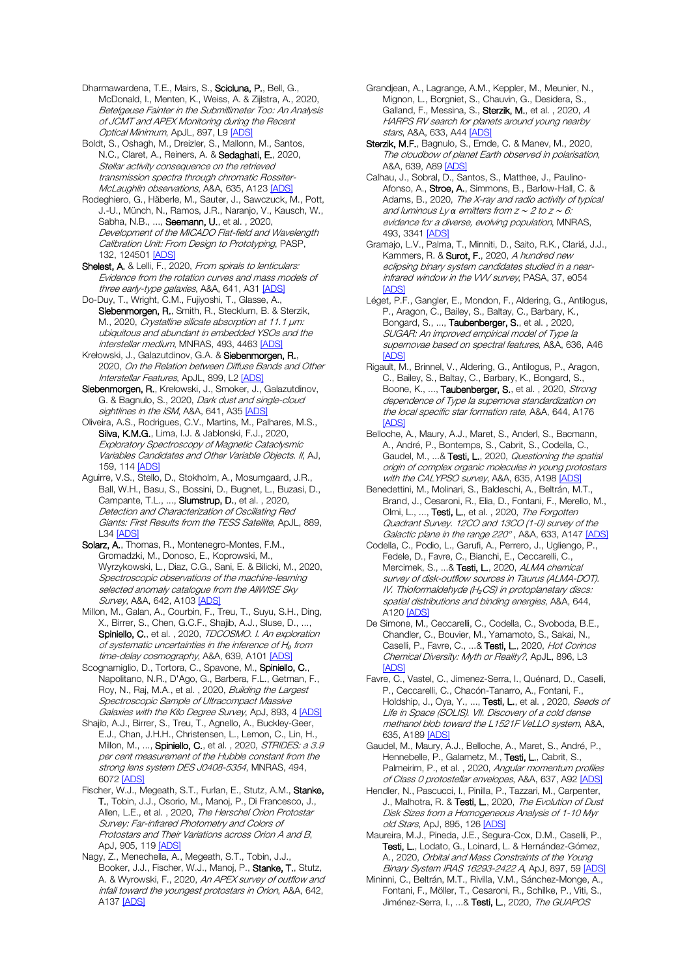Dharmawardena, T.E., Mairs, S., Scicluna, P., Bell, G., McDonald, I., Menten, K., Weiss, A. & Zijlstra, A., 2020, Betelgeuse Fainter in the Submillimeter Too: An Analysis of JCMT and APEX Monitoring during the Recent Optical Minimum, ApJL, 897, L[9 \[ADS\]](https://ui.adsabs.harvard.edu/#abs/2020ApJ...897L...9D)

Boldt, S., Oshagh, M., Dreizler, S., Mallonn, M., Santos, N.C., Claret, A., Reiners, A. & Sedaghati, E., 2020, Stellar activity consequence on the retrieved transmission spectra through chromatic Rossiter-McLaughlin observations, A&A, 635, A123 [\[ADS\]](https://ui.adsabs.harvard.edu/#abs/2020A%26A...635A.123B)

Rodeghiero, G., Häberle, M., Sauter, J., Sawczuck, M., Pott, J.-U., Münch, N., Ramos, J.R., Naranjo, V., Kausch, W., Sabha, N.B., ..., Seemann, U., et al. , 2020, Development of the MICADO Flat-field and Wavelength Calibration Unit: From Design to Prototyping, PASP, 132, 12450[1 \[ADS\]](https://ui.adsabs.harvard.edu/#abs/2020PASP..132l4501R)

Shelest, A. & Lelli, F., 2020, From spirals to lenticulars: Evidence from the rotation curves and mass models of three early-type galaxies, A&A, 641, A31 [\[ADS\]](https://ui.adsabs.harvard.edu/#abs/2020A%26A...641A..31S)

Do-Duy, T., Wright, C.M., Fujiyoshi, T., Glasse, A., Siebenmorgen, R., Smith, R., Stecklum, B. & Sterzik, M., 2020, Crystalline silicate absorption at 11.1 μm: ubiquitous and abundant in embedded YSOs and the interstellar medium, MNRAS, 493, 4463 [ADS

Krełowski, J., Galazutdinov, G.A. & Siebenmorgen, R., 2020, On the Relation between Diffuse Bands and Other Interstellar Features, ApJL, 899, L[2 \[ADS\]](https://ui.adsabs.harvard.edu/#abs/2020ApJ...899L...2K)

Siebenmorgen, R., Krełowski, J., Smoker, J., Galazutdinov, G. & Bagnulo, S., 2020, Dark dust and single-cloud sightlines in the ISM, A&A, 641, A3[5 \[ADS\]](https://ui.adsabs.harvard.edu/#abs/2020A%26A...641A..35S)

Oliveira, A.S., Rodrigues, C.V., Martins, M., Palhares, M.S., Silva, K.M.G., Lima, I.J. & Jablonski, F.J., 2020, Exploratory Spectroscopy of Magnetic Cataclysmic Variables Candidates and Other Variable Objects. II, AJ, 159, 11[4 \[ADS\]](https://ui.adsabs.harvard.edu/#abs/2020AJ....159..114O)

Aguirre, V.S., Stello, D., Stokholm, A., Mosumgaard, J.R., Ball, W.H., Basu, S., Bossini, D., Bugnet, L., Buzasi, D., Campante, T.L., ..., Slumstrup, D., et al. , 2020, Detection and Characterization of Oscillating Red Giants: First Results from the TESS Satellite, ApJL, 889, L3[4 \[ADS\]](https://ui.adsabs.harvard.edu/#abs/2020ApJ...889L..34S)

Solarz, A., Thomas, R., Montenegro-Montes, F.M., Gromadzki, M., Donoso, E., Koprowski, M., Wyrzykowski, L., Diaz, C.G., Sani, E. & Bilicki, M., 2020, Spectroscopic observations of the machine-learning selected anomaly catalogue from the AllWISE Sky Survey, A&A, 642, A10[3 \[ADS\]](https://ui.adsabs.harvard.edu/#abs/2020A%26A...642A.103S)

Millon, M., Galan, A., Courbin, F., Treu, T., Suyu, S.H., Ding, X., Birrer, S., Chen, G.C.F., Shajib, A.J., Sluse, D., ..., Spiniello, C., et al., 2020, TDCOSMO. I. An exploration of systematic uncertainties in the inference of  $H<sub>0</sub>$  from time-delay cosmography, A&A, 639, A101 [ADS

Scognamiglio, D., Tortora, C., Spavone, M., Spiniello, C., Napolitano, N.R., D'Ago, G., Barbera, F.L., Getman, F., Roy, N., Raj, M.A., et al., 2020, Building the Largest Spectroscopic Sample of Ultracompact Massive Galaxies with the Kilo Degree Survey, ApJ, 893, 4 [\[ADS\]](https://ui.adsabs.harvard.edu/#abs/2020ApJ...893....4S)

Shajib, A.J., Birrer, S., Treu, T., Agnello, A., Buckley-Geer, E.J., Chan, J.H.H., Christensen, L., Lemon, C., Lin, H., Millon, M., ..., Spiniello, C., et al., 2020, STRIDES: a 3.9 per cent measurement of the Hubble constant from the strong lens system DES J0408-5354, MNRAS, 494, 6072 [\[ADS\]](https://ui.adsabs.harvard.edu/#abs/2020MNRAS.494.6072S)

Fischer, W.J., Megeath, S.T., Furlan, E., Stutz, A.M., Stanke, T., Tobin, J.J., Osorio, M., Manoj, P., Di Francesco, J., Allen, L.E., et al., 2020, The Herschel Orion Protostar Survey: Far-infrared Photometry and Colors of Protostars and Their Variations across Orion A and B, ApJ, 905, 11[9 \[ADS\]](https://ui.adsabs.harvard.edu/#abs/2020ApJ...905..119F)

Nagy, Z., Menechella, A., Megeath, S.T., Tobin, J.J., Booker, J.J., Fischer, W.J., Manoj, P., Stanke, T., Stutz, A. & Wyrowski, F., 2020, An APEX survey of outflow and infall toward the youngest protostars in Orion, A&A, 642, A13[7 \[ADS\]](https://ui.adsabs.harvard.edu/#abs/2020A%26A...642A.137N)

Grandjean, A., Lagrange, A.M., Keppler, M., Meunier, N., Mignon, L., Borgniet, S., Chauvin, G., Desidera, S., Galland, F., Messina, S., Sterzik, M., et al. , 2020, A HARPS RV search for planets around young nearby stars, A&A, 633, A4[4 \[ADS\]](https://ui.adsabs.harvard.edu/#abs/2020A%26A...633A..44G)

Sterzik, M.F., Bagnulo, S., Emde, C. & Manev, M., 2020, The cloudbow of planet Earth observed in polarisation, A&A, 639, A8[9 \[ADS\]](https://ui.adsabs.harvard.edu/#abs/2020A%26A...639A..89S)

Calhau, J., Sobral, D., Santos, S., Matthee, J., Paulino-Afonso, A., Stroe, A., Simmons, B., Barlow-Hall, C. & Adams, B., 2020, The X-ray and radio activity of typical and luminous Ly *α* emitters from z <sup>∼</sup> 2 to z <sup>∼</sup> 6: evidence for a diverse, evolving population, MNRAS, 493, 334[1 \[ADS\]](https://ui.adsabs.harvard.edu/#abs/2020MNRAS.493.3341C)

Gramajo, L.V., Palma, T., Minniti, D., Saito, R.K., Clariá, J.J., Kammers, R. & Surot, F., 2020, A hundred new eclipsing binary system candidates studied in a nearinfrared window in the VVV survey, PASA, 37, e054 [\[ADS\]](https://ui.adsabs.harvard.edu/#abs/2020PASA...37...54G)

Léget, P.F., Gangler, E., Mondon, F., Aldering, G., Antilogus, P., Aragon, C., Bailey, S., Baltay, C., Barbary, K., Bongard, S., ..., Taubenberger, S., et al. , 2020, SUGAR: An improved empirical model of Type Ia supernovae based on spectral features, A&A, 636, A46 [\[ADS\]](https://ui.adsabs.harvard.edu/#abs/2020A%26A...636A..46L)

Rigault, M., Brinnel, V., Aldering, G., Antilogus, P., Aragon, C., Bailey, S., Baltay, C., Barbary, K., Bongard, S., Boone, K., ..., Taubenberger, S., et al., 2020, Strong dependence of Type Ia supernova standardization on the local specific star formation rate, A&A, 644, A176 [\[ADS\]](https://ui.adsabs.harvard.edu/#abs/2020A%26A...644A.176R)

Belloche, A., Maury, A.J., Maret, S., Anderl, S., Bacmann, A., André, P., Bontemps, S., Cabrit, S., Codella, C., Gaudel, M., ...& Testi, L., 2020, Questioning the spatial origin of complex organic molecules in young protostars with the CALYPSO survey, A&A, 635, A19[8 \[ADS\]](https://ui.adsabs.harvard.edu/#abs/2020A%26A...635A.198B)

Benedettini, M., Molinari, S., Baldeschi, A., Beltrán, M.T., Brand, J., Cesaroni, R., Elia, D., Fontani, F., Merello, M., Olmi, L., ..., Testi, L., et al., 2020, The Forgotten Quadrant Survey. 12CO and 13CO (1-0) survey of the Galactic plane in the range 220°, A&A, 633, A14[7 \[ADS\]](https://ui.adsabs.harvard.edu/#abs/2020A%26A...633A.147B)

Codella, C., Podio, L., Garufi, A., Perrero, J., Ugliengo, P., Fedele, D., Favre, C., Bianchi, E., Ceccarelli, C., Mercimek, S., ...& Testi, L., 2020, ALMA chemical survey of disk-outflow sources in Taurus (ALMA-DOT). IV. Thioformaldehyde (H<sub>2</sub>CS) in protoplanetary discs: spatial distributions and binding energies, A&A, 644, A12[0 \[ADS\]](https://ui.adsabs.harvard.edu/#abs/2020A%26A...644A.120C)

De Simone, M., Ceccarelli, C., Codella, C., Svoboda, B.E., Chandler, C., Bouvier, M., Yamamoto, S., Sakai, N., Caselli, P., Favre, C., ...& Testi, L., 2020, Hot Corinos Chemical Diversity: Myth or Reality?, ApJL, 896, L3 [\[ADS\]](https://ui.adsabs.harvard.edu/#abs/2020ApJ...896L...3D)

Favre, C., Vastel, C., Jimenez-Serra, I., Quénard, D., Caselli, P., Ceccarelli, C., Chacón-Tanarro, A., Fontani, F., Holdship, J., Oya, Y., ..., Testi, L., et al., 2020, Seeds of Life in Space (SOLIS). VII. Discovery of a cold dense methanol blob toward the L1521F VeLLO system, A&A, 635, A18[9 \[ADS\]](https://ui.adsabs.harvard.edu/#abs/2020A%26A...635A.189F)

Gaudel, M., Maury, A.J., Belloche, A., Maret, S., André, P., Hennebelle, P., Galametz, M., Testi, L., Cabrit, S., Palmeirim, P., et al., 2020, Angular momentum profiles of Class 0 protostellar envelopes, A&A, 637, A9[2 \[ADS\]](https://ui.adsabs.harvard.edu/#abs/2020A%26A...637A..92G)

Hendler, N., Pascucci, I., Pinilla, P., Tazzari, M., Carpenter, J., Malhotra, R. & Testi, L., 2020, The Evolution of Dust Disk Sizes from a Homogeneous Analysis of 1-10 Myr old Stars, ApJ, 895, 12[6 \[ADS\]](https://ui.adsabs.harvard.edu/#abs/2020ApJ...895..126H)

Maureira, M.J., Pineda, J.E., Segura-Cox, D.M., Caselli, P., Testi, L., Lodato, G., Loinard, L. & Hernández-Gómez, A., 2020, Orbital and Mass Constraints of the Young Binary System IRAS 16293-2422 A, ApJ, 897, 5[9 \[ADS\]](https://ui.adsabs.harvard.edu/#abs/2020ApJ...897...59M)

Mininni, C., Beltrán, M.T., Rivilla, V.M., Sánchez-Monge, A., Fontani, F., Möller, T., Cesaroni, R., Schilke, P., Viti, S., Jiménez-Serra, I., ...& Testi, L., 2020, The GUAPOS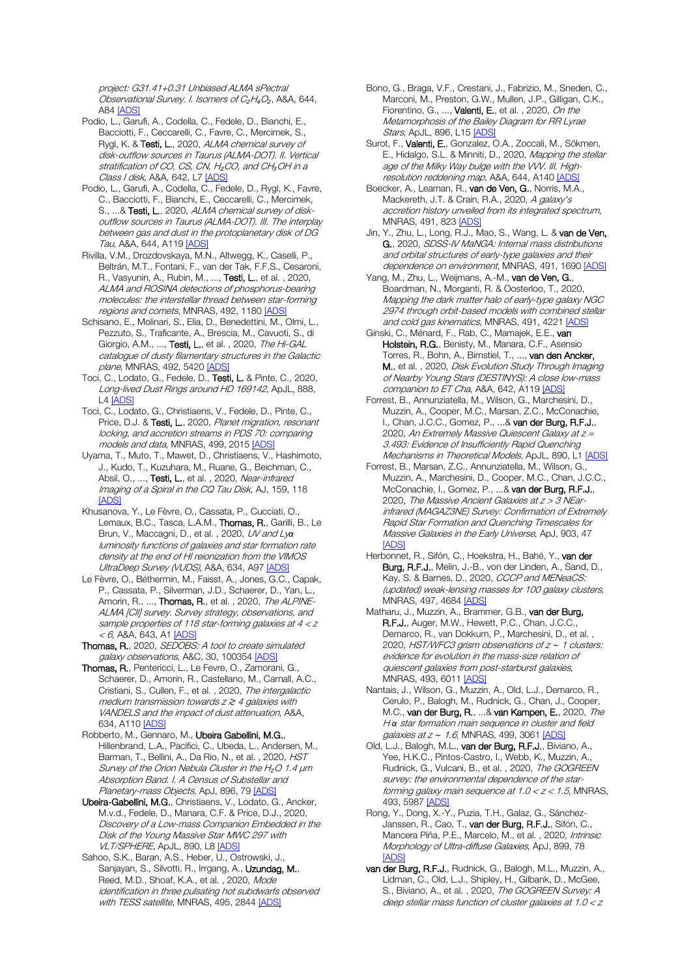project: G31.41+0.31 Unbiased ALMA sPectral Observational Survey. I. Isomers of  $C_2H_4O_2$ , A&A, 644, A84 [\[ADS\]](https://ui.adsabs.harvard.edu/#abs/2020A%26A...644A..84M)

- Podio, L., Garufi, A., Codella, C., Fedele, D., Bianchi, E., Bacciotti, F., Ceccarelli, C., Favre, C., Mercimek, S., Rygl, K. & Testi, L., 2020, ALMA chemical survey of disk-outflow sources in Taurus (ALMA-DOT). II. Vertical stratification of CO, CS, CN,  $H<sub>2</sub>CO$ , and CH $<sub>3</sub>OH$  in a</sub> Class I disk, A&A, 642, L[7 \[ADS\]](https://ui.adsabs.harvard.edu/#abs/2020A%26A...642L...7P)
- Podio, L., Garufi, A., Codella, C., Fedele, D., Rygl, K., Favre, C., Bacciotti, F., Bianchi, E., Ceccarelli, C., Mercimek, S., ...& Testi, L., 2020, ALMA chemical survey of diskoutflow sources in Taurus (ALMA-DOT). III. The interplay between gas and dust in the protoplanetary disk of DG Tau, A&A, 644, A11[9 \[ADS\]](https://ui.adsabs.harvard.edu/#abs/2020A%26A...644A.119P)
- Rivilla, V.M., Drozdovskaya, M.N., Altwegg, K., Caselli, P., Beltrán, M.T., Fontani, F., van der Tak, F.F.S., Cesaroni, R., Vasyunin, A., Rubin, M., ..., Testi, L., et al. , 2020, ALMA and ROSINA detections of phosphorus-bearing molecules: the interstellar thread between star-forming regions and comets, MNRAS, 492, 118[0 \[ADS\]](https://ui.adsabs.harvard.edu/#abs/2020MNRAS.492.1180R)
- Schisano, E., Molinari, S., Elia, D., Benedettini, M., Olmi, L., Pezzuto, S., Traficante, A., Brescia, M., Cavuoti, S., di Giorgio, A.M., ..., Testi, L., et al., 2020, The Hi-GAL catalogue of dusty filamentary structures in the Galactic plane, MNRAS, 492, 5420 [\[ADS\]](https://ui.adsabs.harvard.edu/#abs/2020MNRAS.492.5420S)
- Toci, C., Lodato, G., Fedele, D., Testi, L. & Pinte, C., 2020, Long-lived Dust Rings around HD 169142, ApJL, 888, L4 [\[ADS\]](https://ui.adsabs.harvard.edu/#abs/2020ApJ...888L...4T)
- Toci, C., Lodato, G., Christiaens, V., Fedele, D., Pinte, C., Price, D.J. & Testi, L., 2020, Planet migration, resonant locking, and accretion streams in PDS 70: comparing models and data, MNRAS, 499, 201[5 \[ADS\]](https://ui.adsabs.harvard.edu/#abs/2020MNRAS.499.2015T)
- Uyama, T., Muto, T., Mawet, D., Christiaens, V., Hashimoto, J., Kudo, T., Kuzuhara, M., Ruane, G., Beichman, C., Absil, O., ..., Testi, L., et al., 2020, Near-infrared Imaging of a Spiral in the CQ Tau Disk, AJ, 159, 118 [\[ADS\]](https://ui.adsabs.harvard.edu/#abs/2020AJ....159..118U)
- Khusanova, Y., Le Fèvre, O., Cassata, P., Cucciati, O., Lemaux, B.C., Tasca, L.A.M., Thomas, R., Garilli, B., Le Brun, V., Maccagni, D., et al. , 2020, UV and Ly*α* luminosity functions of galaxies and star formation rate density at the end of HI reionization from the VIMOS UltraDeep Survey (VUDS), A&A, 634, A9[7 \[ADS\]](https://ui.adsabs.harvard.edu/#abs/2020A%26A...634A..97K)
- Le Fèvre, O., Béthermin, M., Faisst, A., Jones, G.C., Capak, P., Cassata, P., Silverman, J.D., Schaerer, D., Yan, L., Amorin, R., ..., Thomas, R., et al., 2020, The ALPINE-ALMA [CII] survey. Survey strategy, observations, and sample properties of 118 star-forming galaxies at 4 < z  $<$  6, A&A, 643, A1 [ADS
- Thomas, R., 2020, SEDOBS: A tool to create simulated galaxy observations, A&C, 30, 10035[4 \[ADS\]](https://ui.adsabs.harvard.edu/#abs/2020A%26C....3000354T)
- Thomas, R., Pentericci, L., Le Fevre, O., Zamorani, G., Schaerer, D., Amorin, R., Castellano, M., Carnall, A.C., Cristiani, S., Cullen, F., et al. , 2020, The intergalactic medium transmission towards  $z \gtrsim 4$  galaxies with VANDELS and the impact of dust attenuation, A&A, 634, A11[0 \[ADS\]](https://ui.adsabs.harvard.edu/#abs/2020A%26A...634A.110T)
- Robberto, M., Gennaro, M., Ubeira Gabellini, M.G., Hillenbrand, L.A., Pacifici, C., Ubeda, L., Andersen, M., Barman, T., Bellini, A., Da Rio, N., et al., 2020, HST Survey of the Orion Nebula Cluster in the  $H<sub>2</sub>O$  1.4  $\mu$ m Absorption Band. I. A Census of Substellar and Planetary-mass Objects, ApJ, 896, 7[9 \[ADS\]](https://ui.adsabs.harvard.edu/#abs/2020ApJ...896...79R)
- Ubeira-Gabellini, M.G., Christiaens, V., Lodato, G., Ancker, M.v.d., Fedele, D., Manara, C.F. & Price, D.J., 2020, Discovery of a Low-mass Companion Embedded in the Disk of the Young Massive Star MWC 297 with VLT/SPHERE, ApJL, 890, L[8 \[ADS\]](https://ui.adsabs.harvard.edu/#abs/2020ApJ...890L...8U)
- Sahoo, S.K., Baran, A.S., Heber, U., Ostrowski, J., Sanjayan, S., Silvotti, R., Irrgang, A., Uzundag, M., Reed, M.D., Shoaf, K.A., et al. , 2020, Mode identification in three pulsating hot subdwarfs observed with TESS satellite, MNRAS, 495, 284[4 \[ADS\]](https://ui.adsabs.harvard.edu/#abs/2020MNRAS.495.2844S)
- Bono, G., Braga, V.F., Crestani, J., Fabrizio, M., Sneden, C., Marconi, M., Preston, G.W., Mullen, J.P., Gilligan, C.K., Fiorentino, G., ..., Valenti, E., et al. , 2020, On the Metamorphosis of the Bailey Diagram for RR Lyrae Stars, ApJL, 896, L1[5 \[ADS\]](https://ui.adsabs.harvard.edu/#abs/2020ApJ...896L..15B)
- Surot, F., Valenti, E., Gonzalez, O.A., Zoccali, M., Sökmen, E., Hidalgo, S.L. & Minniti, D., 2020, Mapping the stellar age of the Milky Way bulge with the VW. III. High-resolution reddening map, A&A, 644, A14[0 \[ADS\]](https://ui.adsabs.harvard.edu/#abs/2020A%26A...644A.140S)
- Boecker, A., Leaman, R., van de Ven, G., Norris, M.A., Mackereth, J.T. & Crain, R.A., 2020, A galaxy's accretion history unveiled from its integrated spectrum, MNRAS, 491, 82[3 \[ADS\]](https://ui.adsabs.harvard.edu/#abs/2020MNRAS.491..823B)
- Jin, Y., Zhu, L., Long, R.J., Mao, S., Wang, L. & van de Ven, G., 2020, SDSS-IV MaNGA: Internal mass distributions and orbital structures of early-type galaxies and their dependence on environment, MNRAS, 491, 1690 [\[ADS\]](https://ui.adsabs.harvard.edu/#abs/2020MNRAS.491.1690J)
- Yang, M., Zhu, L., Weijmans, A.-M., van de Ven, G., Boardman, N., Morganti, R. & Oosterloo, T., 2020, Mapping the dark matter halo of early-type galaxy NGC 2974 through orbit-based models with combined stellar and cold gas kinematics, MNRAS, 491, 422[1 \[ADS\]](https://ui.adsabs.harvard.edu/#abs/2020MNRAS.491.4221Y)
- Ginski, C., Ménard, F., Rab, C., Mamajek, E.E., van Holstein, R.G., Benisty, M., Manara, C.F., Asension Torres, R., Bohn, A., Birnstiel, T., ..., van den Ancker, M., et al., 2020, Disk Evolution Study Through Imaging of Nearby Young Stars (DESTINYS): A close low-mass companion to ET Cha, A&A, 642, A11[9 \[ADS\]](https://ui.adsabs.harvard.edu/#abs/2020A%26A...642A.119G)
- Forrest, B., Annunziatella, M., Wilson, G., Marchesini, D., Muzzin, A., Cooper, M.C., Marsan, Z.C., McConachie, I., Chan, J.C.C., Gomez, P., ...& van der Burg, R.F.J., 2020, An Extremely Massive Quiescent Galaxy at  $z =$ 3.493: Evidence of Insufficiently Rapid Quenching Mechanisms in Theoretical Models, ApJL, 890, L[1 \[ADS\]](https://ui.adsabs.harvard.edu/#abs/2020ApJ...890L...1F)
- Forrest, B., Marsan, Z.C., Annunziatella, M., Wilson, G., Muzzin, A., Marchesini, D., Cooper, M.C., Chan, J.C.C., McConachie, I., Gomez, P., ...& van der Burg, R.F.J., 2020, The Massive Ancient Galaxies at  $z > 3$  NEarinfrared (MAGAZ3NE) Survey: Confirmation of Extremely Rapid Star Formation and Quenching Timescales for Massive Galaxies in the Early Universe, ApJ, 903, 47 [\[ADS\]](https://ui.adsabs.harvard.edu/#abs/2020ApJ...903...47F)
- Herbonnet, R., Sifón, C., Hoekstra, H., Bahé, Y., van der Burg, R.F.J., Melin, J.-B., von der Linden, A., Sand, D., Kay, S. & Barnes, D., 2020, CCCP and MENeaCS: (updated) weak-lensing masses for 100 galaxy clusters, MNRAS, 497, 468[4 \[ADS\]](https://ui.adsabs.harvard.edu/#abs/2020MNRAS.497.4684H)
- Matharu, J., Muzzin, A., Brammer, G.B., van der Burg, R.F.J., Auger, M.W., Hewett, P.C., Chan, J.C.C., Demarco, R., van Dokkum, P., Marchesini, D., et al. , 2020, HST/WFC3 grism observations of z <sup>∼</sup> 1 clusters: evidence for evolution in the mass-size relation of quiescent galaxies from post-starburst galaxies, MNRAS, 493, 601[1 \[ADS\]](https://ui.adsabs.harvard.edu/#abs/2020MNRAS.493.6011M)
- Nantais, J., Wilson, G., Muzzin, A., Old, L.J., Demarco, R., Cerulo, P., Balogh, M., Rudnick, G., Chan, J., Cooper, M.C., van der Burg, R., ...& van Kampen, E., 2020, The H *α* star formation main sequence in cluster and field galaxies at z ~ 1.6, MNRAS, 499, 306[1 \[ADS\]](https://ui.adsabs.harvard.edu/#abs/2020MNRAS.499.3061N)
- Old, L.J., Balogh, M.L., van der Burg, R.F.J., Biviano, A., Yee, H.K.C., Pintos-Castro, I., Webb, K., Muzzin, A., Rudnick, G., Vulcani, B., et al. , 2020, The GOGREEN survey: the environmental dependence of the starforming galaxy main sequence at 1.0 < z < 1.5, MNRAS, 493, 598[7 \[ADS\]](https://ui.adsabs.harvard.edu/#abs/2020MNRAS.493.5987O)
- Rong, Y., Dong, X.-Y., Puzia, T.H., Galaz, G., Sánchez-Janssen, R., Cao, T., van der Burg, R.F.J., Sifón, C., Mancera Piña, P.E., Marcelo, M., et al. , 2020, Intrinsic Morphology of Ultra-diffuse Galaxies, ApJ, 899, 78 [\[ADS\]](https://ui.adsabs.harvard.edu/#abs/2020ApJ...899...78R)
- van der Burg, R.F.J., Rudnick, G., Balogh, M.L., Muzzin, A., Lidman, C., Old, L.J., Shipley, H., Gilbank, D., McGee, S., Biviano, A., et al., 2020, The GOGREEN Survey: A deep stellar mass function of cluster galaxies at 1.0 < z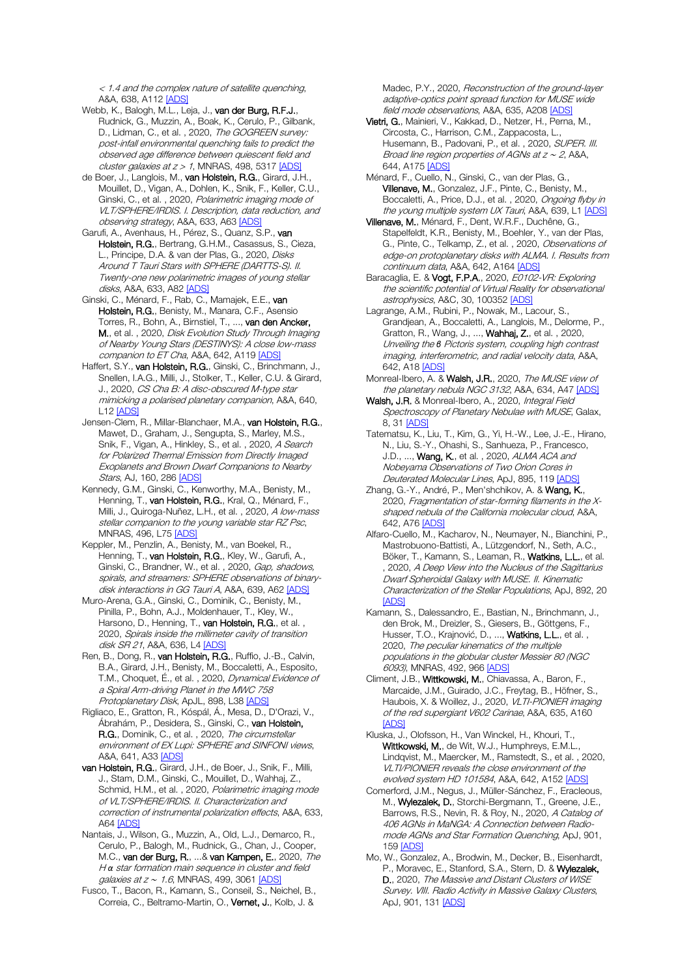< 1.4 and the complex nature of satellite quenching, A&A, 638, A112 [\[ADS\]](https://ui.adsabs.harvard.edu/#abs/2020A%26A...638A.112V)

Webb, K., Balogh, M.L., Leja, J., van der Burg, R.F.J., Rudnick, G., Muzzin, A., Boak, K., Cerulo, P., Gilbank, D., Lidman, C., et al., 2020, The GOGREEN survey: post-infall environmental quenching fails to predict the observed age difference between quiescent field and cluster galaxies at  $z > 1$ , MNRAS, 498, 531[7 \[ADS\]](https://ui.adsabs.harvard.edu/#abs/2020MNRAS.498.5317W)

de Boer, J., Langlois, M., van Holstein, R.G., Girard, J.H., Mouillet, D., Vigan, A., Dohlen, K., Snik, F., Keller, C.U., Ginski. C., et al., 2020, Polarimetric imaging mode of VLT/SPHERE/IRDIS. I. Description, data reduction, and observing strategy, A&A, 633, A63 [\[ADS\]](https://ui.adsabs.harvard.edu/#abs/2020A%26A...633A..63D)

Garufi, A., Avenhaus, H., Pérez, S., Quanz, S.P., van Holstein, R.G., Bertrang, G.H.M., Casassus, S., Cieza, L., Principe, D.A. & van der Plas, G., 2020, Disks Around T Tauri Stars with SPHERE (DARTTS-S). II. Twenty-one new polarimetric images of young stellar disks, A&A, 633, A8[2 \[ADS\]](https://ui.adsabs.harvard.edu/#abs/2020A%26A...633A..82G)

Ginski, C., Ménard, F., Rab, C., Mamajek, E.E., van Holstein, R.G., Benisty, M., Manara, C.F., Asensio Torres, R., Bohn, A., Birnstiel, T., ..., van den Ancker, M., et al., 2020, Disk Evolution Study Through Imaging of Nearby Young Stars (DESTINYS): A close low-mass companion to ET Cha, A&A, 642, A11[9 \[ADS\]](https://ui.adsabs.harvard.edu/#abs/2020A%26A...642A.119G)

Haffert, S.Y., van Holstein, R.G., Ginski, C., Brinchmann, J., Snellen, I.A.G., Milli, J., Stolker, T., Keller, C.U. & Girard, J., 2020, CS Cha B: A disc-obscured M-type star mimicking a polarised planetary companion, A&A, 640, L1[2 \[ADS\]](https://ui.adsabs.harvard.edu/#abs/2020A%26A...640L..12H)

Jensen-Clem, R., Millar-Blanchaer, M.A., van Holstein, R.G., Mawet, D., Graham, J., Sengupta, S., Marley, M.S., Snik, F., Vigan, A., Hinkley, S., et al., 2020, A Search for Polarized Thermal Emission from Directly Imaged Exoplanets and Brown Dwarf Companions to Nearby Stars, AJ, 160, 28[6 \[ADS\]](https://ui.adsabs.harvard.edu/#abs/2020AJ....160..286J)

Kennedy, G.M., Ginski, C., Kenworthy, M.A., Benisty, M., Henning, T., van Holstein, R.G., Kral, Q., Ménard, F., Milli, J., Quiroga-Nuñez, L.H., et al., 2020, A low-mass stellar companion to the young variable star RZ Psc, MNRAS, 496, L7[5 \[ADS\]](https://ui.adsabs.harvard.edu/#abs/2020MNRAS.496L..75K)

Keppler, M., Penzlin, A., Benisty, M., van Boekel, R., Henning, T., van Holstein, R.G., Kley, W., Garufi, A., Ginski, C., Brandner, W., et al., 2020, Gap, shadows, spirals, and streamers: SPHERE observations of binary-disk interactions in GG Tauri A, A&A, 639, A62 [\[ADS\]](https://ui.adsabs.harvard.edu/#abs/2020A%26A...639A..62K)

Muro-Arena, G.A., Ginski, C., Dominik, C., Benisty, M., Pinilla, P., Bohn, A.J., Moldenhauer, T., Kley, W., Harsono, D., Henning, T., van Holstein, R.G., et al., 2020, Spirals inside the millimeter cavity of transition disk SR 21, A&A, 636, L[4 \[ADS\]](https://ui.adsabs.harvard.edu/#abs/2020A%26A...636L...4M)

Ren, B., Dong, R., van Holstein, R.G., Ruffio, J.-B., Calvin, B.A., Girard, J.H., Benisty, M., Boccaletti, A., Esposito, T.M., Choquet, É., et al., 2020, Dynamical Evidence of a Spiral Arm-driving Planet in the MWC 758 Protoplanetary Disk, ApJL, 898, L3[8 \[ADS\]](https://ui.adsabs.harvard.edu/#abs/2020ApJ...898L..38R)

Rigliaco, E., Gratton, R., Kóspál, Á., Mesa, D., D'Orazi, V., Ábrahám, P., Desidera, S., Ginski, C., van Holstein, R.G., Dominik, C., et al., 2020, The circumstellar environment of EX Lupi: SPHERE and SINFONI views, A&A, 641, A3[3 \[ADS\]](https://ui.adsabs.harvard.edu/#abs/2020A%26A...641A..33R)

van Holstein, R.G., Girard, J.H., de Boer, J., Snik, F., Milli, J., Stam, D.M., Ginski, C., Mouillet, D., Wahhaj, Z., Schmid, H.M., et al., 2020, Polarimetric imaging mode of VLT/SPHERE/IRDIS. II. Characterization and correction of instrumental polarization effects, A&A, 633, A64 [\[ADS\]](https://ui.adsabs.harvard.edu/#abs/2020A%26A...633A..64V)

Nantais, J., Wilson, G., Muzzin, A., Old, L.J., Demarco, R., Cerulo, P., Balogh, M., Rudnick, G., Chan, J., Cooper, M.C., van der Burg, R., ...& van Kampen, E., 2020, The H *α* star formation main sequence in cluster and field galaxies at z ~ 1.6, MNRAS, 499, 3061 [\[ADS\]](https://ui.adsabs.harvard.edu/#abs/2020MNRAS.499.3061N)

Fusco, T., Bacon, R., Kamann, S., Conseil, S., Neichel, B., Correia, C., Beltramo-Martin, O., Vernet, J., Kolb, J. &

Madec, P.Y., 2020, Reconstruction of the ground-layer adaptive-optics point spread function for MUSE wide field mode observations, A&A, 635, A208 [\[ADS\]](https://ui.adsabs.harvard.edu/#abs/2020A%26A...635A.208F)

Vietri, G., Mainieri, V., Kakkad, D., Netzer, H., Perna, M., Circosta, C., Harrison, C.M., Zappacosta, L., Husemann, B., Padovani, P., et al., 2020, SUPER. III. Broad line region properties of AGNs at z <sup>∼</sup> <sup>2</sup>, A&A, 644, A17[5 \[ADS\]](https://ui.adsabs.harvard.edu/#abs/2020A%26A...644A.175V)

Ménard, F., Cuello, N., Ginski, C., van der Plas, G., Villenave, M., Gonzalez, J.F., Pinte, C., Benisty, M., Boccaletti, A., Price, D.J., et al. , 2020, Ongoing flyby in the young multiple system UX Tauri, A&A, 639, L[1 \[ADS\]](https://ui.adsabs.harvard.edu/#abs/2020A%26A...639L...1M)

Villenave, M., Ménard, F., Dent, W.R.F., Duchêne, G., Stapelfeldt, K.R., Benisty, M., Boehler, Y., van der Plas, G., Pinte, C., Telkamp, Z., et al. , 2020, Observations of edge-on protoplanetary disks with ALMA. I. Results from continuum data, A&A, 642, A164 [\[ADS\]](https://ui.adsabs.harvard.edu/#abs/2020A%26A...642A.164V)

Baracaglia, E. & Vogt, F.P.A., 2020, E0102-VR: Explorina the scientific potential of Virtual Reality for observational astrophysics, A&C, 30, 10035[2 \[ADS\]](https://ui.adsabs.harvard.edu/#abs/2020A%26C....3000352B)

Lagrange, A.M., Rubini, P., Nowak, M., Lacour, S., Grandjean, A., Boccaletti, A., Langlois, M., Delorme, P., Gratton, R., Wang, J., ..., Wahhaj, Z., et al. , 2020, Unveiling the *β* Pictoris system, coupling high contrast imaging, interferometric, and radial velocity data, A&A, 642, A1[8 \[ADS\]](https://ui.adsabs.harvard.edu/#abs/2020A%26A...642A..18L)

Monreal-Ibero, A. & Walsh, J.R., 2020, The MUSE view of the planetary nebula NGC 3132, A&A, 634, A4[7 \[ADS\]](https://ui.adsabs.harvard.edu/#abs/2020A%26A...634A..47M)

Walsh, J.R. & Monreal-Ibero, A., 2020, Integral Field Spectroscopy of Planetary Nebulae with MUSE, Galax, 8, 31 [\[ADS\]](https://ui.adsabs.harvard.edu/#abs/2020Galax...8...31W)

Tatematsu, K., Liu, T., Kim, G., Yi, H.-W., Lee, J.-E., Hirano, N., Liu, S.-Y., Ohashi, S., Sanhueza, P., Francesco, J.D., ..., **Wang, K.**, et al., 2020, ALMA ACA and Nobeyama Observations of Two Orion Cores in Deuterated Molecular Lines, ApJ, 895, 11[9 \[ADS\]](https://ui.adsabs.harvard.edu/#abs/2020ApJ...895..119T)

Zhang, G.-Y., André, P., Men'shchikov, A. & Wang, K., 2020, Fragmentation of star-forming filaments in the Xshaped nebula of the California molecular cloud, A&A, 642, A7[6 \[ADS\]](https://ui.adsabs.harvard.edu/#abs/2020A%26A...642A..76Z)

Alfaro-Cuello, M., Kacharov, N., Neumayer, N., Bianchini, P., Mastrobuono-Battisti, A., Lützgendorf, N., Seth, A.C., Böker, T., Kamann, S., Leaman, R., Watkins, L.L., et al. 2020, A Deep View into the Nucleus of the Sagittarius Dwarf Spheroidal Galaxy with MUSE. II. Kinematic Characterization of the Stellar Populations, ApJ, 892, 20 **[\[ADS\]](https://ui.adsabs.harvard.edu/#abs/2020ApJ...892...20A)** 

Kamann, S., Dalessandro, E., Bastian, N., Brinchmann, J., den Brok, M., Dreizler, S., Giesers, B., Göttgens, F., Husser, T.O., Krajnović, D., ..., Watkins, L.L., et al., 2020, The peculiar kinematics of the multiple populations in the globular cluster Messier 80 (NGC 6093), MNRAS, 492, 96[6 \[ADS\]](https://ui.adsabs.harvard.edu/#abs/2020MNRAS.492..966K)

Climent, J.B., Wittkowski, M., Chiavassa, A., Baron, F., Marcaide, J.M., Guirado, J.C., Freytag, B., Höfner, S., Haubois, X. & Woillez, J., 2020, VLTI-PIONIER imaging of the red supergiant V602 Carinae, A&A, 635, A160 [\[ADS\]](https://ui.adsabs.harvard.edu/#abs/2020A%26A...635A.160C)

Kluska, J., Olofsson, H., Van Winckel, H., Khouri, T., Wittkowski, M., de Wit, W.J., Humphreys, E.M.L., Lindqvist, M., Maercker, M., Ramstedt, S., et al. , 2020, VLTI/PIONIER reveals the close environment of the evolved system HD 101584, A&A, 642, A15[2 \[ADS\]](https://ui.adsabs.harvard.edu/#abs/2020A%26A...642A.152K)

Comerford, J.M., Negus, J., Müller-Sánchez, F., Eracleous, M., Wylezalek, D., Storchi-Bergmann, T., Greene, J.E., Barrows, R.S., Nevin, R. & Roy, N., 2020, A Catalog of 406 AGNs in MaNGA: A Connection between Radiomode AGNs and Star Formation Quenching, ApJ, 901, 15[9 \[ADS\]](https://ui.adsabs.harvard.edu/#abs/2020ApJ...901..159C)

Mo, W., Gonzalez, A., Brodwin, M., Decker, B., Eisenhardt, P., Moravec, E., Stanford, S.A., Stern, D. & Wylezalek, D., 2020, The Massive and Distant Clusters of WISE Survey. VIII. Radio Activity in Massive Galaxy Clusters, ApJ, 901, 13[1 \[ADS\]](https://ui.adsabs.harvard.edu/#abs/2020ApJ...901..131M)